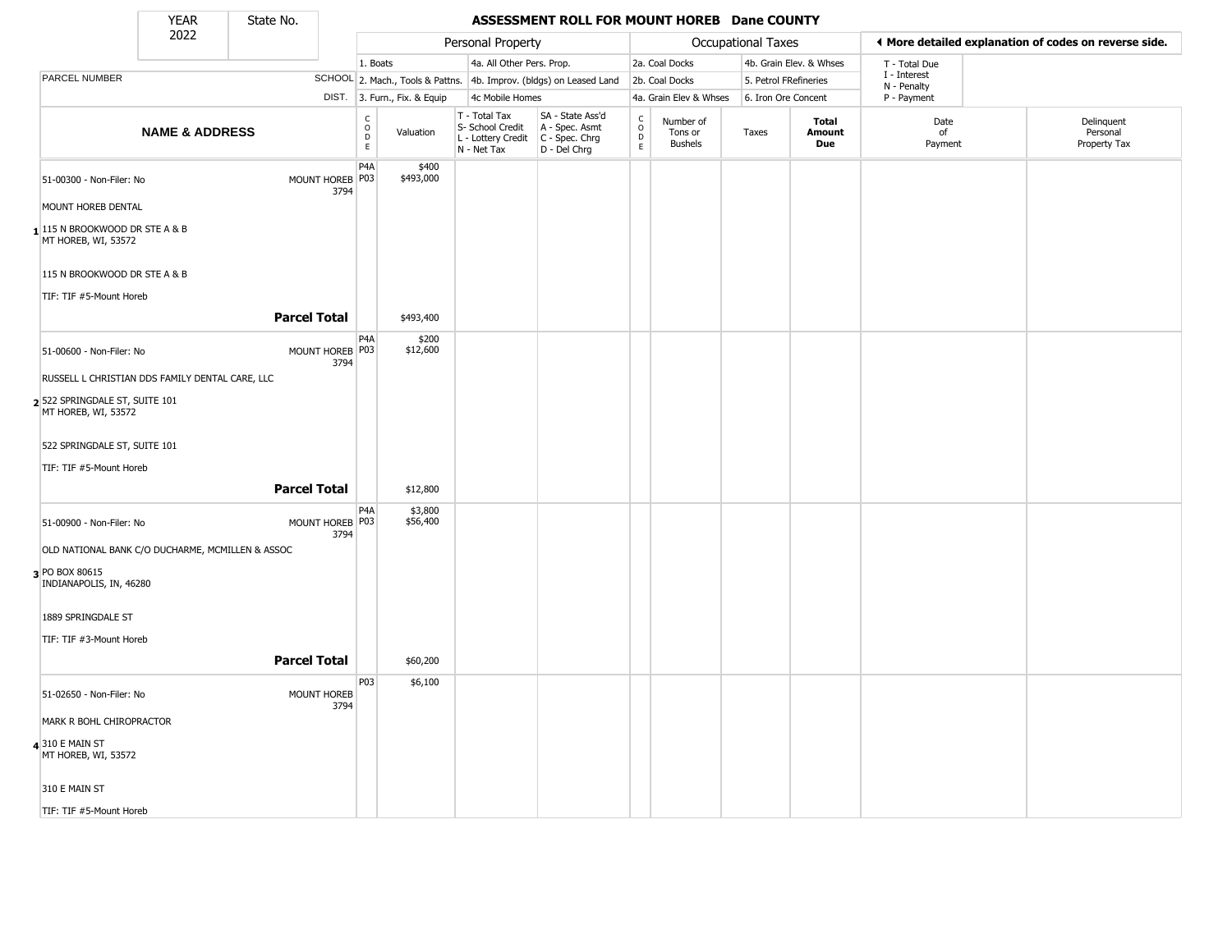State No.

т

#### **YEAR** State No. **ASSESSMENT ROLL FOR MOUNT HOREB Dane COUNTY**

|                                                         | 2022                      |                            |                                                 |                              | Personal Property                                                                       |                                                                     |                                   |                                        | Occupational Taxes    |                         |                             | ◀ More detailed explanation of codes on reverse side. |
|---------------------------------------------------------|---------------------------|----------------------------|-------------------------------------------------|------------------------------|-----------------------------------------------------------------------------------------|---------------------------------------------------------------------|-----------------------------------|----------------------------------------|-----------------------|-------------------------|-----------------------------|-------------------------------------------------------|
|                                                         |                           |                            | 1. Boats                                        |                              | 4a. All Other Pers. Prop.                                                               |                                                                     |                                   | 2a. Coal Docks                         |                       | 4b. Grain Elev. & Whses | T - Total Due               |                                                       |
| PARCEL NUMBER                                           |                           |                            |                                                 |                              |                                                                                         | SCHOOL 2. Mach., Tools & Pattns. 4b. Improv. (bldgs) on Leased Land |                                   | 2b. Coal Docks                         | 5. Petrol FRefineries |                         | I - Interest<br>N - Penalty |                                                       |
|                                                         |                           |                            |                                                 | DIST. 3. Furn., Fix. & Equip | 4c Mobile Homes                                                                         |                                                                     |                                   | 4a. Grain Elev & Whses                 | 6. Iron Ore Concent   |                         | P - Payment                 |                                                       |
|                                                         | <b>NAME &amp; ADDRESS</b> |                            | $\mathsf{C}$<br>$\overline{O}$<br>$\frac{D}{E}$ | Valuation                    | T - Total Tax<br>S- School Credit<br>L - Lottery Credit   C - Spec. Chrg<br>N - Net Tax | SA - State Ass'd<br>A - Spec. Asmt<br>D - Del Chrg                  | $\frac{c}{0}$<br>D<br>$\mathsf E$ | Number of<br>Tons or<br><b>Bushels</b> | Taxes                 | Total<br>Amount<br>Due  | Date<br>of<br>Payment       | Delinquent<br>Personal<br>Property Tax                |
| 51-00300 - Non-Filer: No                                |                           | MOUNT HOREB P03<br>3794    | P4A                                             | \$400<br>\$493,000           |                                                                                         |                                                                     |                                   |                                        |                       |                         |                             |                                                       |
| MOUNT HOREB DENTAL                                      |                           |                            |                                                 |                              |                                                                                         |                                                                     |                                   |                                        |                       |                         |                             |                                                       |
| $1$ 115 N BROOKWOOD DR STE A & B<br>MT HOREB, WI, 53572 |                           |                            |                                                 |                              |                                                                                         |                                                                     |                                   |                                        |                       |                         |                             |                                                       |
| 115 N BROOKWOOD DR STE A & B                            |                           |                            |                                                 |                              |                                                                                         |                                                                     |                                   |                                        |                       |                         |                             |                                                       |
| TIF: TIF #5-Mount Horeb                                 |                           |                            |                                                 |                              |                                                                                         |                                                                     |                                   |                                        |                       |                         |                             |                                                       |
|                                                         |                           | <b>Parcel Total</b>        |                                                 | \$493,400                    |                                                                                         |                                                                     |                                   |                                        |                       |                         |                             |                                                       |
| 51-00600 - Non-Filer: No                                |                           | MOUNT HOREB P03<br>3794    | P4A                                             | \$200<br>\$12,600            |                                                                                         |                                                                     |                                   |                                        |                       |                         |                             |                                                       |
| RUSSELL L CHRISTIAN DDS FAMILY DENTAL CARE, LLC         |                           |                            |                                                 |                              |                                                                                         |                                                                     |                                   |                                        |                       |                         |                             |                                                       |
| 2 522 SPRINGDALE ST, SUITE 101<br>MT HOREB, WI, 53572   |                           |                            |                                                 |                              |                                                                                         |                                                                     |                                   |                                        |                       |                         |                             |                                                       |
| 522 SPRINGDALE ST, SUITE 101                            |                           |                            |                                                 |                              |                                                                                         |                                                                     |                                   |                                        |                       |                         |                             |                                                       |
| TIF: TIF #5-Mount Horeb                                 |                           |                            |                                                 |                              |                                                                                         |                                                                     |                                   |                                        |                       |                         |                             |                                                       |
|                                                         |                           | <b>Parcel Total</b>        |                                                 | \$12,800                     |                                                                                         |                                                                     |                                   |                                        |                       |                         |                             |                                                       |
| 51-00900 - Non-Filer: No                                |                           | MOUNT HOREB   P03<br>3794  | P4A                                             | \$3,800<br>\$56,400          |                                                                                         |                                                                     |                                   |                                        |                       |                         |                             |                                                       |
| OLD NATIONAL BANK C/O DUCHARME, MCMILLEN & ASSOC        |                           |                            |                                                 |                              |                                                                                         |                                                                     |                                   |                                        |                       |                         |                             |                                                       |
| 3 PO BOX 80615<br>INDIANAPOLIS, IN, 46280               |                           |                            |                                                 |                              |                                                                                         |                                                                     |                                   |                                        |                       |                         |                             |                                                       |
| 1889 SPRINGDALE ST                                      |                           |                            |                                                 |                              |                                                                                         |                                                                     |                                   |                                        |                       |                         |                             |                                                       |
| TIF: TIF #3-Mount Horeb                                 |                           |                            |                                                 |                              |                                                                                         |                                                                     |                                   |                                        |                       |                         |                             |                                                       |
|                                                         |                           | <b>Parcel Total</b>        |                                                 | \$60,200                     |                                                                                         |                                                                     |                                   |                                        |                       |                         |                             |                                                       |
|                                                         |                           |                            | P03                                             | \$6,100                      |                                                                                         |                                                                     |                                   |                                        |                       |                         |                             |                                                       |
| 51-02650 - Non-Filer: No                                |                           | <b>MOUNT HOREB</b><br>3794 |                                                 |                              |                                                                                         |                                                                     |                                   |                                        |                       |                         |                             |                                                       |
| MARK R BOHL CHIROPRACTOR                                |                           |                            |                                                 |                              |                                                                                         |                                                                     |                                   |                                        |                       |                         |                             |                                                       |
| 4310 E MAIN ST<br>MT HOREB, WI, 53572                   |                           |                            |                                                 |                              |                                                                                         |                                                                     |                                   |                                        |                       |                         |                             |                                                       |
| 310 E MAIN ST                                           |                           |                            |                                                 |                              |                                                                                         |                                                                     |                                   |                                        |                       |                         |                             |                                                       |
| TIF: TIF #5-Mount Horeb                                 |                           |                            |                                                 |                              |                                                                                         |                                                                     |                                   |                                        |                       |                         |                             |                                                       |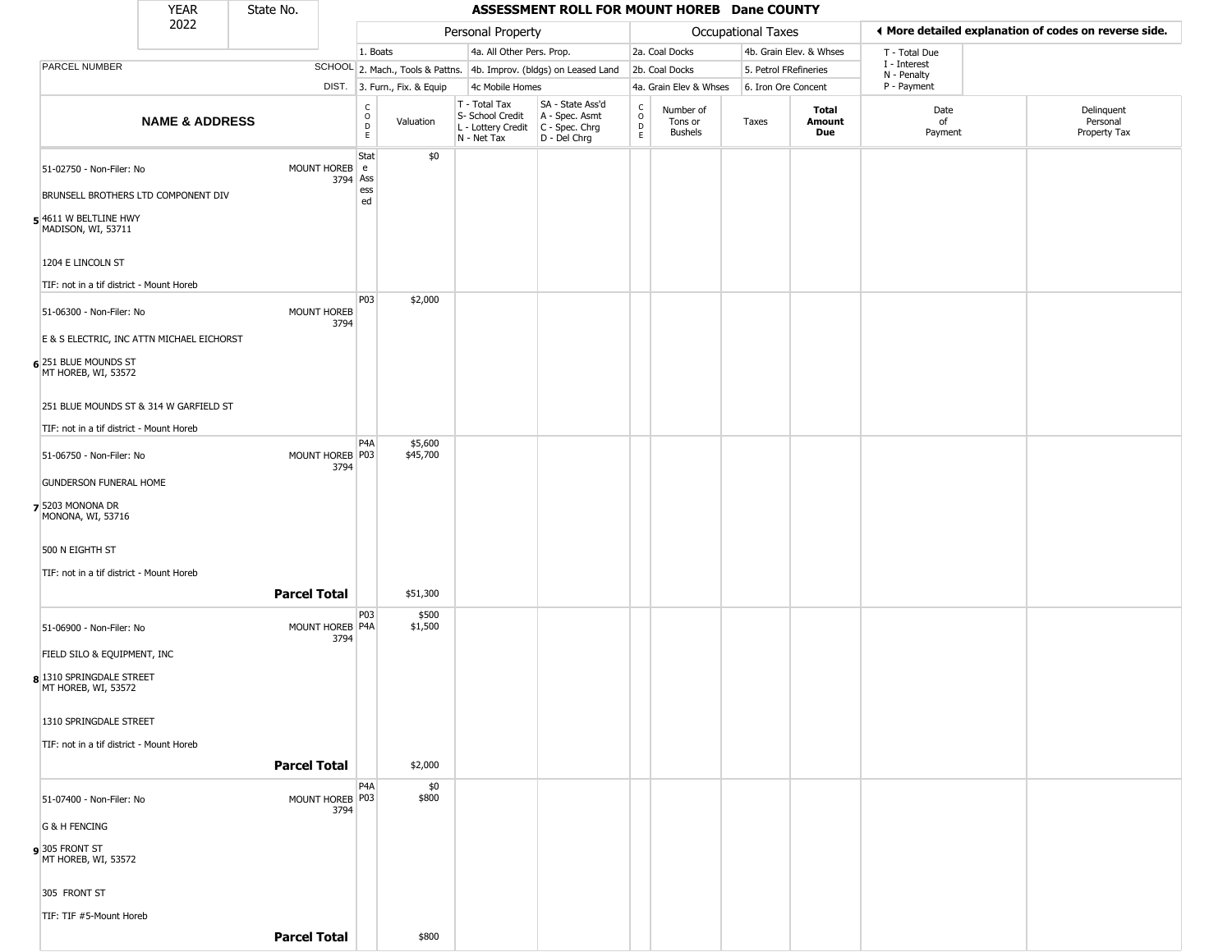|                                                                                                                | <b>YEAR</b>               | State No.           |                         |                                                 |                                                                     |                                                                                         |                                |                  |                                                   | ASSESSMENT ROLL FOR MOUNT HOREB Dane COUNTY |                       |                         |                             |                                                       |
|----------------------------------------------------------------------------------------------------------------|---------------------------|---------------------|-------------------------|-------------------------------------------------|---------------------------------------------------------------------|-----------------------------------------------------------------------------------------|--------------------------------|------------------|---------------------------------------------------|---------------------------------------------|-----------------------|-------------------------|-----------------------------|-------------------------------------------------------|
|                                                                                                                | 2022                      |                     |                         |                                                 |                                                                     | Personal Property                                                                       |                                |                  |                                                   |                                             | Occupational Taxes    |                         |                             | I More detailed explanation of codes on reverse side. |
|                                                                                                                |                           |                     |                         | 1. Boats                                        |                                                                     |                                                                                         | 4a. All Other Pers. Prop.      |                  |                                                   | 2a. Coal Docks                              |                       | 4b. Grain Elev. & Whses | T - Total Due               |                                                       |
| PARCEL NUMBER                                                                                                  |                           |                     |                         |                                                 | SCHOOL 2. Mach., Tools & Pattns. 4b. Improv. (bldgs) on Leased Land |                                                                                         |                                |                  |                                                   | 2b. Coal Docks                              | 5. Petrol FRefineries |                         | I - Interest<br>N - Penalty |                                                       |
|                                                                                                                |                           |                     |                         |                                                 | DIST. 3. Furn., Fix. & Equip                                        | 4c Mobile Homes                                                                         |                                |                  |                                                   | 4a. Grain Elev & Whses                      | 6. Iron Ore Concent   |                         | P - Payment                 |                                                       |
|                                                                                                                | <b>NAME &amp; ADDRESS</b> |                     |                         | $\begin{array}{c} C \\ O \\ D \\ E \end{array}$ | Valuation                                                           | T - Total Tax<br>S- School Credit<br>L - Lottery Credit   C - Spec. Chrg<br>N - Net Tax | A - Spec. Asmt<br>D - Del Chrg | SA - State Ass'd | $\begin{array}{c}\nC \\ O \\ D \\ E\n\end{array}$ | Number of<br>Tons or<br><b>Bushels</b>      | Taxes                 | Total<br>Amount<br>Due  | Date<br>of<br>Payment       | Delinquent<br>Personal<br>Property Tax                |
| 51-02750 - Non-Filer: No<br>BRUNSELL BROTHERS LTD COMPONENT DIV<br>5 4611 W BELTLINE HWY<br>MADISON, WI, 53711 |                           |                     | MOUNT HOREB<br>3794     | Stat<br>l e<br>Ass<br>ess<br>ed                 | \$0                                                                 |                                                                                         |                                |                  |                                                   |                                             |                       |                         |                             |                                                       |
| 1204 E LINCOLN ST<br>TIF: not in a tif district - Mount Horeb                                                  |                           |                     |                         | P03                                             | \$2,000                                                             |                                                                                         |                                |                  |                                                   |                                             |                       |                         |                             |                                                       |
| 51-06300 - Non-Filer: No<br>E & S ELECTRIC, INC ATTN MICHAEL EICHORST                                          |                           |                     | MOUNT HOREB<br>3794     |                                                 |                                                                     |                                                                                         |                                |                  |                                                   |                                             |                       |                         |                             |                                                       |
| 6 251 BLUE MOUNDS ST<br>MT HOREB, WI, 53572                                                                    |                           |                     |                         |                                                 |                                                                     |                                                                                         |                                |                  |                                                   |                                             |                       |                         |                             |                                                       |
| 251 BLUE MOUNDS ST & 314 W GARFIELD ST<br>TIF: not in a tif district - Mount Horeb                             |                           |                     |                         |                                                 |                                                                     |                                                                                         |                                |                  |                                                   |                                             |                       |                         |                             |                                                       |
| 51-06750 - Non-Filer: No                                                                                       |                           |                     | MOUNT HOREB P03<br>3794 | P4A                                             | \$5,600<br>\$45,700                                                 |                                                                                         |                                |                  |                                                   |                                             |                       |                         |                             |                                                       |
| <b>GUNDERSON FUNERAL HOME</b><br>7 5203 MONONA DR<br>MONONA, WI, 53716                                         |                           |                     |                         |                                                 |                                                                     |                                                                                         |                                |                  |                                                   |                                             |                       |                         |                             |                                                       |
| 500 N EIGHTH ST<br>TIF: not in a tif district - Mount Horeb                                                    |                           |                     |                         |                                                 |                                                                     |                                                                                         |                                |                  |                                                   |                                             |                       |                         |                             |                                                       |
|                                                                                                                |                           | <b>Parcel Total</b> |                         |                                                 | \$51,300                                                            |                                                                                         |                                |                  |                                                   |                                             |                       |                         |                             |                                                       |
| 51-06900 - Non-Filer: No<br>FIELD SILO & EQUIPMENT, INC<br>8 1310 SPRINGDALE STREET<br>MT HOREB, WI, 53572     |                           |                     | MOUNT HOREB P4A<br>3794 | P03                                             | \$500<br>\$1,500                                                    |                                                                                         |                                |                  |                                                   |                                             |                       |                         |                             |                                                       |
| 1310 SPRINGDALE STREET<br>TIF: not in a tif district - Mount Horeb                                             |                           |                     |                         |                                                 |                                                                     |                                                                                         |                                |                  |                                                   |                                             |                       |                         |                             |                                                       |
|                                                                                                                |                           | <b>Parcel Total</b> |                         |                                                 | \$2,000                                                             |                                                                                         |                                |                  |                                                   |                                             |                       |                         |                             |                                                       |
| 51-07400 - Non-Filer: No<br><b>G &amp; H FENCING</b>                                                           |                           |                     | MOUNT HOREB P03<br>3794 | P <sub>4</sub> A                                | \$0<br>\$800                                                        |                                                                                         |                                |                  |                                                   |                                             |                       |                         |                             |                                                       |
| 9 305 FRONT ST<br>MT HOREB, WI, 53572                                                                          |                           |                     |                         |                                                 |                                                                     |                                                                                         |                                |                  |                                                   |                                             |                       |                         |                             |                                                       |
| 305 FRONT ST                                                                                                   |                           |                     |                         |                                                 |                                                                     |                                                                                         |                                |                  |                                                   |                                             |                       |                         |                             |                                                       |
| TIF: TIF #5-Mount Horeb                                                                                        |                           |                     |                         |                                                 |                                                                     |                                                                                         |                                |                  |                                                   |                                             |                       |                         |                             |                                                       |

**Parcel Total** \$800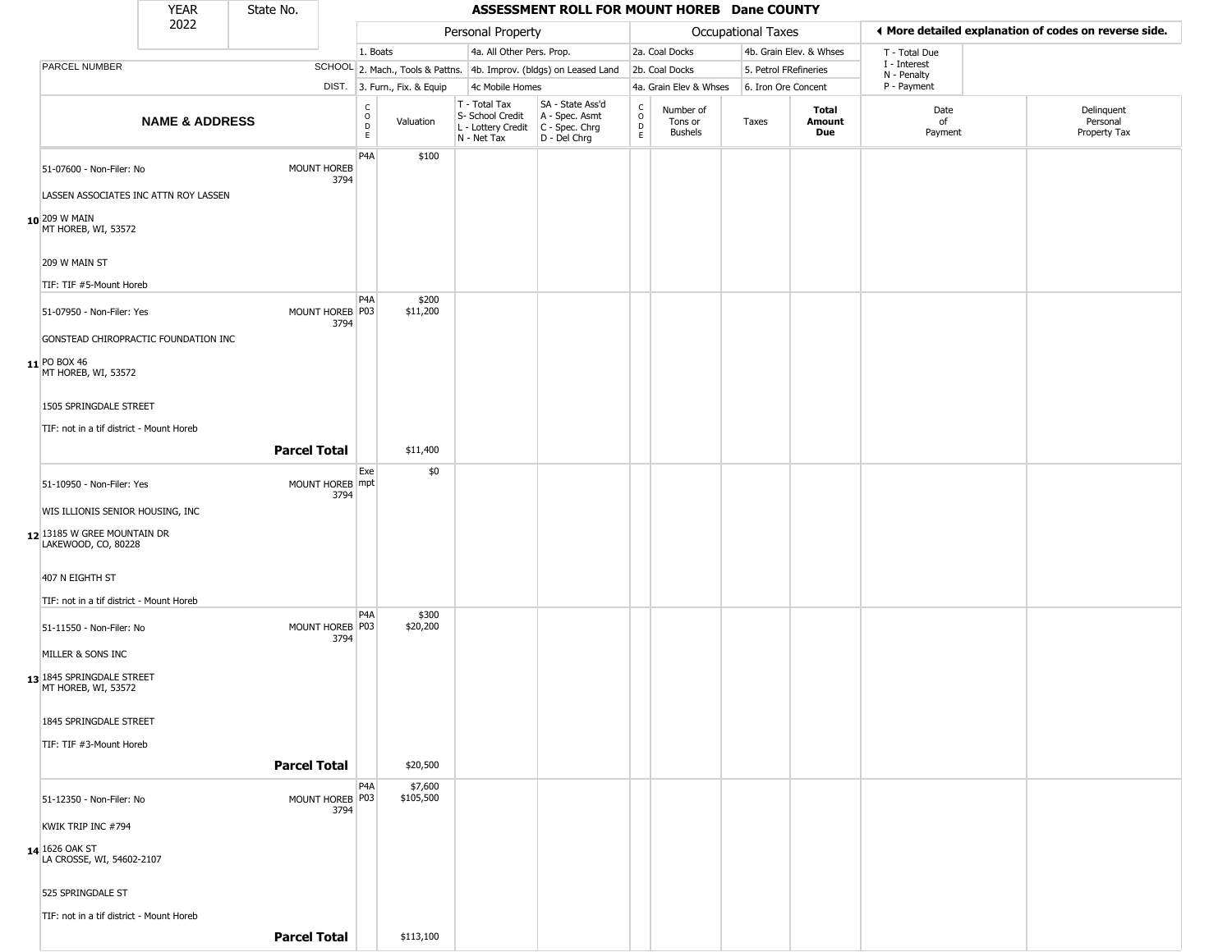|                                                    | <b>YEAR</b>                           | State No.           |                         |                        |                              |                                                  | ASSESSMENT ROLL FOR MOUNT HOREB Dane COUNTY                                               |                                    |                                        |                    |                         |                             |                                                       |
|----------------------------------------------------|---------------------------------------|---------------------|-------------------------|------------------------|------------------------------|--------------------------------------------------|-------------------------------------------------------------------------------------------|------------------------------------|----------------------------------------|--------------------|-------------------------|-----------------------------|-------------------------------------------------------|
|                                                    | 2022                                  |                     |                         |                        |                              | Personal Property                                |                                                                                           |                                    |                                        | Occupational Taxes |                         |                             | ♦ More detailed explanation of codes on reverse side. |
|                                                    |                                       |                     |                         | 1. Boats               |                              | 4a. All Other Pers. Prop.                        |                                                                                           |                                    | 2a. Coal Docks                         |                    | 4b. Grain Elev. & Whses | T - Total Due               |                                                       |
| PARCEL NUMBER                                      |                                       |                     |                         |                        |                              |                                                  | SCHOOL 2. Mach., Tools & Pattns. 4b. Improv. (bldgs) on Leased Land                       |                                    | 2b. Coal Docks                         |                    | 5. Petrol FRefineries   | I - Interest<br>N - Penalty |                                                       |
|                                                    |                                       |                     |                         |                        | DIST. 3. Furn., Fix. & Equip | 4c Mobile Homes                                  |                                                                                           |                                    | 4a. Grain Elev & Whses                 |                    | 6. Iron Ore Concent     | P - Payment                 |                                                       |
|                                                    | <b>NAME &amp; ADDRESS</b>             |                     |                         | C<br>$\circ$<br>D<br>E | Valuation                    | T - Total Tax<br>S- School Credit<br>N - Net Tax | SA - State Ass'd<br>A - Spec. Asmt<br>L - Lottery Credit   C - Spec. Chrg<br>D - Del Chrg | $\int_{0}^{c}$<br>$\mathsf D$<br>E | Number of<br>Tons or<br><b>Bushels</b> | Taxes              | Total<br>Amount<br>Due  | Date<br>of<br>Payment       | Delinquent<br>Personal<br>Property Tax                |
| 51-07600 - Non-Filer: No                           |                                       |                     | MOUNT HOREB<br>3794     | P <sub>4</sub> A       | \$100                        |                                                  |                                                                                           |                                    |                                        |                    |                         |                             |                                                       |
|                                                    | LASSEN ASSOCIATES INC ATTN ROY LASSEN |                     |                         |                        |                              |                                                  |                                                                                           |                                    |                                        |                    |                         |                             |                                                       |
| 10 209 W MAIN<br>MT HOREB, WI, 53572               |                                       |                     |                         |                        |                              |                                                  |                                                                                           |                                    |                                        |                    |                         |                             |                                                       |
| 209 W MAIN ST                                      |                                       |                     |                         |                        |                              |                                                  |                                                                                           |                                    |                                        |                    |                         |                             |                                                       |
| TIF: TIF #5-Mount Horeb                            |                                       |                     |                         | P <sub>4</sub> A       | \$200                        |                                                  |                                                                                           |                                    |                                        |                    |                         |                             |                                                       |
| 51-07950 - Non-Filer: Yes                          |                                       |                     | MOUNT HOREB P03<br>3794 |                        | \$11,200                     |                                                  |                                                                                           |                                    |                                        |                    |                         |                             |                                                       |
| 11 PO BOX 46                                       | GONSTEAD CHIROPRACTIC FOUNDATION INC  |                     |                         |                        |                              |                                                  |                                                                                           |                                    |                                        |                    |                         |                             |                                                       |
| MT HOREB, WI, 53572                                |                                       |                     |                         |                        |                              |                                                  |                                                                                           |                                    |                                        |                    |                         |                             |                                                       |
| 1505 SPRINGDALE STREET                             |                                       |                     |                         |                        |                              |                                                  |                                                                                           |                                    |                                        |                    |                         |                             |                                                       |
| TIF: not in a tif district - Mount Horeb           |                                       |                     |                         |                        |                              |                                                  |                                                                                           |                                    |                                        |                    |                         |                             |                                                       |
|                                                    |                                       | <b>Parcel Total</b> |                         |                        | \$11,400                     |                                                  |                                                                                           |                                    |                                        |                    |                         |                             |                                                       |
| 51-10950 - Non-Filer: Yes                          |                                       |                     | MOUNT HOREB mpt<br>3794 | Exe                    | \$0                          |                                                  |                                                                                           |                                    |                                        |                    |                         |                             |                                                       |
| WIS ILLIONIS SENIOR HOUSING, INC                   |                                       |                     |                         |                        |                              |                                                  |                                                                                           |                                    |                                        |                    |                         |                             |                                                       |
| 12 13185 W GREE MOUNTAIN DR<br>LAKEWOOD, CO, 80228 |                                       |                     |                         |                        |                              |                                                  |                                                                                           |                                    |                                        |                    |                         |                             |                                                       |
| 407 N EIGHTH ST                                    |                                       |                     |                         |                        |                              |                                                  |                                                                                           |                                    |                                        |                    |                         |                             |                                                       |
| TIF: not in a tif district - Mount Horeb           |                                       |                     |                         | P <sub>4</sub> A       | \$300                        |                                                  |                                                                                           |                                    |                                        |                    |                         |                             |                                                       |
| 51-11550 - Non-Filer: No                           |                                       |                     | MOUNT HOREB P03<br>3794 |                        | \$20,200                     |                                                  |                                                                                           |                                    |                                        |                    |                         |                             |                                                       |
| MILLER & SONS INC                                  |                                       |                     |                         |                        |                              |                                                  |                                                                                           |                                    |                                        |                    |                         |                             |                                                       |
| 13 1845 SPRINGDALE STREET<br>MT HOREB, WI, 53572   |                                       |                     |                         |                        |                              |                                                  |                                                                                           |                                    |                                        |                    |                         |                             |                                                       |
| 1845 SPRINGDALE STREET                             |                                       |                     |                         |                        |                              |                                                  |                                                                                           |                                    |                                        |                    |                         |                             |                                                       |
| TIF: TIF #3-Mount Horeb                            |                                       | <b>Parcel Total</b> |                         |                        | \$20,500                     |                                                  |                                                                                           |                                    |                                        |                    |                         |                             |                                                       |
| 51-12350 - Non-Filer: No                           |                                       |                     | MOUNT HOREB P03<br>3794 | P <sub>4</sub> A       | \$7,600<br>\$105,500         |                                                  |                                                                                           |                                    |                                        |                    |                         |                             |                                                       |
| KWIK TRIP INC #794                                 |                                       |                     |                         |                        |                              |                                                  |                                                                                           |                                    |                                        |                    |                         |                             |                                                       |
| 14 1626 OAK ST<br>LA CROSSE, WI, 54602-2107        |                                       |                     |                         |                        |                              |                                                  |                                                                                           |                                    |                                        |                    |                         |                             |                                                       |
| 525 SPRINGDALE ST                                  |                                       |                     |                         |                        |                              |                                                  |                                                                                           |                                    |                                        |                    |                         |                             |                                                       |
| TIF: not in a tif district - Mount Horeb           |                                       |                     |                         |                        |                              |                                                  |                                                                                           |                                    |                                        |                    |                         |                             |                                                       |

**Parcel Total | \$113,100**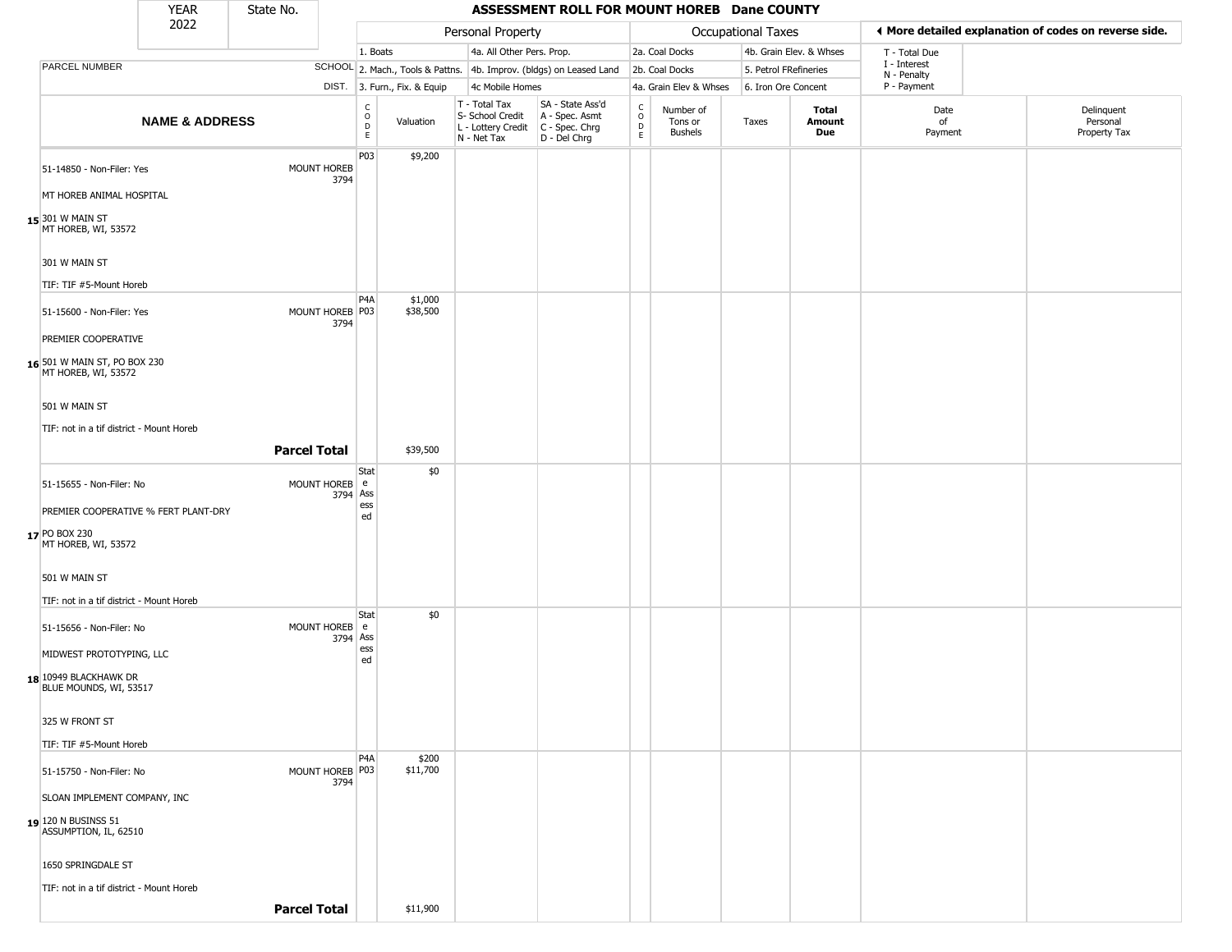|                                                     | <b>YEAR</b>                              | State No.                  |                                   |                              |                                                  | ASSESSMENT ROLL FOR MOUNT HOREB Dane COUNTY                                               |                         |                                 |                       |                         |                             |                                                       |
|-----------------------------------------------------|------------------------------------------|----------------------------|-----------------------------------|------------------------------|--------------------------------------------------|-------------------------------------------------------------------------------------------|-------------------------|---------------------------------|-----------------------|-------------------------|-----------------------------|-------------------------------------------------------|
|                                                     | 2022                                     |                            |                                   |                              | Personal Property                                |                                                                                           |                         |                                 | Occupational Taxes    |                         |                             | ◀ More detailed explanation of codes on reverse side. |
|                                                     |                                          |                            | 1. Boats                          |                              | 4a. All Other Pers. Prop.                        |                                                                                           |                         | 2a. Coal Docks                  |                       | 4b. Grain Elev. & Whses | T - Total Due               |                                                       |
| <b>PARCEL NUMBER</b>                                |                                          |                            |                                   |                              |                                                  | SCHOOL 2. Mach., Tools & Pattns. 4b. Improv. (bldgs) on Leased Land                       |                         | 2b. Coal Docks                  | 5. Petrol FRefineries |                         | I - Interest<br>N - Penalty |                                                       |
|                                                     |                                          |                            |                                   | DIST. 3. Furn., Fix. & Equip | 4c Mobile Homes                                  |                                                                                           |                         | 4a. Grain Elev & Whses          | 6. Iron Ore Concent   |                         | P - Payment                 |                                                       |
|                                                     | <b>NAME &amp; ADDRESS</b>                |                            | $\frac{C}{O}$<br>$\mathsf D$<br>E | Valuation                    | T - Total Tax<br>S- School Credit<br>N - Net Tax | SA - State Ass'd<br>A - Spec. Asmt<br>L - Lottery Credit   C - Spec. Chrg<br>D - Del Chrg | $\frac{c}{0}$<br>D<br>E | Number of<br>Tons or<br>Bushels | Taxes                 | Total<br>Amount<br>Due  | Date<br>of<br>Payment       | Delinquent<br>Personal<br>Property Tax                |
| 51-14850 - Non-Filer: Yes                           |                                          | <b>MOUNT HOREB</b><br>3794 | P03                               | \$9,200                      |                                                  |                                                                                           |                         |                                 |                       |                         |                             |                                                       |
| MT HOREB ANIMAL HOSPITAL                            |                                          |                            |                                   |                              |                                                  |                                                                                           |                         |                                 |                       |                         |                             |                                                       |
| 15 301 W MAIN ST<br>MT HOREB, WI, 53572             |                                          |                            |                                   |                              |                                                  |                                                                                           |                         |                                 |                       |                         |                             |                                                       |
| 301 W MAIN ST                                       |                                          |                            |                                   |                              |                                                  |                                                                                           |                         |                                 |                       |                         |                             |                                                       |
| TIF: TIF #5-Mount Horeb                             |                                          |                            |                                   |                              |                                                  |                                                                                           |                         |                                 |                       |                         |                             |                                                       |
| 51-15600 - Non-Filer: Yes                           |                                          | MOUNT HOREB P03<br>3794    | P <sub>4</sub> A                  | \$1,000<br>\$38,500          |                                                  |                                                                                           |                         |                                 |                       |                         |                             |                                                       |
| PREMIER COOPERATIVE                                 |                                          |                            |                                   |                              |                                                  |                                                                                           |                         |                                 |                       |                         |                             |                                                       |
| 16 501 W MAIN ST, PO BOX 230<br>MT HOREB, WI, 53572 |                                          |                            |                                   |                              |                                                  |                                                                                           |                         |                                 |                       |                         |                             |                                                       |
| 501 W MAIN ST                                       |                                          |                            |                                   |                              |                                                  |                                                                                           |                         |                                 |                       |                         |                             |                                                       |
| TIF: not in a tif district - Mount Horeb            |                                          |                            |                                   |                              |                                                  |                                                                                           |                         |                                 |                       |                         |                             |                                                       |
|                                                     |                                          | <b>Parcel Total</b>        |                                   | \$39,500                     |                                                  |                                                                                           |                         |                                 |                       |                         |                             |                                                       |
| 51-15655 - Non-Filer: No                            |                                          | MOUNT HOREB e              | Stat                              | \$0                          |                                                  |                                                                                           |                         |                                 |                       |                         |                             |                                                       |
|                                                     |                                          |                            | 3794 Ass<br>ess                   |                              |                                                  |                                                                                           |                         |                                 |                       |                         |                             |                                                       |
|                                                     | PREMIER COOPERATIVE % FERT PLANT-DRY     |                            | ed                                |                              |                                                  |                                                                                           |                         |                                 |                       |                         |                             |                                                       |
| 17 PO BOX 230<br>MT HOREB, WI, 53572                |                                          |                            |                                   |                              |                                                  |                                                                                           |                         |                                 |                       |                         |                             |                                                       |
| 501 W MAIN ST                                       |                                          |                            |                                   |                              |                                                  |                                                                                           |                         |                                 |                       |                         |                             |                                                       |
|                                                     | TIF: not in a tif district - Mount Horeb |                            |                                   |                              |                                                  |                                                                                           |                         |                                 |                       |                         |                             |                                                       |
| 51-15656 - Non-Filer: No                            |                                          | MOUNT HOREB e              | Stat<br>3794 Ass                  | \$0                          |                                                  |                                                                                           |                         |                                 |                       |                         |                             |                                                       |
| MIDWEST PROTOTYPING, LLC                            |                                          |                            | ess<br>ed                         |                              |                                                  |                                                                                           |                         |                                 |                       |                         |                             |                                                       |
| 18 10949 BLACKHAWK DR<br>BLUE MOUNDS, WI, 53517     |                                          |                            |                                   |                              |                                                  |                                                                                           |                         |                                 |                       |                         |                             |                                                       |
| 325 W FRONT ST                                      |                                          |                            |                                   |                              |                                                  |                                                                                           |                         |                                 |                       |                         |                             |                                                       |
| TIF: TIF #5-Mount Horeb                             |                                          |                            |                                   |                              |                                                  |                                                                                           |                         |                                 |                       |                         |                             |                                                       |
| 51-15750 - Non-Filer: No                            |                                          | MOUNT HOREB P03<br>3794    | P4A                               | \$200<br>\$11,700            |                                                  |                                                                                           |                         |                                 |                       |                         |                             |                                                       |
| SLOAN IMPLEMENT COMPANY, INC                        |                                          |                            |                                   |                              |                                                  |                                                                                           |                         |                                 |                       |                         |                             |                                                       |
| $19$ 120 N BUSINSS 51<br>ASSUMPTION, IL, 62510      |                                          |                            |                                   |                              |                                                  |                                                                                           |                         |                                 |                       |                         |                             |                                                       |
| 1650 SPRINGDALE ST                                  |                                          |                            |                                   |                              |                                                  |                                                                                           |                         |                                 |                       |                         |                             |                                                       |
|                                                     | TIF: not in a tif district - Mount Horeb |                            |                                   |                              |                                                  |                                                                                           |                         |                                 |                       |                         |                             |                                                       |
|                                                     |                                          | <b>Parcel Total</b>        |                                   | \$11,900                     |                                                  |                                                                                           |                         |                                 |                       |                         |                             |                                                       |
|                                                     |                                          |                            |                                   |                              |                                                  |                                                                                           |                         |                                 |                       |                         |                             |                                                       |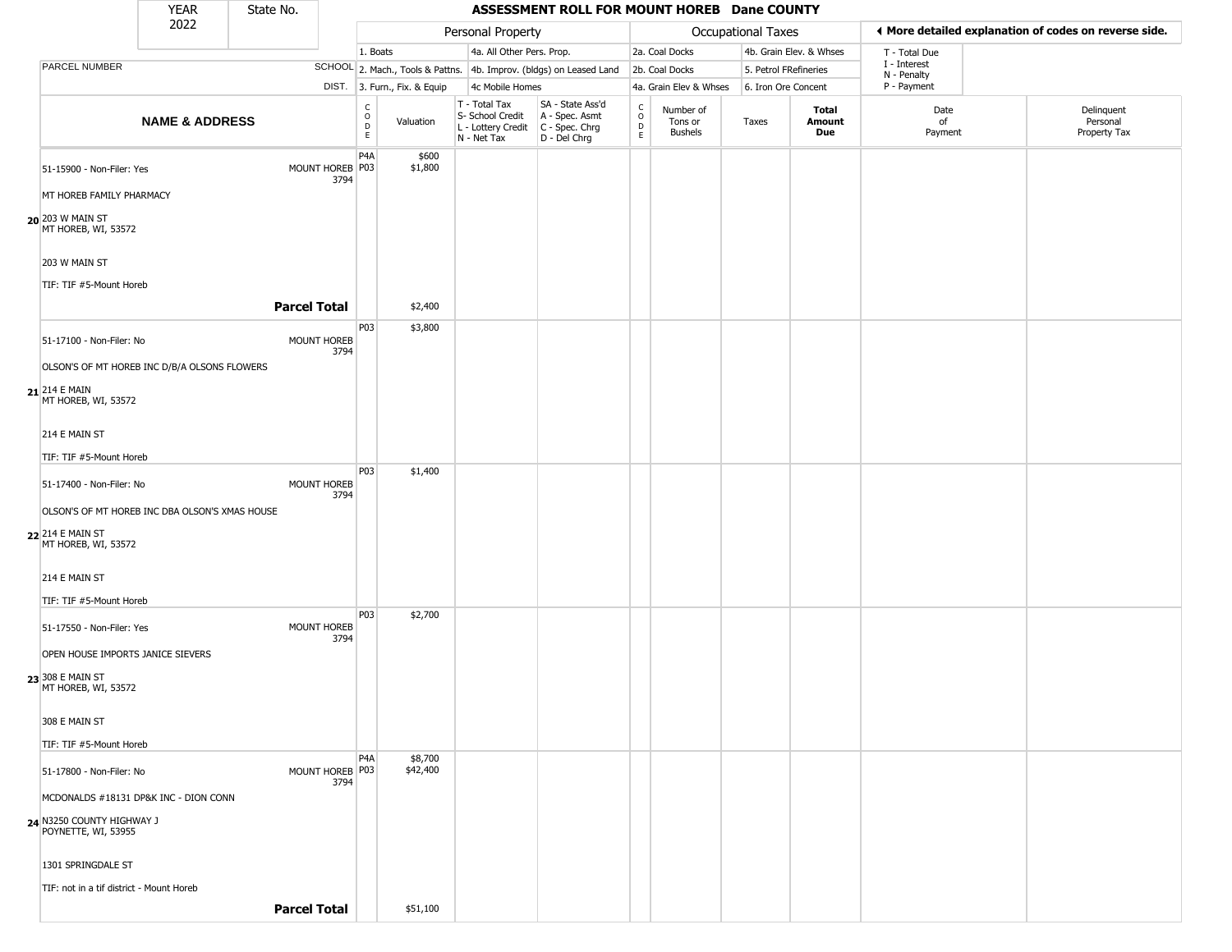|                                                                                        | <b>YEAR</b>               | State No. |                            |                         |                              |                                                                        | ASSESSMENT ROLL FOR MOUNT HOREB Dane COUNTY                            |                                            |                                 |                    |                         |                             |                                                       |
|----------------------------------------------------------------------------------------|---------------------------|-----------|----------------------------|-------------------------|------------------------------|------------------------------------------------------------------------|------------------------------------------------------------------------|--------------------------------------------|---------------------------------|--------------------|-------------------------|-----------------------------|-------------------------------------------------------|
|                                                                                        | 2022                      |           |                            |                         |                              | Personal Property                                                      |                                                                        |                                            |                                 | Occupational Taxes |                         |                             | ◀ More detailed explanation of codes on reverse side. |
|                                                                                        |                           |           |                            | 1. Boats                |                              | 4a. All Other Pers. Prop.                                              |                                                                        |                                            | 2a. Coal Docks                  |                    | 4b. Grain Elev. & Whses | T - Total Due               |                                                       |
| PARCEL NUMBER                                                                          |                           |           |                            |                         |                              |                                                                        | SCHOOL 2. Mach., Tools & Pattns. 4b. Improv. (bldgs) on Leased Land    |                                            | 2b. Coal Docks                  |                    | 5. Petrol FRefineries   | I - Interest<br>N - Penalty |                                                       |
|                                                                                        |                           |           |                            |                         | DIST. 3. Furn., Fix. & Equip | 4c Mobile Homes                                                        |                                                                        |                                            | 4a. Grain Elev & Whses          |                    | 6. Iron Ore Concent     | P - Payment                 |                                                       |
|                                                                                        | <b>NAME &amp; ADDRESS</b> |           |                            | С<br>$\circ$<br>D<br>E. | Valuation                    | T - Total Tax<br>S- School Credit<br>L - Lottery Credit<br>N - Net Tax | SA - State Ass'd<br>A - Spec. Asmt<br>$C - Spec. Chrg$<br>D - Del Chrg | $\begin{array}{c} C \\ 0 \\ E \end{array}$ | Number of<br>Tons or<br>Bushels | Taxes              | Total<br>Amount<br>Due  | Date<br>of<br>Payment       | Delinquent<br>Personal<br>Property Tax                |
| 51-15900 - Non-Filer: Yes<br>MT HOREB FAMILY PHARMACY                                  |                           |           | MOUNT HOREB P03<br>3794    | P <sub>4</sub> A        | \$600<br>\$1,800             |                                                                        |                                                                        |                                            |                                 |                    |                         |                             |                                                       |
| 20 203 W MAIN ST<br>MT HOREB, WI, 53572                                                |                           |           |                            |                         |                              |                                                                        |                                                                        |                                            |                                 |                    |                         |                             |                                                       |
| 203 W MAIN ST<br>TIF: TIF #5-Mount Horeb                                               |                           |           |                            |                         |                              |                                                                        |                                                                        |                                            |                                 |                    |                         |                             |                                                       |
|                                                                                        |                           |           | <b>Parcel Total</b>        |                         | \$2,400                      |                                                                        |                                                                        |                                            |                                 |                    |                         |                             |                                                       |
| 51-17100 - Non-Filer: No                                                               |                           |           | MOUNT HOREB<br>3794        | P03                     | \$3,800                      |                                                                        |                                                                        |                                            |                                 |                    |                         |                             |                                                       |
| OLSON'S OF MT HOREB INC D/B/A OLSONS FLOWERS<br>$21$ 214 E MAIN<br>MT HOREB, WI, 53572 |                           |           |                            |                         |                              |                                                                        |                                                                        |                                            |                                 |                    |                         |                             |                                                       |
| 214 E MAIN ST                                                                          |                           |           |                            |                         |                              |                                                                        |                                                                        |                                            |                                 |                    |                         |                             |                                                       |
| TIF: TIF #5-Mount Horeb                                                                |                           |           |                            |                         |                              |                                                                        |                                                                        |                                            |                                 |                    |                         |                             |                                                       |
| 51-17400 - Non-Filer: No                                                               |                           |           | <b>MOUNT HOREB</b><br>3794 | P03                     | \$1,400                      |                                                                        |                                                                        |                                            |                                 |                    |                         |                             |                                                       |
| OLSON'S OF MT HOREB INC DBA OLSON'S XMAS HOUSE                                         |                           |           |                            |                         |                              |                                                                        |                                                                        |                                            |                                 |                    |                         |                             |                                                       |
| 22 214 E MAIN ST<br>MT HOREB, WI, 53572                                                |                           |           |                            |                         |                              |                                                                        |                                                                        |                                            |                                 |                    |                         |                             |                                                       |
| 214 E MAIN ST                                                                          |                           |           |                            |                         |                              |                                                                        |                                                                        |                                            |                                 |                    |                         |                             |                                                       |
| TIF: TIF #5-Mount Horeb                                                                |                           |           |                            |                         |                              |                                                                        |                                                                        |                                            |                                 |                    |                         |                             |                                                       |
| 51-17550 - Non-Filer: Yes                                                              |                           |           | <b>MOUNT HOREB</b><br>3794 | P <sub>0</sub> 3        | \$2,700                      |                                                                        |                                                                        |                                            |                                 |                    |                         |                             |                                                       |
| OPEN HOUSE IMPORTS JANICE SIEVERS<br>23 308 E MAIN ST<br>MT HOREB, WI, 53572           |                           |           |                            |                         |                              |                                                                        |                                                                        |                                            |                                 |                    |                         |                             |                                                       |
| 308 E MAIN ST                                                                          |                           |           |                            |                         |                              |                                                                        |                                                                        |                                            |                                 |                    |                         |                             |                                                       |
| TIF: TIF #5-Mount Horeb<br>51-17800 - Non-Filer: No                                    |                           |           | MOUNT HOREB P03            | P <sub>4</sub> A        | \$8,700<br>\$42,400          |                                                                        |                                                                        |                                            |                                 |                    |                         |                             |                                                       |
| MCDONALDS #18131 DP&K INC - DION CONN                                                  |                           |           | 3794                       |                         |                              |                                                                        |                                                                        |                                            |                                 |                    |                         |                             |                                                       |
| 24 N3250 COUNTY HIGHWAY J<br>POYNETTE, WI, 53955                                       |                           |           |                            |                         |                              |                                                                        |                                                                        |                                            |                                 |                    |                         |                             |                                                       |
| 1301 SPRINGDALE ST                                                                     |                           |           |                            |                         |                              |                                                                        |                                                                        |                                            |                                 |                    |                         |                             |                                                       |
| TIF: not in a tif district - Mount Horeb                                               |                           |           | <b>Parcel Total</b>        |                         | \$51,100                     |                                                                        |                                                                        |                                            |                                 |                    |                         |                             |                                                       |
|                                                                                        |                           |           |                            |                         |                              |                                                                        |                                                                        |                                            |                                 |                    |                         |                             |                                                       |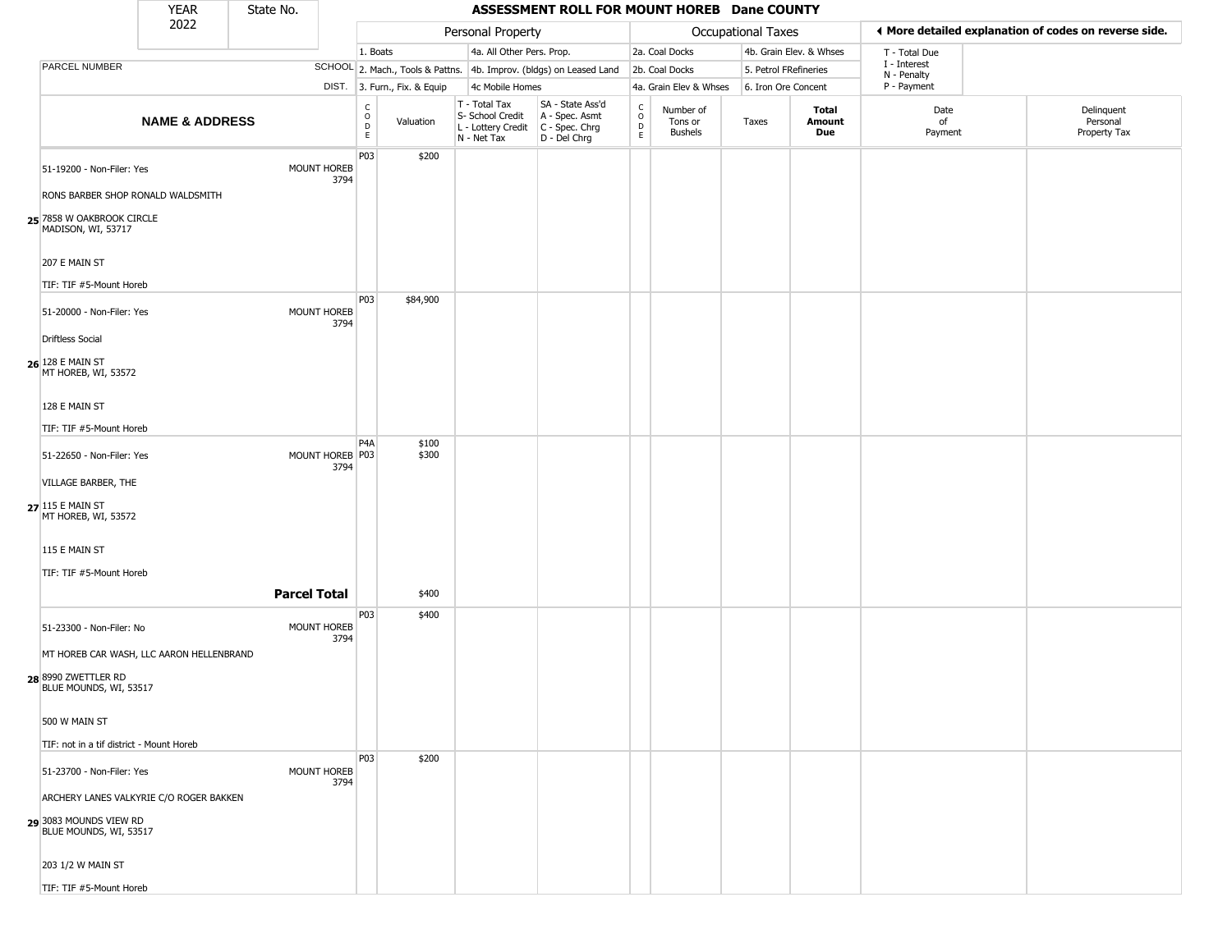|                                                                                      | <b>YEAR</b>               | State No.           |                         |                                       |                              |                                                                        | ASSESSMENT ROLL FOR MOUNT HOREB Dane COUNTY                          |                                              |                                        |                       |                         |                             |                                                       |
|--------------------------------------------------------------------------------------|---------------------------|---------------------|-------------------------|---------------------------------------|------------------------------|------------------------------------------------------------------------|----------------------------------------------------------------------|----------------------------------------------|----------------------------------------|-----------------------|-------------------------|-----------------------------|-------------------------------------------------------|
|                                                                                      | 2022                      |                     |                         |                                       |                              | Personal Property                                                      |                                                                      |                                              |                                        | Occupational Taxes    |                         |                             | ♦ More detailed explanation of codes on reverse side. |
|                                                                                      |                           |                     |                         | 1. Boats                              |                              | 4a. All Other Pers. Prop.                                              |                                                                      |                                              | 2a. Coal Docks                         |                       | 4b. Grain Elev. & Whses | T - Total Due               |                                                       |
| PARCEL NUMBER                                                                        |                           |                     |                         |                                       |                              |                                                                        | SCHOOL 2. Mach., Tools & Pattns. 4b. Improv. (bldgs) on Leased Land  |                                              | 2b. Coal Docks                         | 5. Petrol FRefineries |                         | I - Interest<br>N - Penalty |                                                       |
|                                                                                      |                           |                     |                         |                                       | DIST. 3. Furn., Fix. & Equip | 4c Mobile Homes                                                        |                                                                      |                                              | 4a. Grain Elev & Whses                 | 6. Iron Ore Concent   |                         | P - Payment                 |                                                       |
|                                                                                      | <b>NAME &amp; ADDRESS</b> |                     |                         | $\mathsf{C}$<br>$\overline{O}$<br>$E$ | Valuation                    | T - Total Tax<br>S- School Credit<br>L - Lottery Credit<br>N - Net Tax | SA - State Ass'd<br>A - Spec. Asmt<br>C - Spec. Chrg<br>D - Del Chrg | $\mathsf{C}$<br>$\circ$<br>$\mathsf{D}$<br>E | Number of<br>Tons or<br><b>Bushels</b> | Taxes                 | Total<br>Amount<br>Due  | Date<br>of<br>Payment       | Delinquent<br>Personal<br>Property Tax                |
| 51-19200 - Non-Filer: Yes                                                            |                           |                     | MOUNT HOREB<br>3794     | P03                                   | \$200                        |                                                                        |                                                                      |                                              |                                        |                       |                         |                             |                                                       |
| RONS BARBER SHOP RONALD WALDSMITH<br>25 7858 W OAKBROOK CIRCLE<br>MADISON, WI, 53717 |                           |                     |                         |                                       |                              |                                                                        |                                                                      |                                              |                                        |                       |                         |                             |                                                       |
| 207 E MAIN ST                                                                        |                           |                     |                         |                                       |                              |                                                                        |                                                                      |                                              |                                        |                       |                         |                             |                                                       |
| TIF: TIF #5-Mount Horeb                                                              |                           |                     |                         |                                       |                              |                                                                        |                                                                      |                                              |                                        |                       |                         |                             |                                                       |
| 51-20000 - Non-Filer: Yes                                                            |                           |                     | MOUNT HOREB<br>3794     | P03                                   | \$84,900                     |                                                                        |                                                                      |                                              |                                        |                       |                         |                             |                                                       |
| <b>Driftless Social</b>                                                              |                           |                     |                         |                                       |                              |                                                                        |                                                                      |                                              |                                        |                       |                         |                             |                                                       |
| 26 128 E MAIN ST<br>MT HOREB, WI, 53572                                              |                           |                     |                         |                                       |                              |                                                                        |                                                                      |                                              |                                        |                       |                         |                             |                                                       |
| 128 E MAIN ST                                                                        |                           |                     |                         |                                       |                              |                                                                        |                                                                      |                                              |                                        |                       |                         |                             |                                                       |
| TIF: TIF #5-Mount Horeb                                                              |                           |                     |                         |                                       |                              |                                                                        |                                                                      |                                              |                                        |                       |                         |                             |                                                       |
| 51-22650 - Non-Filer: Yes                                                            |                           |                     | MOUNT HOREB P03<br>3794 | P <sub>4</sub> A                      | \$100<br>\$300               |                                                                        |                                                                      |                                              |                                        |                       |                         |                             |                                                       |
| VILLAGE BARBER, THE                                                                  |                           |                     |                         |                                       |                              |                                                                        |                                                                      |                                              |                                        |                       |                         |                             |                                                       |
| 27 115 E MAIN ST<br>MT HOREB, WI, 53572                                              |                           |                     |                         |                                       |                              |                                                                        |                                                                      |                                              |                                        |                       |                         |                             |                                                       |
| 115 E MAIN ST                                                                        |                           |                     |                         |                                       |                              |                                                                        |                                                                      |                                              |                                        |                       |                         |                             |                                                       |
| TIF: TIF #5-Mount Horeb                                                              |                           |                     |                         |                                       |                              |                                                                        |                                                                      |                                              |                                        |                       |                         |                             |                                                       |
|                                                                                      |                           | <b>Parcel Total</b> |                         |                                       | \$400                        |                                                                        |                                                                      |                                              |                                        |                       |                         |                             |                                                       |
| 51-23300 - Non-Filer: No                                                             |                           |                     | MOUNT HOREB<br>3794     | P03                                   | \$400                        |                                                                        |                                                                      |                                              |                                        |                       |                         |                             |                                                       |
| MT HOREB CAR WASH, LLC AARON HELLENBRAND                                             |                           |                     |                         |                                       |                              |                                                                        |                                                                      |                                              |                                        |                       |                         |                             |                                                       |
| 28 8990 ZWETTLER RD<br>BLUE MOUNDS, WI, 53517                                        |                           |                     |                         |                                       |                              |                                                                        |                                                                      |                                              |                                        |                       |                         |                             |                                                       |
| 500 W MAIN ST                                                                        |                           |                     |                         |                                       |                              |                                                                        |                                                                      |                                              |                                        |                       |                         |                             |                                                       |
| TIF: not in a tif district - Mount Horeb                                             |                           |                     |                         |                                       |                              |                                                                        |                                                                      |                                              |                                        |                       |                         |                             |                                                       |
| 51-23700 - Non-Filer: Yes                                                            |                           |                     | MOUNT HOREB<br>3794     | P03                                   | \$200                        |                                                                        |                                                                      |                                              |                                        |                       |                         |                             |                                                       |
| ARCHERY LANES VALKYRIE C/O ROGER BAKKEN                                              |                           |                     |                         |                                       |                              |                                                                        |                                                                      |                                              |                                        |                       |                         |                             |                                                       |
| 29 3083 MOUNDS VIEW RD<br>BLUE MOUNDS, WI, 53517                                     |                           |                     |                         |                                       |                              |                                                                        |                                                                      |                                              |                                        |                       |                         |                             |                                                       |
| 203 1/2 W MAIN ST                                                                    |                           |                     |                         |                                       |                              |                                                                        |                                                                      |                                              |                                        |                       |                         |                             |                                                       |
| TIF: TIF #5-Mount Horeb                                                              |                           |                     |                         |                                       |                              |                                                                        |                                                                      |                                              |                                        |                       |                         |                             |                                                       |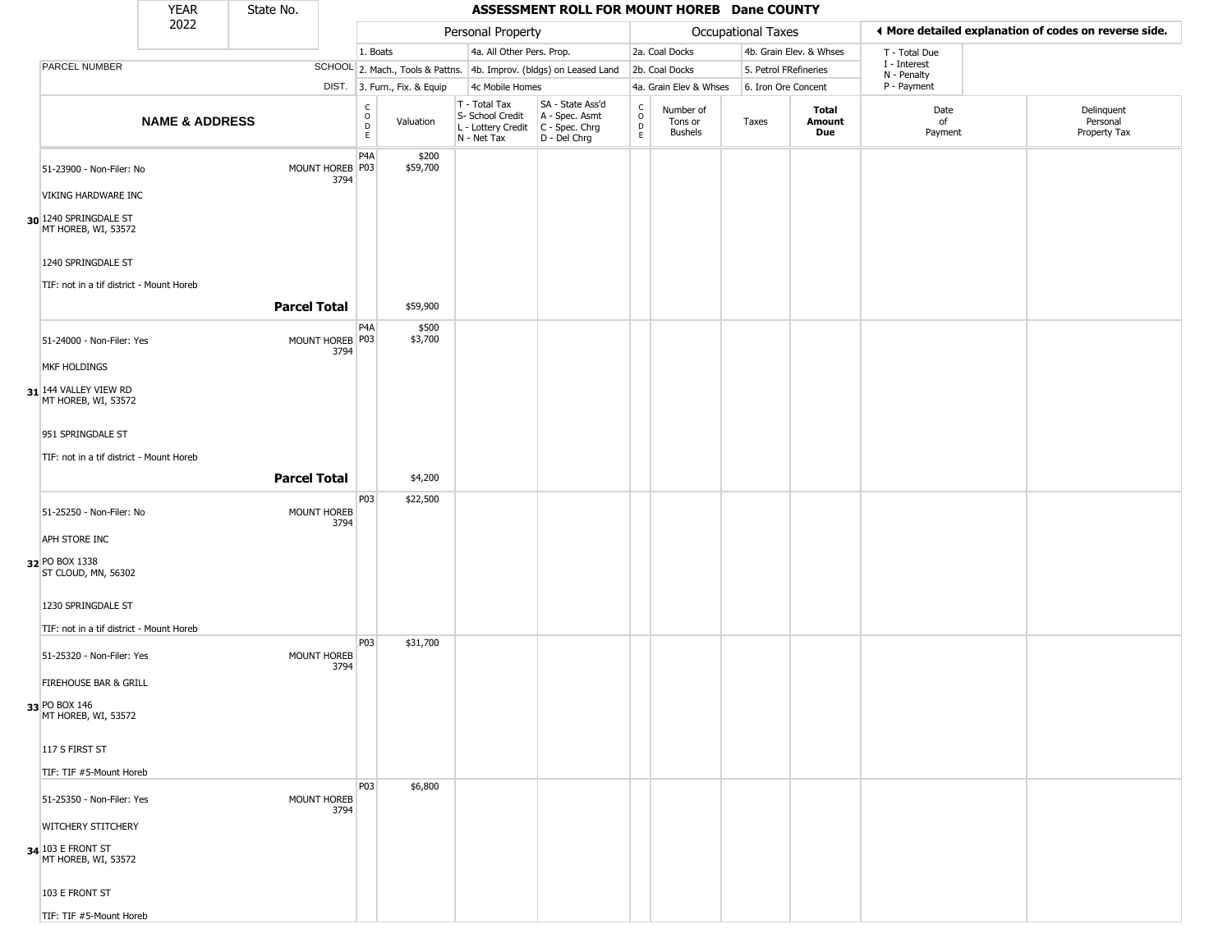|                                                                                                                                                                            | <b>YEAR</b>               | State No. |                                                |                         |                               |                                                                        | ASSESSMENT ROLL FOR MOUNT HOREB Dane COUNTY                          |                        |                                        |                       |                         |                             |                                                       |
|----------------------------------------------------------------------------------------------------------------------------------------------------------------------------|---------------------------|-----------|------------------------------------------------|-------------------------|-------------------------------|------------------------------------------------------------------------|----------------------------------------------------------------------|------------------------|----------------------------------------|-----------------------|-------------------------|-----------------------------|-------------------------------------------------------|
|                                                                                                                                                                            | 2022                      |           |                                                |                         |                               | Personal Property                                                      |                                                                      |                        |                                        | Occupational Taxes    |                         |                             | ♦ More detailed explanation of codes on reverse side. |
|                                                                                                                                                                            |                           |           |                                                | 1. Boats                |                               | 4a. All Other Pers. Prop.                                              |                                                                      |                        | 2a. Coal Docks                         |                       | 4b. Grain Elev. & Whses | T - Total Due               |                                                       |
| <b>PARCEL NUMBER</b>                                                                                                                                                       |                           |           |                                                |                         |                               |                                                                        | SCHOOL 2. Mach., Tools & Pattns. 4b. Improv. (bldgs) on Leased Land  |                        | 2b. Coal Docks                         | 5. Petrol FRefineries |                         | I - Interest<br>N - Penalty |                                                       |
|                                                                                                                                                                            |                           |           |                                                |                         | DIST. 3. Furn., Fix. & Equip  | 4c Mobile Homes                                                        |                                                                      |                        | 4a. Grain Elev & Whses                 | 6. Iron Ore Concent   |                         | P - Payment                 |                                                       |
|                                                                                                                                                                            | <b>NAME &amp; ADDRESS</b> |           |                                                | C<br>$\circ$<br>D<br>E. | Valuation                     | T - Total Tax<br>S- School Credit<br>L - Lottery Credit<br>N - Net Tax | SA - State Ass'd<br>A - Spec. Asmt<br>C - Spec. Chrg<br>D - Del Chrg | C<br>$\circ$<br>D<br>E | Number of<br>Tons or<br><b>Bushels</b> | Taxes                 | Total<br>Amount<br>Due  | Date<br>of<br>Payment       | Delinquent<br>Personal<br>Property Tax                |
| 51-23900 - Non-Filer: No<br>VIKING HARDWARE INC<br>30 1240 SPRINGDALE ST<br>MT HOREB, WI, 53572<br>1240 SPRINGDALE ST<br>TIF: not in a tif district - Mount Horeb          |                           |           | MOUNT HOREB P03<br>3794<br><b>Parcel Total</b> | P <sub>4</sub> A        | \$200<br>\$59,700<br>\$59,900 |                                                                        |                                                                      |                        |                                        |                       |                         |                             |                                                       |
| 51-24000 - Non-Filer: Yes<br>MKF HOLDINGS<br>$31$ 144 VALLEY VIEW RD<br>MT HOREB, WI, 53572<br>951 SPRINGDALE ST<br>TIF: not in a tif district - Mount Horeb               |                           |           | MOUNT HOREB P03<br>3794<br><b>Parcel Total</b> | P4A                     | \$500<br>\$3,700<br>\$4,200   |                                                                        |                                                                      |                        |                                        |                       |                         |                             |                                                       |
|                                                                                                                                                                            |                           |           |                                                | P03                     | \$22,500                      |                                                                        |                                                                      |                        |                                        |                       |                         |                             |                                                       |
| 51-25250 - Non-Filer: No<br>APH STORE INC<br>32 PO BOX 1338<br>ST CLOUD, MN, 56302<br>1230 SPRINGDALE ST<br>TIF: not in a tif district - Mount Horeb                       |                           |           | MOUNT HOREB<br>3794                            |                         |                               |                                                                        |                                                                      |                        |                                        |                       |                         |                             |                                                       |
| 51-25320 - Non-Filer: Yes<br>FIREHOUSE BAR & GRILL<br>33 PO BOX 146<br>MT HOREB, WI, 53572<br>117 S FIRST ST                                                               |                           |           | MOUNT HOREB<br>3794                            | P <sub>0</sub> 3        | \$31,700                      |                                                                        |                                                                      |                        |                                        |                       |                         |                             |                                                       |
| TIF: TIF #5-Mount Horeb<br>51-25350 - Non-Filer: Yes<br><b>WITCHERY STITCHERY</b><br>34 103 E FRONT ST<br>MT HOREB, WI, 53572<br>103 E FRONT ST<br>TIF: TIF #5-Mount Horeb |                           |           | MOUNT HOREB<br>3794                            | P03                     | \$6,800                       |                                                                        |                                                                      |                        |                                        |                       |                         |                             |                                                       |

TIF: TIF #5-Mount Horeb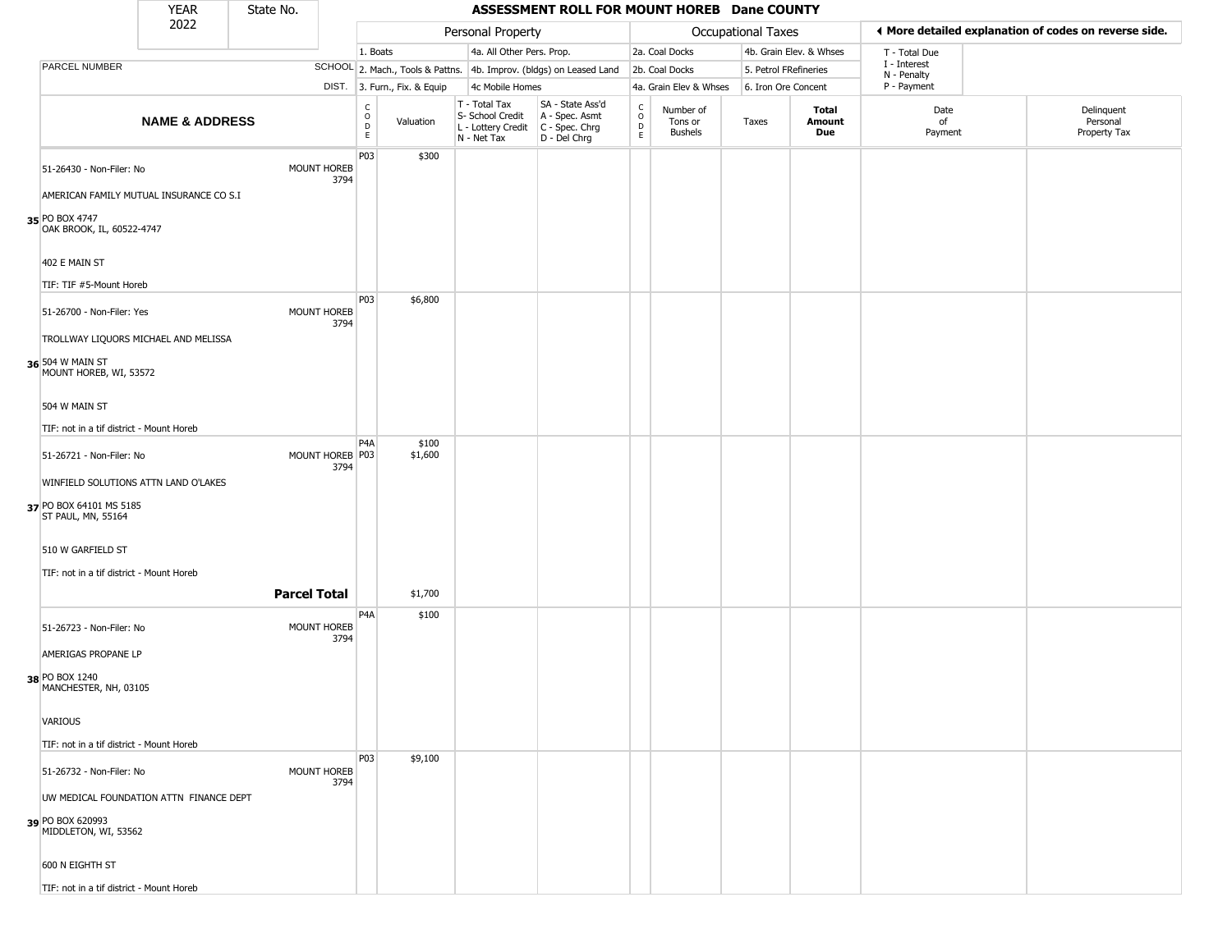|                |                                               | <b>YEAR</b>                             | State No.           |                         |                                                 |                              |                                                                        | ASSESSMENT ROLL FOR MOUNT HOREB Dane COUNTY                            |                                            |                                        |                       |                         |                             |                                                       |
|----------------|-----------------------------------------------|-----------------------------------------|---------------------|-------------------------|-------------------------------------------------|------------------------------|------------------------------------------------------------------------|------------------------------------------------------------------------|--------------------------------------------|----------------------------------------|-----------------------|-------------------------|-----------------------------|-------------------------------------------------------|
|                |                                               | 2022                                    |                     |                         |                                                 |                              | Personal Property                                                      |                                                                        |                                            |                                        | Occupational Taxes    |                         |                             | I More detailed explanation of codes on reverse side. |
|                |                                               |                                         |                     |                         |                                                 | 1. Boats                     | 4a. All Other Pers. Prop.                                              |                                                                        |                                            | 2a. Coal Docks                         |                       | 4b. Grain Elev. & Whses | T - Total Due               |                                                       |
|                | PARCEL NUMBER                                 |                                         |                     |                         |                                                 |                              |                                                                        | SCHOOL 2. Mach., Tools & Pattns. 4b. Improv. (bldgs) on Leased Land    |                                            | 2b. Coal Docks                         | 5. Petrol FRefineries |                         | I - Interest<br>N - Penalty |                                                       |
|                |                                               |                                         |                     |                         |                                                 | DIST. 3. Furn., Fix. & Equip | 4c Mobile Homes                                                        |                                                                        |                                            | 4a. Grain Elev & Whses                 | 6. Iron Ore Concent   |                         | P - Payment                 |                                                       |
|                |                                               | <b>NAME &amp; ADDRESS</b>               |                     |                         | $\begin{array}{c} C \\ O \\ D \\ E \end{array}$ | Valuation                    | T - Total Tax<br>S- School Credit<br>L - Lottery Credit<br>N - Net Tax | SA - State Ass'd<br>A - Spec. Asmt<br>$C - Spec. Chrg$<br>D - Del Chrg | $\begin{array}{c} C \\ 0 \\ E \end{array}$ | Number of<br>Tons or<br><b>Bushels</b> | Taxes                 | Total<br>Amount<br>Due  | Date<br>of<br>Payment       | Delinquent<br>Personal<br>Property Tax                |
|                | 51-26430 - Non-Filer: No                      |                                         |                     | MOUNT HOREB<br>3794     | P03                                             | \$300                        |                                                                        |                                                                        |                                            |                                        |                       |                         |                             |                                                       |
|                |                                               | AMERICAN FAMILY MUTUAL INSURANCE CO S.I |                     |                         |                                                 |                              |                                                                        |                                                                        |                                            |                                        |                       |                         |                             |                                                       |
| 35 PO BOX 4747 | OAK BROOK, IL, 60522-4747                     |                                         |                     |                         |                                                 |                              |                                                                        |                                                                        |                                            |                                        |                       |                         |                             |                                                       |
|                | 402 E MAIN ST                                 |                                         |                     |                         |                                                 |                              |                                                                        |                                                                        |                                            |                                        |                       |                         |                             |                                                       |
|                | TIF: TIF #5-Mount Horeb                       |                                         |                     |                         |                                                 |                              |                                                                        |                                                                        |                                            |                                        |                       |                         |                             |                                                       |
|                | 51-26700 - Non-Filer: Yes                     |                                         |                     | MOUNT HOREB<br>3794     | P03                                             | \$6,800                      |                                                                        |                                                                        |                                            |                                        |                       |                         |                             |                                                       |
|                |                                               | TROLLWAY LIQUORS MICHAEL AND MELISSA    |                     |                         |                                                 |                              |                                                                        |                                                                        |                                            |                                        |                       |                         |                             |                                                       |
|                | 36 504 W MAIN ST<br>MOUNT HOREB, WI, 53572    |                                         |                     |                         |                                                 |                              |                                                                        |                                                                        |                                            |                                        |                       |                         |                             |                                                       |
|                | 504 W MAIN ST                                 |                                         |                     |                         |                                                 |                              |                                                                        |                                                                        |                                            |                                        |                       |                         |                             |                                                       |
|                | TIF: not in a tif district - Mount Horeb      |                                         |                     |                         |                                                 |                              |                                                                        |                                                                        |                                            |                                        |                       |                         |                             |                                                       |
|                | 51-26721 - Non-Filer: No                      |                                         |                     | MOUNT HOREB P03<br>3794 | P <sub>4</sub> A                                | \$100<br>\$1,600             |                                                                        |                                                                        |                                            |                                        |                       |                         |                             |                                                       |
|                |                                               | WINFIELD SOLUTIONS ATTN LAND O'LAKES    |                     |                         |                                                 |                              |                                                                        |                                                                        |                                            |                                        |                       |                         |                             |                                                       |
|                | 37 PO BOX 64101 MS 5185<br>ST PAUL, MN, 55164 |                                         |                     |                         |                                                 |                              |                                                                        |                                                                        |                                            |                                        |                       |                         |                             |                                                       |
|                | 510 W GARFIELD ST                             |                                         |                     |                         |                                                 |                              |                                                                        |                                                                        |                                            |                                        |                       |                         |                             |                                                       |
|                | TIF: not in a tif district - Mount Horeb      |                                         |                     |                         |                                                 |                              |                                                                        |                                                                        |                                            |                                        |                       |                         |                             |                                                       |
|                |                                               |                                         | <b>Parcel Total</b> |                         |                                                 | \$1,700                      |                                                                        |                                                                        |                                            |                                        |                       |                         |                             |                                                       |
|                | 51-26723 - Non-Filer: No                      |                                         |                     | MOUNT HOREB<br>3794     | P4A                                             | \$100                        |                                                                        |                                                                        |                                            |                                        |                       |                         |                             |                                                       |
|                | AMERIGAS PROPANE LP                           |                                         |                     |                         |                                                 |                              |                                                                        |                                                                        |                                            |                                        |                       |                         |                             |                                                       |
| 38 PO BOX 1240 | MANCHESTER, NH, 03105                         |                                         |                     |                         |                                                 |                              |                                                                        |                                                                        |                                            |                                        |                       |                         |                             |                                                       |
| <b>VARIOUS</b> |                                               |                                         |                     |                         |                                                 |                              |                                                                        |                                                                        |                                            |                                        |                       |                         |                             |                                                       |
|                | TIF: not in a tif district - Mount Horeb      |                                         |                     |                         |                                                 |                              |                                                                        |                                                                        |                                            |                                        |                       |                         |                             |                                                       |
|                | 51-26732 - Non-Filer: No                      |                                         |                     | MOUNT HOREB<br>3794     | P03                                             | \$9,100                      |                                                                        |                                                                        |                                            |                                        |                       |                         |                             |                                                       |
|                |                                               | UW MEDICAL FOUNDATION ATTN FINANCE DEPT |                     |                         |                                                 |                              |                                                                        |                                                                        |                                            |                                        |                       |                         |                             |                                                       |
|                | 39 PO BOX 620993<br>MIDDLETON, WI, 53562      |                                         |                     |                         |                                                 |                              |                                                                        |                                                                        |                                            |                                        |                       |                         |                             |                                                       |

600 N EIGHTH ST

TIF: not in a tif district - Mount Horeb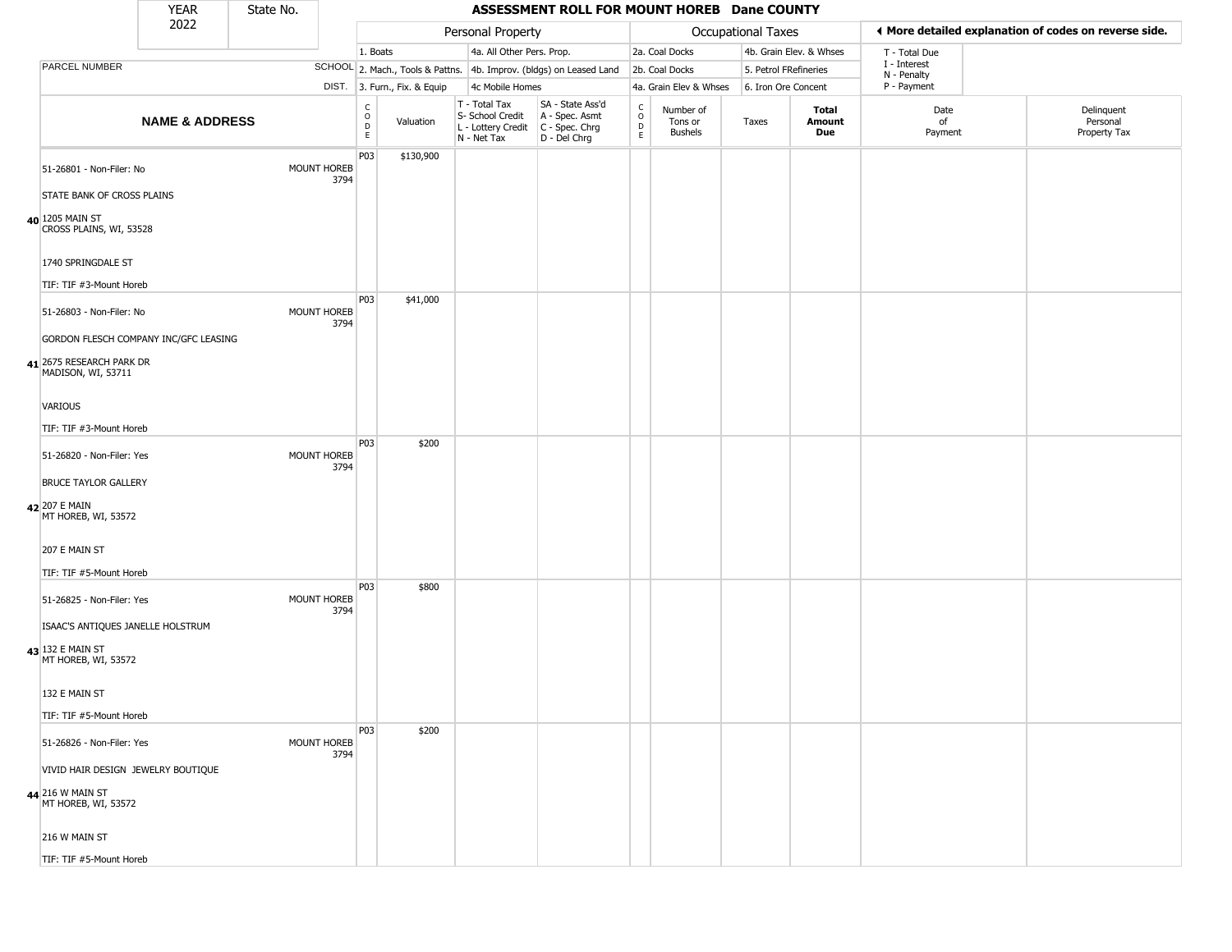|                                                                   | <b>YEAR</b>               | State No. |                            |                                                |                              |                                                                                       | ASSESSMENT ROLL FOR MOUNT HOREB Dane COUNTY                         |                                     |                                        |                       |                         |                             |                                                       |
|-------------------------------------------------------------------|---------------------------|-----------|----------------------------|------------------------------------------------|------------------------------|---------------------------------------------------------------------------------------|---------------------------------------------------------------------|-------------------------------------|----------------------------------------|-----------------------|-------------------------|-----------------------------|-------------------------------------------------------|
|                                                                   | 2022                      |           |                            |                                                |                              | Personal Property                                                                     |                                                                     |                                     |                                        | Occupational Taxes    |                         |                             | I More detailed explanation of codes on reverse side. |
|                                                                   |                           |           |                            | 1. Boats                                       |                              | 4a. All Other Pers. Prop.                                                             |                                                                     |                                     | 2a. Coal Docks                         |                       | 4b. Grain Elev. & Whses | T - Total Due               |                                                       |
| PARCEL NUMBER                                                     |                           |           |                            |                                                |                              |                                                                                       | SCHOOL 2. Mach., Tools & Pattns. 4b. Improv. (bldgs) on Leased Land |                                     | 2b. Coal Docks                         | 5. Petrol FRefineries |                         | I - Interest<br>N - Penalty |                                                       |
|                                                                   |                           |           |                            |                                                | DIST. 3. Furn., Fix. & Equip | 4c Mobile Homes                                                                       |                                                                     |                                     | 4a. Grain Elev & Whses                 | 6. Iron Ore Concent   |                         | P - Payment                 |                                                       |
|                                                                   | <b>NAME &amp; ADDRESS</b> |           |                            | $\begin{matrix} 0 \\ 0 \\ D \end{matrix}$<br>E | Valuation                    | T - Total Tax<br>S- School Credit<br>L - Lottery Credit C - Spec. Chrg<br>N - Net Tax | SA - State Ass'd<br>A - Spec. Asmt<br>D - Del Chrg                  | $\int_{0}^{c}$<br>$\mathsf{D}$<br>E | Number of<br>Tons or<br><b>Bushels</b> | Taxes                 | Total<br>Amount<br>Due  | Date<br>of<br>Payment       | Delinquent<br>Personal<br>Property Tax                |
| 51-26801 - Non-Filer: No                                          |                           |           | MOUNT HOREB<br>3794        | P03                                            | \$130,900                    |                                                                                       |                                                                     |                                     |                                        |                       |                         |                             |                                                       |
| STATE BANK OF CROSS PLAINS                                        |                           |           |                            |                                                |                              |                                                                                       |                                                                     |                                     |                                        |                       |                         |                             |                                                       |
| 40 1205 MAIN ST<br>CROSS PLAINS, WI, 53528                        |                           |           |                            |                                                |                              |                                                                                       |                                                                     |                                     |                                        |                       |                         |                             |                                                       |
| 1740 SPRINGDALE ST                                                |                           |           |                            |                                                |                              |                                                                                       |                                                                     |                                     |                                        |                       |                         |                             |                                                       |
| TIF: TIF #3-Mount Horeb                                           |                           |           |                            | P03                                            | \$41,000                     |                                                                                       |                                                                     |                                     |                                        |                       |                         |                             |                                                       |
| 51-26803 - Non-Filer: No                                          |                           |           | <b>MOUNT HOREB</b><br>3794 |                                                |                              |                                                                                       |                                                                     |                                     |                                        |                       |                         |                             |                                                       |
| GORDON FLESCH COMPANY INC/GFC LEASING<br>41 2675 RESEARCH PARK DR |                           |           |                            |                                                |                              |                                                                                       |                                                                     |                                     |                                        |                       |                         |                             |                                                       |
| MADISON, WI, 53711                                                |                           |           |                            |                                                |                              |                                                                                       |                                                                     |                                     |                                        |                       |                         |                             |                                                       |
| VARIOUS                                                           |                           |           |                            |                                                |                              |                                                                                       |                                                                     |                                     |                                        |                       |                         |                             |                                                       |
| TIF: TIF #3-Mount Horeb                                           |                           |           |                            |                                                |                              |                                                                                       |                                                                     |                                     |                                        |                       |                         |                             |                                                       |
| 51-26820 - Non-Filer: Yes                                         |                           |           | <b>MOUNT HOREB</b><br>3794 | P03                                            | \$200                        |                                                                                       |                                                                     |                                     |                                        |                       |                         |                             |                                                       |
| <b>BRUCE TAYLOR GALLERY</b>                                       |                           |           |                            |                                                |                              |                                                                                       |                                                                     |                                     |                                        |                       |                         |                             |                                                       |
| 42 207 E MAIN<br>MT HOREB, WI, 53572                              |                           |           |                            |                                                |                              |                                                                                       |                                                                     |                                     |                                        |                       |                         |                             |                                                       |
| 207 E MAIN ST                                                     |                           |           |                            |                                                |                              |                                                                                       |                                                                     |                                     |                                        |                       |                         |                             |                                                       |
| TIF: TIF #5-Mount Horeb                                           |                           |           |                            |                                                |                              |                                                                                       |                                                                     |                                     |                                        |                       |                         |                             |                                                       |
| 51-26825 - Non-Filer: Yes                                         |                           |           | <b>MOUNT HOREB</b><br>3794 | P03                                            | \$800                        |                                                                                       |                                                                     |                                     |                                        |                       |                         |                             |                                                       |
| ISAAC'S ANTIQUES JANELLE HOLSTRUM                                 |                           |           |                            |                                                |                              |                                                                                       |                                                                     |                                     |                                        |                       |                         |                             |                                                       |
| 43 132 E MAIN ST<br>MT HOREB, WI, 53572                           |                           |           |                            |                                                |                              |                                                                                       |                                                                     |                                     |                                        |                       |                         |                             |                                                       |
| 132 E MAIN ST                                                     |                           |           |                            |                                                |                              |                                                                                       |                                                                     |                                     |                                        |                       |                         |                             |                                                       |
| TIF: TIF #5-Mount Horeb                                           |                           |           |                            |                                                |                              |                                                                                       |                                                                     |                                     |                                        |                       |                         |                             |                                                       |
| 51-26826 - Non-Filer: Yes                                         |                           |           | MOUNT HOREB<br>3794        | P03                                            | \$200                        |                                                                                       |                                                                     |                                     |                                        |                       |                         |                             |                                                       |
| VIVID HAIR DESIGN JEWELRY BOUTIQUE                                |                           |           |                            |                                                |                              |                                                                                       |                                                                     |                                     |                                        |                       |                         |                             |                                                       |
| 44 216 W MAIN ST<br>MT HOREB, WI, 53572                           |                           |           |                            |                                                |                              |                                                                                       |                                                                     |                                     |                                        |                       |                         |                             |                                                       |
| 216 W MAIN ST                                                     |                           |           |                            |                                                |                              |                                                                                       |                                                                     |                                     |                                        |                       |                         |                             |                                                       |

TIF: TIF #5-Mount Horeb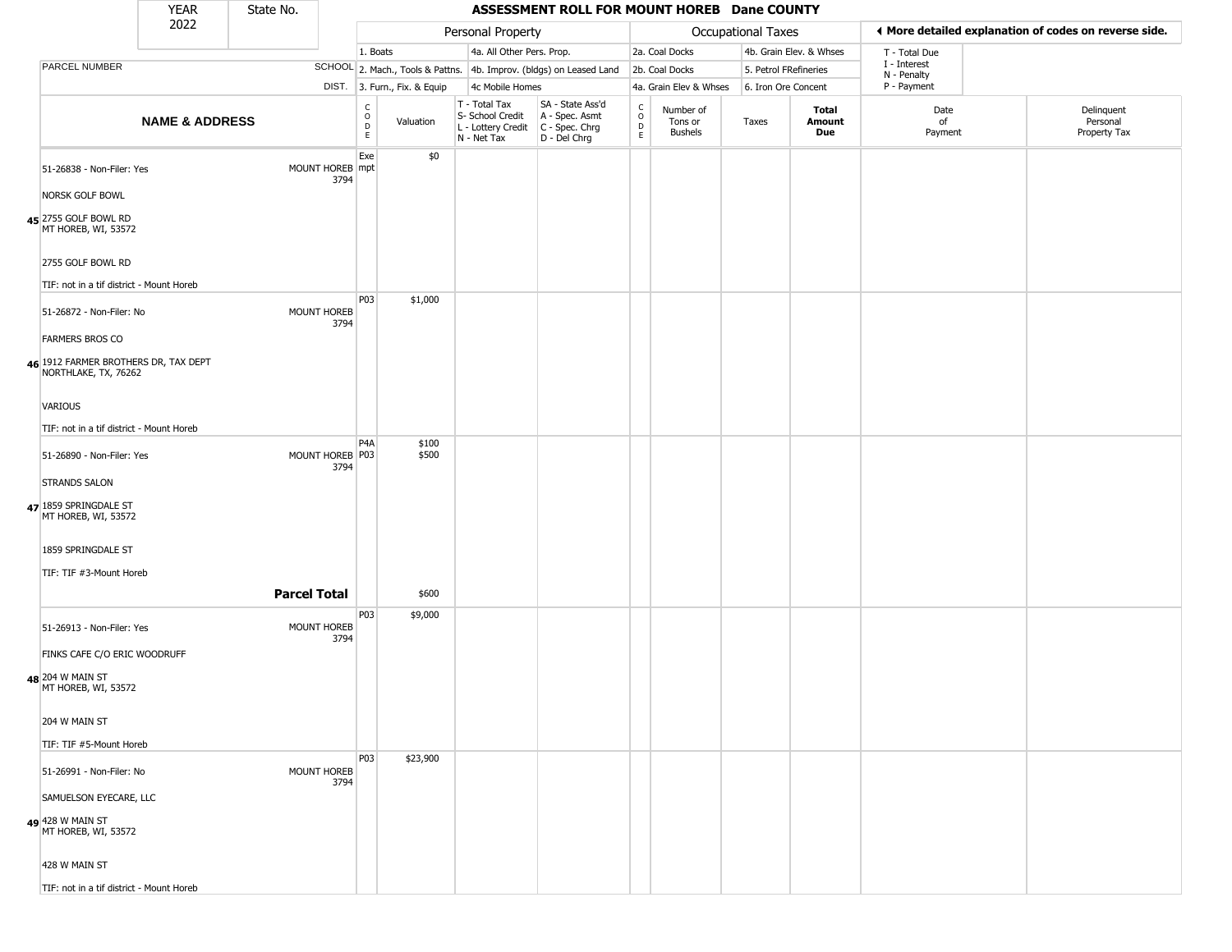|                                                              | <b>YEAR</b>               | State No.           |                         |                                |                              |                                                  | ASSESSMENT ROLL FOR MOUNT HOREB Dane COUNTY                                               |                                   |                                        |                       |                         |                             |                                                       |
|--------------------------------------------------------------|---------------------------|---------------------|-------------------------|--------------------------------|------------------------------|--------------------------------------------------|-------------------------------------------------------------------------------------------|-----------------------------------|----------------------------------------|-----------------------|-------------------------|-----------------------------|-------------------------------------------------------|
|                                                              | 2022                      |                     |                         |                                |                              | Personal Property                                |                                                                                           |                                   |                                        | Occupational Taxes    |                         |                             | ♦ More detailed explanation of codes on reverse side. |
|                                                              |                           |                     |                         | 1. Boats                       |                              | 4a. All Other Pers. Prop.                        |                                                                                           |                                   | 2a. Coal Docks                         |                       | 4b. Grain Elev. & Whses | T - Total Due               |                                                       |
| PARCEL NUMBER                                                |                           |                     |                         |                                |                              |                                                  | SCHOOL 2. Mach., Tools & Pattns. 4b. Improv. (bldgs) on Leased Land                       |                                   | 2b. Coal Docks                         | 5. Petrol FRefineries |                         | I - Interest<br>N - Penalty |                                                       |
|                                                              |                           |                     |                         |                                | DIST. 3. Furn., Fix. & Equip | 4c Mobile Homes                                  |                                                                                           |                                   | 4a. Grain Elev & Whses                 | 6. Iron Ore Concent   |                         | P - Payment                 |                                                       |
|                                                              | <b>NAME &amp; ADDRESS</b> |                     |                         | $\frac{c}{0}$<br>$\frac{D}{E}$ | Valuation                    | T - Total Tax<br>S- School Credit<br>N - Net Tax | SA - State Ass'd<br>A - Spec. Asmt<br>L - Lottery Credit   C - Spec. Chrg<br>D - Del Chrg | C<br>$\circ$<br>$\mathsf{D}$<br>E | Number of<br>Tons or<br><b>Bushels</b> | Taxes                 | Total<br>Amount<br>Due  | Date<br>of<br>Payment       | Delinquent<br>Personal<br>Property Tax                |
| 51-26838 - Non-Filer: Yes                                    |                           |                     | MOUNT HOREB mpt<br>3794 | Exe                            | \$0                          |                                                  |                                                                                           |                                   |                                        |                       |                         |                             |                                                       |
| <b>NORSK GOLF BOWL</b>                                       |                           |                     |                         |                                |                              |                                                  |                                                                                           |                                   |                                        |                       |                         |                             |                                                       |
| 45 <sup>2755</sup> GOLF BOWL RD<br>MT HOREB, WI, 53572       |                           |                     |                         |                                |                              |                                                  |                                                                                           |                                   |                                        |                       |                         |                             |                                                       |
| 2755 GOLF BOWL RD                                            |                           |                     |                         |                                |                              |                                                  |                                                                                           |                                   |                                        |                       |                         |                             |                                                       |
| TIF: not in a tif district - Mount Horeb                     |                           |                     |                         |                                |                              |                                                  |                                                                                           |                                   |                                        |                       |                         |                             |                                                       |
| 51-26872 - Non-Filer: No                                     |                           | MOUNT HOREB         | 3794                    | P03                            | \$1,000                      |                                                  |                                                                                           |                                   |                                        |                       |                         |                             |                                                       |
| <b>FARMERS BROS CO</b>                                       |                           |                     |                         |                                |                              |                                                  |                                                                                           |                                   |                                        |                       |                         |                             |                                                       |
| 46 1912 FARMER BROTHERS DR, TAX DEPT<br>NORTHLAKE, TX, 76262 |                           |                     |                         |                                |                              |                                                  |                                                                                           |                                   |                                        |                       |                         |                             |                                                       |
| VARIOUS                                                      |                           |                     |                         |                                |                              |                                                  |                                                                                           |                                   |                                        |                       |                         |                             |                                                       |
| TIF: not in a tif district - Mount Horeb                     |                           |                     |                         |                                |                              |                                                  |                                                                                           |                                   |                                        |                       |                         |                             |                                                       |
| 51-26890 - Non-Filer: Yes                                    |                           | MOUNT HOREB P03     | 3794                    | P <sub>4</sub> A               | \$100<br>\$500               |                                                  |                                                                                           |                                   |                                        |                       |                         |                             |                                                       |
| <b>STRANDS SALON</b>                                         |                           |                     |                         |                                |                              |                                                  |                                                                                           |                                   |                                        |                       |                         |                             |                                                       |
| 47 1859 SPRINGDALE ST<br>MT HOREB, WI, 53572                 |                           |                     |                         |                                |                              |                                                  |                                                                                           |                                   |                                        |                       |                         |                             |                                                       |
| 1859 SPRINGDALE ST                                           |                           |                     |                         |                                |                              |                                                  |                                                                                           |                                   |                                        |                       |                         |                             |                                                       |
| TIF: TIF #3-Mount Horeb                                      |                           |                     |                         |                                |                              |                                                  |                                                                                           |                                   |                                        |                       |                         |                             |                                                       |
|                                                              |                           | <b>Parcel Total</b> |                         |                                | \$600                        |                                                  |                                                                                           |                                   |                                        |                       |                         |                             |                                                       |
| 51-26913 - Non-Filer: Yes                                    |                           | MOUNT HOREB         |                         | P03                            | \$9,000                      |                                                  |                                                                                           |                                   |                                        |                       |                         |                             |                                                       |
| FINKS CAFE C/O ERIC WOODRUFF                                 |                           |                     | 3794                    |                                |                              |                                                  |                                                                                           |                                   |                                        |                       |                         |                             |                                                       |
| 48 204 W MAIN ST<br>MT HOREB, WI, 53572                      |                           |                     |                         |                                |                              |                                                  |                                                                                           |                                   |                                        |                       |                         |                             |                                                       |
| 204 W MAIN ST                                                |                           |                     |                         |                                |                              |                                                  |                                                                                           |                                   |                                        |                       |                         |                             |                                                       |
| TIF: TIF #5-Mount Horeb                                      |                           |                     |                         |                                |                              |                                                  |                                                                                           |                                   |                                        |                       |                         |                             |                                                       |
| 51-26991 - Non-Filer: No                                     |                           | MOUNT HOREB         | 3794                    | <b>P03</b>                     | \$23,900                     |                                                  |                                                                                           |                                   |                                        |                       |                         |                             |                                                       |
| SAMUELSON EYECARE, LLC                                       |                           |                     |                         |                                |                              |                                                  |                                                                                           |                                   |                                        |                       |                         |                             |                                                       |
| 428 W MAIN ST<br>MT HOREB, WI, 53572                         |                           |                     |                         |                                |                              |                                                  |                                                                                           |                                   |                                        |                       |                         |                             |                                                       |
| 428 W MAIN ST                                                |                           |                     |                         |                                |                              |                                                  |                                                                                           |                                   |                                        |                       |                         |                             |                                                       |
| TIF: not in a tif district - Mount Horeb                     |                           |                     |                         |                                |                              |                                                  |                                                                                           |                                   |                                        |                       |                         |                             |                                                       |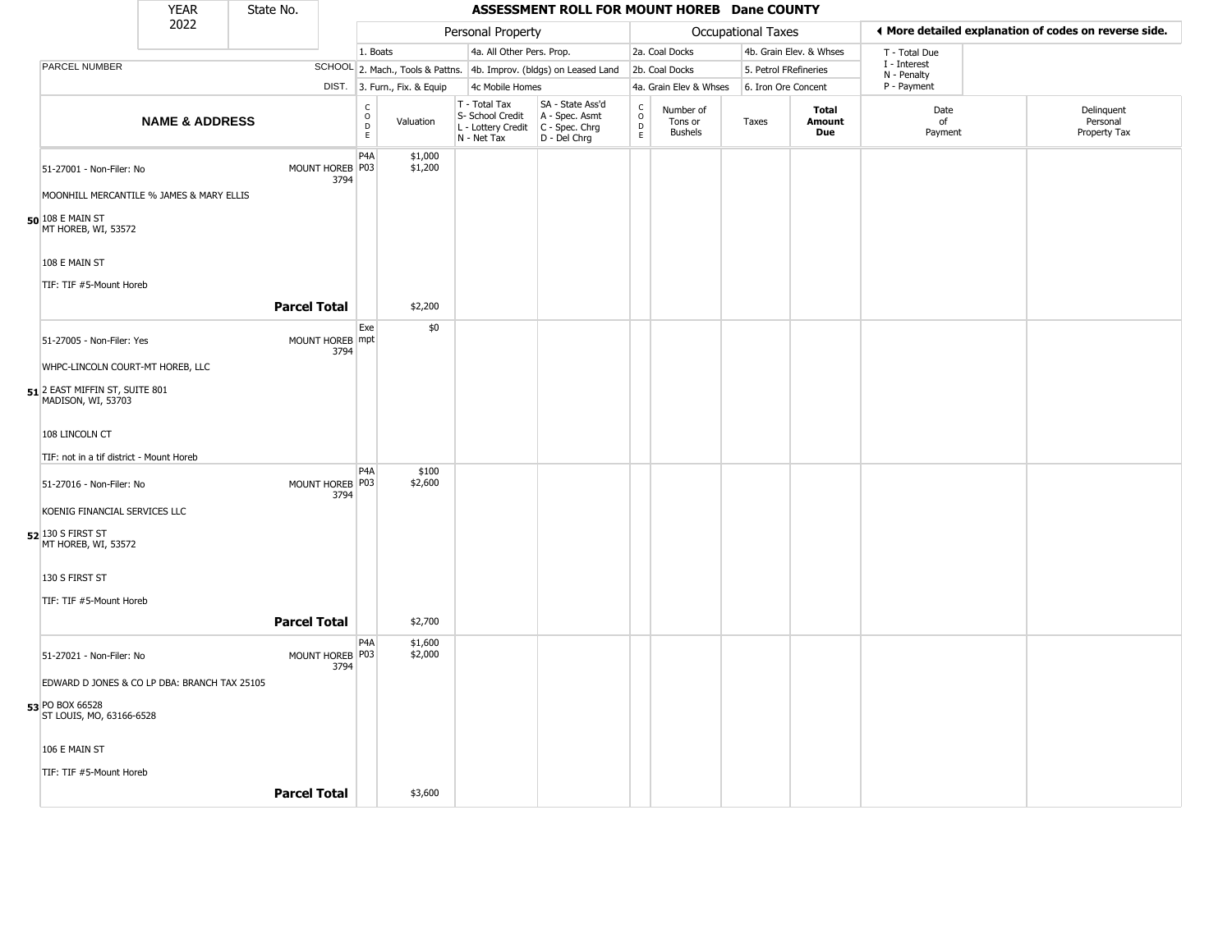|                                                                      | <b>YEAR</b>               | State No.           |                           |                            |                              |                                                                                                          | ASSESSMENT ROLL FOR MOUNT HOREB Dane COUNTY                         |                                  |                                        |                    |                         |                             |                                                       |
|----------------------------------------------------------------------|---------------------------|---------------------|---------------------------|----------------------------|------------------------------|----------------------------------------------------------------------------------------------------------|---------------------------------------------------------------------|----------------------------------|----------------------------------------|--------------------|-------------------------|-----------------------------|-------------------------------------------------------|
|                                                                      | 2022                      |                     |                           |                            |                              | Personal Property                                                                                        |                                                                     |                                  |                                        | Occupational Taxes |                         |                             | ◀ More detailed explanation of codes on reverse side. |
|                                                                      |                           |                     |                           | 1. Boats                   |                              | 4a. All Other Pers. Prop.                                                                                |                                                                     |                                  | 2a. Coal Docks                         |                    | 4b. Grain Elev. & Whses | T - Total Due               |                                                       |
| PARCEL NUMBER                                                        |                           |                     |                           |                            |                              |                                                                                                          | SCHOOL 2. Mach., Tools & Pattns. 4b. Improv. (bldgs) on Leased Land |                                  | 2b. Coal Docks                         |                    | 5. Petrol FRefineries   | I - Interest<br>N - Penalty |                                                       |
|                                                                      |                           |                     |                           |                            | DIST. 3. Furn., Fix. & Equip | 4c Mobile Homes                                                                                          |                                                                     |                                  | 4a. Grain Elev & Whses                 |                    | 6. Iron Ore Concent     | P - Payment                 |                                                       |
|                                                                      | <b>NAME &amp; ADDRESS</b> |                     |                           | c<br>$\mathsf O$<br>D<br>E | Valuation                    | T - Total Tax<br>S- School Credit   A - Spec. Asmt<br>L - Lottery Credit   C - Spec. Chrg<br>N - Net Tax | SA - State Ass'd<br>D - Del Chrg                                    | C<br>$\circ$<br>$\mathsf D$<br>E | Number of<br>Tons or<br><b>Bushels</b> | Taxes              | Total<br>Amount<br>Due  | Date<br>of<br>Payment       | Delinquent<br>Personal<br>Property Tax                |
| 51-27001 - Non-Filer: No<br>MOONHILL MERCANTILE % JAMES & MARY ELLIS |                           |                     | MOUNT HOREB   P03<br>3794 | P <sub>4</sub> A           | \$1,000<br>\$1,200           |                                                                                                          |                                                                     |                                  |                                        |                    |                         |                             |                                                       |
| $50$ 108 E MAIN ST<br>MT HOREB, WI, 53572                            |                           |                     |                           |                            |                              |                                                                                                          |                                                                     |                                  |                                        |                    |                         |                             |                                                       |
| 108 E MAIN ST                                                        |                           |                     |                           |                            |                              |                                                                                                          |                                                                     |                                  |                                        |                    |                         |                             |                                                       |
| TIF: TIF #5-Mount Horeb                                              |                           | <b>Parcel Total</b> |                           |                            | \$2,200                      |                                                                                                          |                                                                     |                                  |                                        |                    |                         |                             |                                                       |
|                                                                      |                           |                     |                           | Exe                        | \$0                          |                                                                                                          |                                                                     |                                  |                                        |                    |                         |                             |                                                       |
| 51-27005 - Non-Filer: Yes                                            |                           |                     | MOUNT HOREB mpt<br>3794   |                            |                              |                                                                                                          |                                                                     |                                  |                                        |                    |                         |                             |                                                       |
| WHPC-LINCOLN COURT-MT HOREB, LLC                                     |                           |                     |                           |                            |                              |                                                                                                          |                                                                     |                                  |                                        |                    |                         |                             |                                                       |
| 51 2 EAST MIFFIN ST, SUITE 801<br>MADISON, WI, 53703                 |                           |                     |                           |                            |                              |                                                                                                          |                                                                     |                                  |                                        |                    |                         |                             |                                                       |
| 108 LINCOLN CT                                                       |                           |                     |                           |                            |                              |                                                                                                          |                                                                     |                                  |                                        |                    |                         |                             |                                                       |
| TIF: not in a tif district - Mount Horeb                             |                           |                     |                           |                            |                              |                                                                                                          |                                                                     |                                  |                                        |                    |                         |                             |                                                       |
| 51-27016 - Non-Filer: No                                             |                           |                     | MOUNT HOREB P03<br>3794   | P <sub>4</sub> A           | \$100<br>\$2,600             |                                                                                                          |                                                                     |                                  |                                        |                    |                         |                             |                                                       |
| KOENIG FINANCIAL SERVICES LLC                                        |                           |                     |                           |                            |                              |                                                                                                          |                                                                     |                                  |                                        |                    |                         |                             |                                                       |
| $52$ 130 S FIRST ST<br>MT HOREB, WI, 53572                           |                           |                     |                           |                            |                              |                                                                                                          |                                                                     |                                  |                                        |                    |                         |                             |                                                       |
| 130 S FIRST ST                                                       |                           |                     |                           |                            |                              |                                                                                                          |                                                                     |                                  |                                        |                    |                         |                             |                                                       |
| TIF: TIF #5-Mount Horeb                                              |                           |                     |                           |                            |                              |                                                                                                          |                                                                     |                                  |                                        |                    |                         |                             |                                                       |
|                                                                      |                           | <b>Parcel Total</b> |                           |                            | \$2,700                      |                                                                                                          |                                                                     |                                  |                                        |                    |                         |                             |                                                       |
| 51-27021 - Non-Filer: No                                             |                           |                     | MOUNT HOREB   P03<br>3794 | P <sub>4</sub> A           | \$1,600<br>\$2,000           |                                                                                                          |                                                                     |                                  |                                        |                    |                         |                             |                                                       |
| EDWARD D JONES & CO LP DBA: BRANCH TAX 25105                         |                           |                     |                           |                            |                              |                                                                                                          |                                                                     |                                  |                                        |                    |                         |                             |                                                       |
| 53 PO BOX 66528<br>ST LOUIS, MO, 63166-6528                          |                           |                     |                           |                            |                              |                                                                                                          |                                                                     |                                  |                                        |                    |                         |                             |                                                       |
| 106 E MAIN ST                                                        |                           |                     |                           |                            |                              |                                                                                                          |                                                                     |                                  |                                        |                    |                         |                             |                                                       |
| TIF: TIF #5-Mount Horeb                                              |                           |                     |                           |                            |                              |                                                                                                          |                                                                     |                                  |                                        |                    |                         |                             |                                                       |
|                                                                      |                           | <b>Parcel Total</b> |                           |                            | \$3,600                      |                                                                                                          |                                                                     |                                  |                                        |                    |                         |                             |                                                       |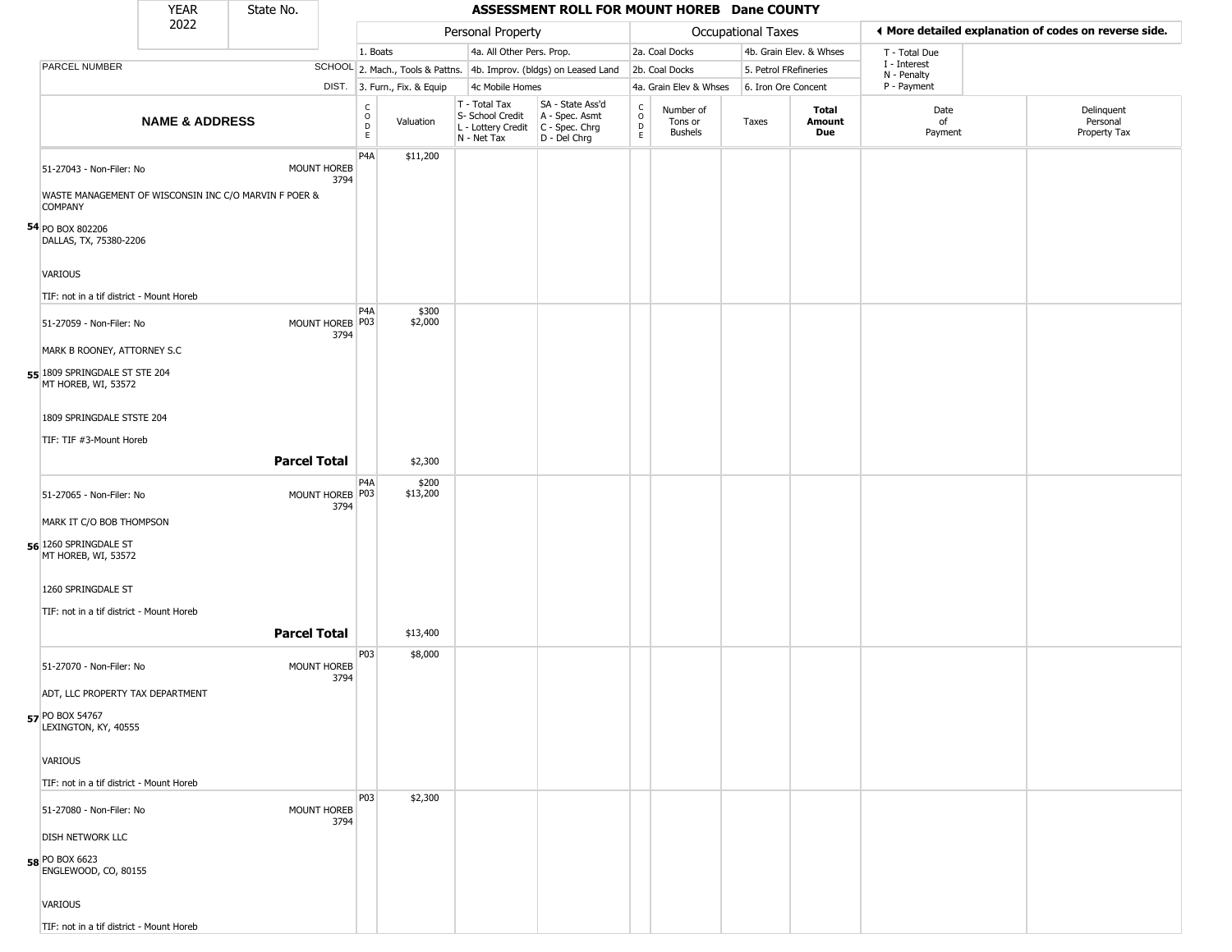|                                                                          | <b>YEAR</b>                                           | State No.           |                            |                                                                    |                              |             |                                   | ASSESSMENT ROLL FOR MOUNT HOREB Dane COUNTY                                               |                                   |                                        |                           |                         |                                                       |                                        |  |
|--------------------------------------------------------------------------|-------------------------------------------------------|---------------------|----------------------------|--------------------------------------------------------------------|------------------------------|-------------|-----------------------------------|-------------------------------------------------------------------------------------------|-----------------------------------|----------------------------------------|---------------------------|-------------------------|-------------------------------------------------------|----------------------------------------|--|
|                                                                          | 2022                                                  |                     |                            |                                                                    |                              |             | Personal Property                 |                                                                                           |                                   |                                        | <b>Occupational Taxes</b> |                         | I More detailed explanation of codes on reverse side. |                                        |  |
|                                                                          |                                                       |                     |                            | 1. Boats                                                           |                              |             | 4a. All Other Pers. Prop.         |                                                                                           |                                   | 2a. Coal Docks                         |                           | 4b. Grain Elev. & Whses | T - Total Due                                         |                                        |  |
| PARCEL NUMBER                                                            |                                                       |                     |                            |                                                                    |                              |             |                                   | SCHOOL 2. Mach., Tools & Pattns. 4b. Improv. (bldgs) on Leased Land                       |                                   | 2b. Coal Docks                         | 5. Petrol FRefineries     |                         | I - Interest<br>N - Penalty                           |                                        |  |
|                                                                          |                                                       |                     |                            |                                                                    | DIST. 3. Furn., Fix. & Equip |             | 4c Mobile Homes                   |                                                                                           |                                   | 4a. Grain Elev & Whses                 | 6. Iron Ore Concent       |                         | P - Payment                                           |                                        |  |
|                                                                          | <b>NAME &amp; ADDRESS</b>                             |                     |                            | $\begin{smallmatrix} C \\ O \\ D \end{smallmatrix}$<br>$\mathsf E$ | Valuation                    | N - Net Tax | T - Total Tax<br>S- School Credit | SA - State Ass'd<br>A - Spec. Asmt<br>L - Lottery Credit   C - Spec. Chrg<br>D - Del Chrg | C<br>$\circ$<br>$\mathsf{D}$<br>E | Number of<br>Tons or<br><b>Bushels</b> | Taxes                     | Total<br>Amount<br>Due  | Date<br>of<br>Payment                                 | Delinquent<br>Personal<br>Property Tax |  |
| 51-27043 - Non-Filer: No<br><b>COMPANY</b>                               | WASTE MANAGEMENT OF WISCONSIN INC C/O MARVIN F POER & |                     | <b>MOUNT HOREB</b><br>3794 | P <sub>4</sub> A                                                   | \$11,200                     |             |                                   |                                                                                           |                                   |                                        |                           |                         |                                                       |                                        |  |
| 54 PO BOX 802206<br>DALLAS, TX, 75380-2206<br>VARIOUS                    |                                                       |                     |                            |                                                                    |                              |             |                                   |                                                                                           |                                   |                                        |                           |                         |                                                       |                                        |  |
|                                                                          | TIF: not in a tif district - Mount Horeb              |                     |                            |                                                                    |                              |             |                                   |                                                                                           |                                   |                                        |                           |                         |                                                       |                                        |  |
| 51-27059 - Non-Filer: No                                                 | MARK B ROONEY, ATTORNEY S.C                           |                     | MOUNT HOREB P03<br>3794    | P <sub>4</sub> A                                                   | \$300<br>\$2,000             |             |                                   |                                                                                           |                                   |                                        |                           |                         |                                                       |                                        |  |
| 55 1809 SPRINGDALE ST STE 204<br>MT HOREB, WI, 53572                     |                                                       |                     |                            |                                                                    |                              |             |                                   |                                                                                           |                                   |                                        |                           |                         |                                                       |                                        |  |
| 1809 SPRINGDALE STSTE 204<br>TIF: TIF #3-Mount Horeb                     |                                                       |                     |                            |                                                                    |                              |             |                                   |                                                                                           |                                   |                                        |                           |                         |                                                       |                                        |  |
|                                                                          |                                                       | <b>Parcel Total</b> |                            |                                                                    | \$2,300                      |             |                                   |                                                                                           |                                   |                                        |                           |                         |                                                       |                                        |  |
| 51-27065 - Non-Filer: No                                                 |                                                       |                     | MOUNT HOREB P03<br>3794    | P4A                                                                | \$200<br>\$13,200            |             |                                   |                                                                                           |                                   |                                        |                           |                         |                                                       |                                        |  |
| MARK IT C/O BOB THOMPSON<br>56 1260 SPRINGDALE ST<br>MT HOREB, WI, 53572 |                                                       |                     |                            |                                                                    |                              |             |                                   |                                                                                           |                                   |                                        |                           |                         |                                                       |                                        |  |
| 1260 SPRINGDALE ST                                                       |                                                       |                     |                            |                                                                    |                              |             |                                   |                                                                                           |                                   |                                        |                           |                         |                                                       |                                        |  |
|                                                                          | TIF: not in a tif district - Mount Horeb              | <b>Parcel Total</b> |                            |                                                                    | \$13,400                     |             |                                   |                                                                                           |                                   |                                        |                           |                         |                                                       |                                        |  |
|                                                                          |                                                       |                     |                            | P03                                                                | \$8,000                      |             |                                   |                                                                                           |                                   |                                        |                           |                         |                                                       |                                        |  |
| 51-27070 - Non-Filer: No                                                 |                                                       |                     | <b>MOUNT HOREB</b><br>3794 |                                                                    |                              |             |                                   |                                                                                           |                                   |                                        |                           |                         |                                                       |                                        |  |
|                                                                          | ADT, LLC PROPERTY TAX DEPARTMENT                      |                     |                            |                                                                    |                              |             |                                   |                                                                                           |                                   |                                        |                           |                         |                                                       |                                        |  |
| 57 PO BOX 54767<br>LEXINGTON, KY, 40555                                  |                                                       |                     |                            |                                                                    |                              |             |                                   |                                                                                           |                                   |                                        |                           |                         |                                                       |                                        |  |
| <b>VARIOUS</b>                                                           |                                                       |                     |                            |                                                                    |                              |             |                                   |                                                                                           |                                   |                                        |                           |                         |                                                       |                                        |  |
|                                                                          | TIF: not in a tif district - Mount Horeb              |                     |                            |                                                                    |                              |             |                                   |                                                                                           |                                   |                                        |                           |                         |                                                       |                                        |  |
| 51-27080 - Non-Filer: No                                                 |                                                       |                     | MOUNT HOREB<br>3794        | <b>P03</b>                                                         | \$2,300                      |             |                                   |                                                                                           |                                   |                                        |                           |                         |                                                       |                                        |  |
| <b>DISH NETWORK LLC</b><br>58 PO BOX 6623<br>ENGLEWOOD, CO, 80155        |                                                       |                     |                            |                                                                    |                              |             |                                   |                                                                                           |                                   |                                        |                           |                         |                                                       |                                        |  |
| <b>VARIOUS</b>                                                           |                                                       |                     |                            |                                                                    |                              |             |                                   |                                                                                           |                                   |                                        |                           |                         |                                                       |                                        |  |
|                                                                          | TIF: not in a tif district - Mount Horeb              |                     |                            |                                                                    |                              |             |                                   |                                                                                           |                                   |                                        |                           |                         |                                                       |                                        |  |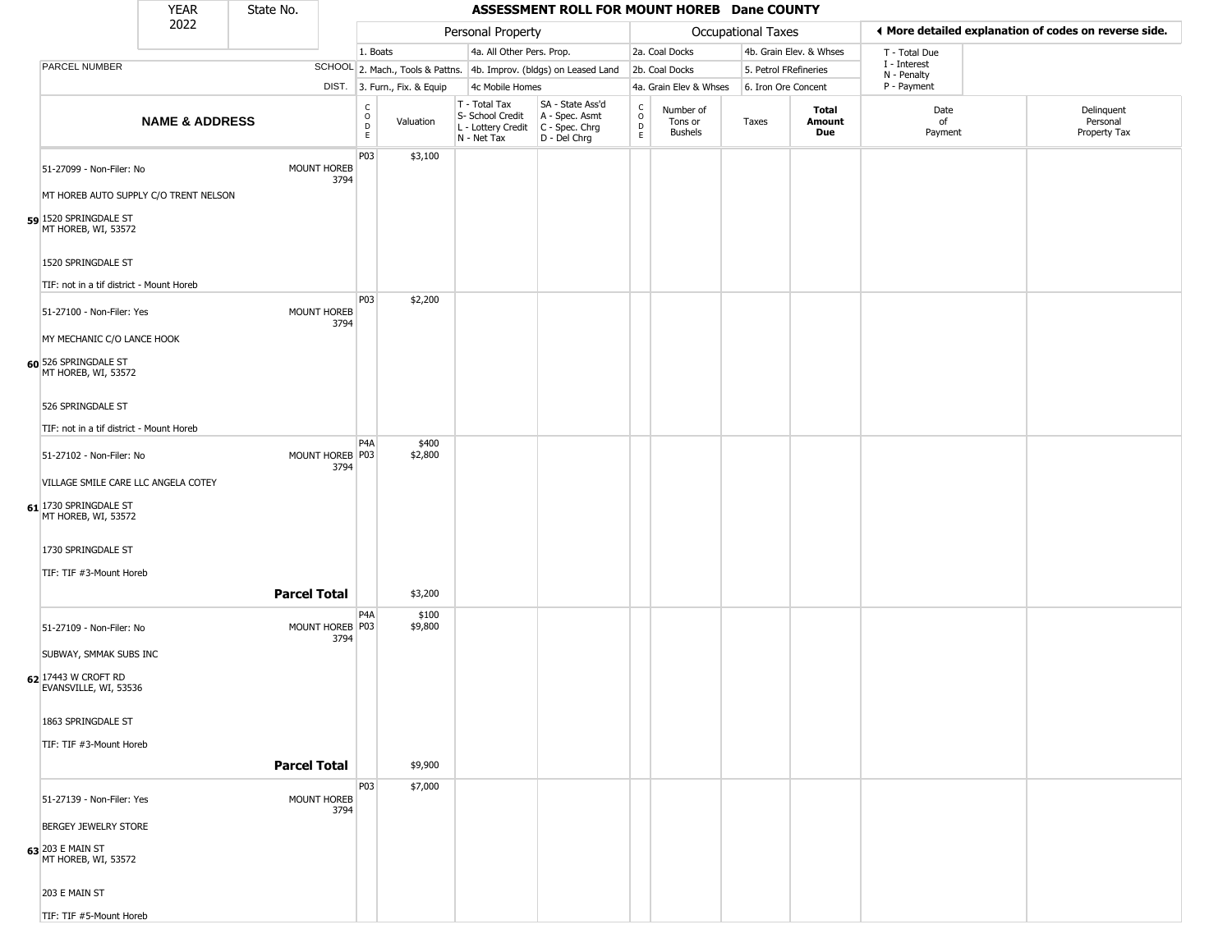|                                              | <b>YEAR</b>                           | State No.                 |                                             |                              |                                                  | ASSESSMENT ROLL FOR MOUNT HOREB Dane COUNTY                                               |                                                 |                                 |                       |                         |                             |                                                       |
|----------------------------------------------|---------------------------------------|---------------------------|---------------------------------------------|------------------------------|--------------------------------------------------|-------------------------------------------------------------------------------------------|-------------------------------------------------|---------------------------------|-----------------------|-------------------------|-----------------------------|-------------------------------------------------------|
|                                              | 2022                                  |                           |                                             |                              | Personal Property                                |                                                                                           |                                                 |                                 | Occupational Taxes    |                         |                             | ◀ More detailed explanation of codes on reverse side. |
|                                              |                                       |                           | 1. Boats                                    |                              | 4a. All Other Pers. Prop.                        |                                                                                           |                                                 | 2a. Coal Docks                  |                       | 4b. Grain Elev. & Whses | T - Total Due               |                                                       |
| PARCEL NUMBER                                |                                       |                           |                                             |                              |                                                  | SCHOOL 2. Mach., Tools & Pattns. 4b. Improv. (bldgs) on Leased Land                       |                                                 | 2b. Coal Docks                  | 5. Petrol FRefineries |                         | I - Interest<br>N - Penalty |                                                       |
|                                              |                                       |                           |                                             | DIST. 3. Furn., Fix. & Equip | 4c Mobile Homes                                  |                                                                                           |                                                 | 4a. Grain Elev & Whses          | 6. Iron Ore Concent   |                         | P - Payment                 |                                                       |
|                                              | <b>NAME &amp; ADDRESS</b>             |                           | $\frac{c}{0}$<br>$\mathsf D$<br>$\mathsf E$ | Valuation                    | T - Total Tax<br>S- School Credit<br>N - Net Tax | SA - State Ass'd<br>A - Spec. Asmt<br>L - Lottery Credit   C - Spec. Chrg<br>D - Del Chrg | $\begin{array}{c} C \\ O \\ D \\ E \end{array}$ | Number of<br>Tons or<br>Bushels | Taxes                 | Total<br>Amount<br>Due  | Date<br>of<br>Payment       | Delinquent<br>Personal<br>Property Tax                |
| 51-27099 - Non-Filer: No                     |                                       | MOUNT HOREB<br>3794       | P <sub>03</sub>                             | \$3,100                      |                                                  |                                                                                           |                                                 |                                 |                       |                         |                             |                                                       |
|                                              | MT HOREB AUTO SUPPLY C/O TRENT NELSON |                           |                                             |                              |                                                  |                                                                                           |                                                 |                                 |                       |                         |                             |                                                       |
| 59 1520 SPRINGDALE ST<br>MT HOREB, WI, 53572 |                                       |                           |                                             |                              |                                                  |                                                                                           |                                                 |                                 |                       |                         |                             |                                                       |
| 1520 SPRINGDALE ST                           |                                       |                           |                                             |                              |                                                  |                                                                                           |                                                 |                                 |                       |                         |                             |                                                       |
| TIF: not in a tif district - Mount Horeb     |                                       |                           |                                             |                              |                                                  |                                                                                           |                                                 |                                 |                       |                         |                             |                                                       |
| 51-27100 - Non-Filer: Yes                    |                                       | MOUNT HOREB               | P03                                         | \$2,200                      |                                                  |                                                                                           |                                                 |                                 |                       |                         |                             |                                                       |
| MY MECHANIC C/O LANCE HOOK                   |                                       | 3794                      |                                             |                              |                                                  |                                                                                           |                                                 |                                 |                       |                         |                             |                                                       |
| 60 526 SPRINGDALE ST<br>MT HOREB, WI, 53572  |                                       |                           |                                             |                              |                                                  |                                                                                           |                                                 |                                 |                       |                         |                             |                                                       |
| 526 SPRINGDALE ST                            |                                       |                           |                                             |                              |                                                  |                                                                                           |                                                 |                                 |                       |                         |                             |                                                       |
| TIF: not in a tif district - Mount Horeb     |                                       |                           |                                             |                              |                                                  |                                                                                           |                                                 |                                 |                       |                         |                             |                                                       |
| 51-27102 - Non-Filer: No                     |                                       | MOUNT HOREB P03<br>3794   | P <sub>4</sub> A                            | \$400<br>\$2,800             |                                                  |                                                                                           |                                                 |                                 |                       |                         |                             |                                                       |
| VILLAGE SMILE CARE LLC ANGELA COTEY          |                                       |                           |                                             |                              |                                                  |                                                                                           |                                                 |                                 |                       |                         |                             |                                                       |
| 61 1730 SPRINGDALE ST<br>MT HOREB, WI, 53572 |                                       |                           |                                             |                              |                                                  |                                                                                           |                                                 |                                 |                       |                         |                             |                                                       |
| 1730 SPRINGDALE ST                           |                                       |                           |                                             |                              |                                                  |                                                                                           |                                                 |                                 |                       |                         |                             |                                                       |
| TIF: TIF #3-Mount Horeb                      |                                       |                           |                                             |                              |                                                  |                                                                                           |                                                 |                                 |                       |                         |                             |                                                       |
|                                              |                                       | <b>Parcel Total</b>       |                                             | \$3,200                      |                                                  |                                                                                           |                                                 |                                 |                       |                         |                             |                                                       |
| 51-27109 - Non-Filer: No                     |                                       | MOUNT HOREB   P03<br>3794 | P <sub>4</sub> A                            | \$100<br>\$9,800             |                                                  |                                                                                           |                                                 |                                 |                       |                         |                             |                                                       |
| SUBWAY, SMMAK SUBS INC                       |                                       |                           |                                             |                              |                                                  |                                                                                           |                                                 |                                 |                       |                         |                             |                                                       |
| 62 17443 W CROFT RD<br>EVANSVILLE, WI, 53536 |                                       |                           |                                             |                              |                                                  |                                                                                           |                                                 |                                 |                       |                         |                             |                                                       |
| 1863 SPRINGDALE ST                           |                                       |                           |                                             |                              |                                                  |                                                                                           |                                                 |                                 |                       |                         |                             |                                                       |
| TIF: TIF #3-Mount Horeb                      |                                       |                           |                                             |                              |                                                  |                                                                                           |                                                 |                                 |                       |                         |                             |                                                       |
|                                              |                                       | <b>Parcel Total</b>       |                                             | \$9,900                      |                                                  |                                                                                           |                                                 |                                 |                       |                         |                             |                                                       |
|                                              |                                       |                           | P03                                         | \$7,000                      |                                                  |                                                                                           |                                                 |                                 |                       |                         |                             |                                                       |
| 51-27139 - Non-Filer: Yes                    |                                       | MOUNT HOREB<br>3794       |                                             |                              |                                                  |                                                                                           |                                                 |                                 |                       |                         |                             |                                                       |
| <b>BERGEY JEWELRY STORE</b>                  |                                       |                           |                                             |                              |                                                  |                                                                                           |                                                 |                                 |                       |                         |                             |                                                       |
| 63 203 E MAIN ST<br>MT HOREB, WI, 53572      |                                       |                           |                                             |                              |                                                  |                                                                                           |                                                 |                                 |                       |                         |                             |                                                       |
| 203 E MAIN ST                                |                                       |                           |                                             |                              |                                                  |                                                                                           |                                                 |                                 |                       |                         |                             |                                                       |
| TIF: TIF #5-Mount Horeb                      |                                       |                           |                                             |                              |                                                  |                                                                                           |                                                 |                                 |                       |                         |                             |                                                       |

TIF: TIF #5-Mount Horeb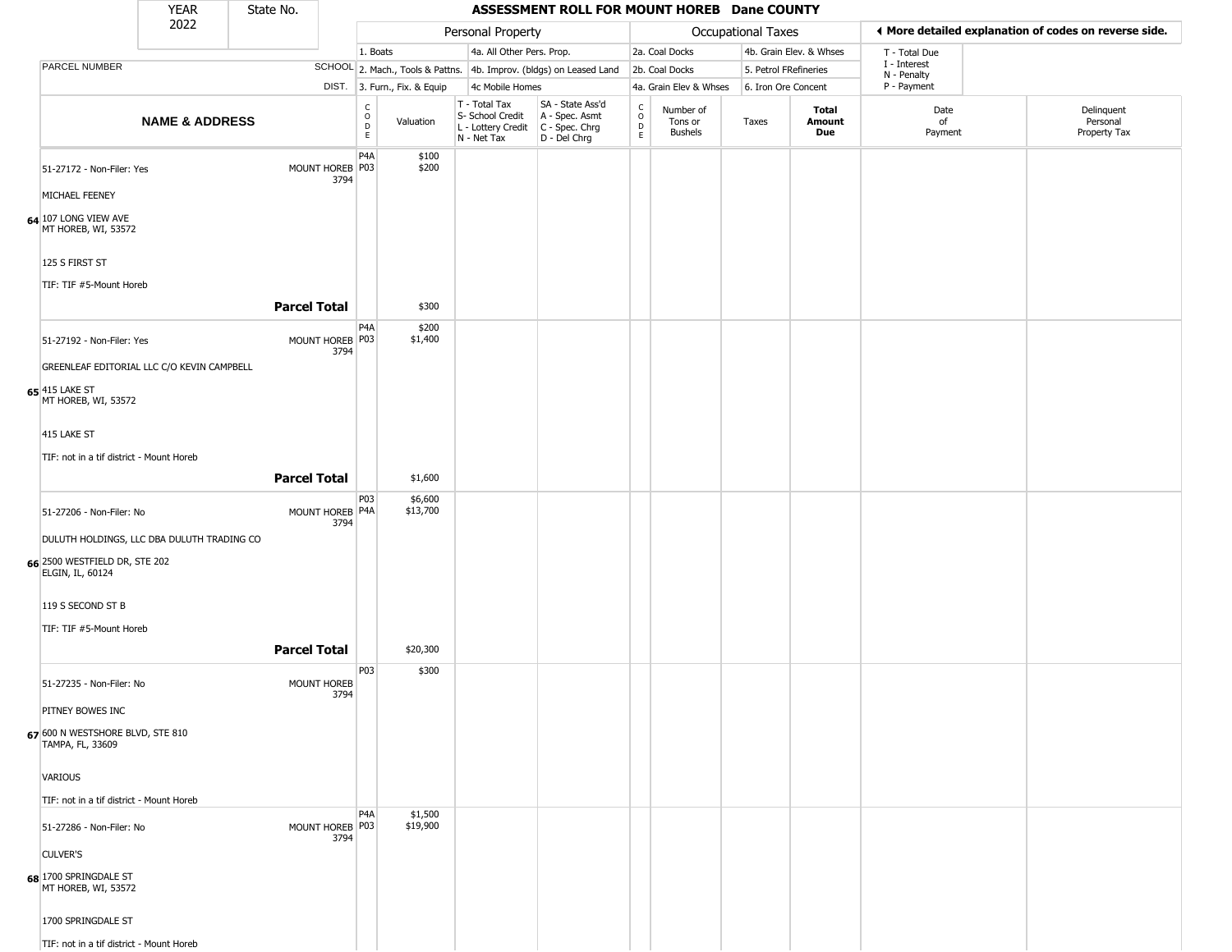|                                                      | <b>YEAR</b>               | State No.           |                         |                                   |                              |                                                                                         | ASSESSMENT ROLL FOR MOUNT HOREB Dane COUNTY                         |                        |                                        |                       |                         |                             |                                                       |
|------------------------------------------------------|---------------------------|---------------------|-------------------------|-----------------------------------|------------------------------|-----------------------------------------------------------------------------------------|---------------------------------------------------------------------|------------------------|----------------------------------------|-----------------------|-------------------------|-----------------------------|-------------------------------------------------------|
|                                                      | 2022                      |                     |                         |                                   |                              | Personal Property                                                                       |                                                                     |                        |                                        | Occupational Taxes    |                         |                             | ◀ More detailed explanation of codes on reverse side. |
|                                                      |                           |                     |                         | 1. Boats                          |                              | 4a. All Other Pers. Prop.                                                               |                                                                     |                        | 2a. Coal Docks                         |                       | 4b. Grain Elev. & Whses | T - Total Due               |                                                       |
| PARCEL NUMBER                                        |                           |                     |                         |                                   |                              |                                                                                         | SCHOOL 2. Mach., Tools & Pattns. 4b. Improv. (bldgs) on Leased Land |                        | 2b. Coal Docks                         | 5. Petrol FRefineries |                         | I - Interest<br>N - Penalty |                                                       |
|                                                      |                           |                     |                         |                                   | DIST. 3. Furn., Fix. & Equip | 4c Mobile Homes                                                                         |                                                                     |                        | 4a. Grain Elev & Whses                 | 6. Iron Ore Concent   |                         | P - Payment                 |                                                       |
|                                                      | <b>NAME &amp; ADDRESS</b> |                     |                         | $\frac{c}{0}$<br>$\mathsf D$<br>E | Valuation                    | T - Total Tax<br>S- School Credit<br>L - Lottery Credit   C - Spec. Chrg<br>N - Net Tax | SA - State Ass'd<br>A - Spec. Asmt<br>D - Del Chrg                  | C<br>$\circ$<br>D<br>E | Number of<br>Tons or<br><b>Bushels</b> | Taxes                 | Total<br>Amount<br>Due  | Date<br>of<br>Payment       | Delinquent<br>Personal<br>Property Tax                |
| 51-27172 - Non-Filer: Yes                            |                           |                     | MOUNT HOREB P03<br>3794 | P <sub>4</sub> A                  | \$100<br>\$200               |                                                                                         |                                                                     |                        |                                        |                       |                         |                             |                                                       |
| MICHAEL FEENEY                                       |                           |                     |                         |                                   |                              |                                                                                         |                                                                     |                        |                                        |                       |                         |                             |                                                       |
| 64 107 LONG VIEW AVE<br>MT HOREB, WI, 53572          |                           |                     |                         |                                   |                              |                                                                                         |                                                                     |                        |                                        |                       |                         |                             |                                                       |
| 125 S FIRST ST                                       |                           |                     |                         |                                   |                              |                                                                                         |                                                                     |                        |                                        |                       |                         |                             |                                                       |
| TIF: TIF #5-Mount Horeb                              |                           | <b>Parcel Total</b> |                         |                                   | \$300                        |                                                                                         |                                                                     |                        |                                        |                       |                         |                             |                                                       |
| 51-27192 - Non-Filer: Yes                            |                           |                     | MOUNT HOREB P03<br>3794 | P4A                               | \$200<br>\$1,400             |                                                                                         |                                                                     |                        |                                        |                       |                         |                             |                                                       |
| GREENLEAF EDITORIAL LLC C/O KEVIN CAMPBELL           |                           |                     |                         |                                   |                              |                                                                                         |                                                                     |                        |                                        |                       |                         |                             |                                                       |
| 65 415 LAKE ST<br>MT HOREB, WI, 53572                |                           |                     |                         |                                   |                              |                                                                                         |                                                                     |                        |                                        |                       |                         |                             |                                                       |
| 415 LAKE ST                                          |                           |                     |                         |                                   |                              |                                                                                         |                                                                     |                        |                                        |                       |                         |                             |                                                       |
| TIF: not in a tif district - Mount Horeb             |                           |                     |                         |                                   |                              |                                                                                         |                                                                     |                        |                                        |                       |                         |                             |                                                       |
|                                                      |                           | <b>Parcel Total</b> |                         |                                   | \$1,600                      |                                                                                         |                                                                     |                        |                                        |                       |                         |                             |                                                       |
|                                                      |                           |                     |                         | P03                               | \$6,600                      |                                                                                         |                                                                     |                        |                                        |                       |                         |                             |                                                       |
| 51-27206 - Non-Filer: No                             |                           |                     | MOUNT HOREB P4A<br>3794 |                                   | \$13,700                     |                                                                                         |                                                                     |                        |                                        |                       |                         |                             |                                                       |
| DULUTH HOLDINGS, LLC DBA DULUTH TRADING CO           |                           |                     |                         |                                   |                              |                                                                                         |                                                                     |                        |                                        |                       |                         |                             |                                                       |
| 66 2500 WESTFIELD DR, STE 202<br>ELGIN, IL, 60124    |                           |                     |                         |                                   |                              |                                                                                         |                                                                     |                        |                                        |                       |                         |                             |                                                       |
| 119 S SECOND ST B                                    |                           |                     |                         |                                   |                              |                                                                                         |                                                                     |                        |                                        |                       |                         |                             |                                                       |
| TIF: TIF #5-Mount Horeb                              |                           |                     |                         |                                   |                              |                                                                                         |                                                                     |                        |                                        |                       |                         |                             |                                                       |
|                                                      |                           | <b>Parcel Total</b> |                         |                                   | \$20,300                     |                                                                                         |                                                                     |                        |                                        |                       |                         |                             |                                                       |
| 51-27235 - Non-Filer: No                             |                           |                     | MOUNT HOREB<br>3794     | P03                               | \$300                        |                                                                                         |                                                                     |                        |                                        |                       |                         |                             |                                                       |
| PITNEY BOWES INC                                     |                           |                     |                         |                                   |                              |                                                                                         |                                                                     |                        |                                        |                       |                         |                             |                                                       |
| 67 600 N WESTSHORE BLVD, STE 810<br>TAMPA, FL, 33609 |                           |                     |                         |                                   |                              |                                                                                         |                                                                     |                        |                                        |                       |                         |                             |                                                       |
| <b>VARIOUS</b>                                       |                           |                     |                         |                                   |                              |                                                                                         |                                                                     |                        |                                        |                       |                         |                             |                                                       |
| TIF: not in a tif district - Mount Horeb             |                           |                     |                         |                                   |                              |                                                                                         |                                                                     |                        |                                        |                       |                         |                             |                                                       |
| 51-27286 - Non-Filer: No                             |                           |                     | MOUNT HOREB P03<br>3794 | P4A                               | \$1,500<br>\$19,900          |                                                                                         |                                                                     |                        |                                        |                       |                         |                             |                                                       |
| <b>CULVER'S</b>                                      |                           |                     |                         |                                   |                              |                                                                                         |                                                                     |                        |                                        |                       |                         |                             |                                                       |
| 68 1700 SPRINGDALE ST<br>MT HOREB, WI, 53572         |                           |                     |                         |                                   |                              |                                                                                         |                                                                     |                        |                                        |                       |                         |                             |                                                       |
| 1700 SPRINGDALE ST                                   |                           |                     |                         |                                   |                              |                                                                                         |                                                                     |                        |                                        |                       |                         |                             |                                                       |
| TIF: not in a tif district - Mount Horeb             |                           |                     |                         |                                   |                              |                                                                                         |                                                                     |                        |                                        |                       |                         |                             |                                                       |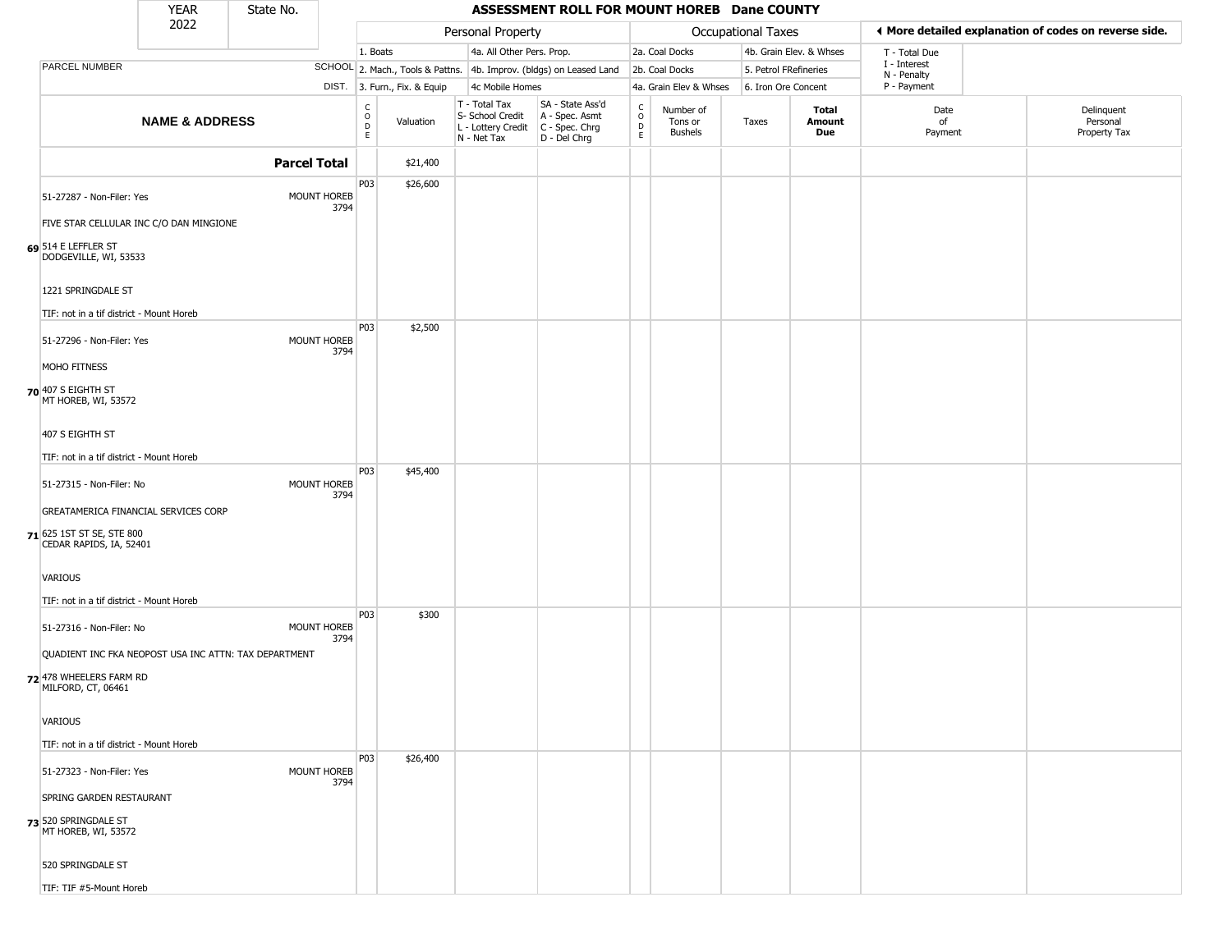|                                                                      | <b>YEAR</b>               | State No.           |      |                         |                              |                              |                                        | ASSESSMENT ROLL FOR MOUNT HOREB Dane COUNTY                            |                                                          |                                 |                       |                         |                             |                                                       |
|----------------------------------------------------------------------|---------------------------|---------------------|------|-------------------------|------------------------------|------------------------------|----------------------------------------|------------------------------------------------------------------------|----------------------------------------------------------|---------------------------------|-----------------------|-------------------------|-----------------------------|-------------------------------------------------------|
|                                                                      | 2022                      |                     |      |                         |                              |                              | Personal Property                      |                                                                        |                                                          |                                 | Occupational Taxes    |                         |                             | ◀ More detailed explanation of codes on reverse side. |
|                                                                      |                           |                     |      | 1. Boats                |                              |                              | 4a. All Other Pers. Prop.              |                                                                        |                                                          | 2a. Coal Docks                  |                       | 4b. Grain Elev. & Whses | T - Total Due               |                                                       |
| PARCEL NUMBER                                                        |                           |                     |      |                         |                              |                              |                                        | SCHOOL 2. Mach., Tools & Pattns. 4b. Improv. (bldgs) on Leased Land    |                                                          | 2b. Coal Docks                  | 5. Petrol FRefineries |                         | I - Interest<br>N - Penalty |                                                       |
|                                                                      |                           |                     |      |                         | DIST. 3. Furn., Fix. & Equip |                              | 4c Mobile Homes                        |                                                                        |                                                          | 4a. Grain Elev & Whses          | 6. Iron Ore Concent   |                         | P - Payment                 |                                                       |
|                                                                      | <b>NAME &amp; ADDRESS</b> |                     |      | $\frac{c}{0}$<br>D<br>E | Valuation                    | T - Total Tax<br>N - Net Tax | S- School Credit<br>L - Lottery Credit | SA - State Ass'd<br>A - Spec. Asmt<br>$C - Spec. Chrg$<br>D - Del Chrg | $\begin{smallmatrix} C \\ O \\ D \end{smallmatrix}$<br>E | Number of<br>Tons or<br>Bushels | Taxes                 | Total<br>Amount<br>Due  | Date<br>of<br>Payment       | Delinquent<br>Personal<br>Property Tax                |
|                                                                      |                           | <b>Parcel Total</b> |      |                         | \$21,400                     |                              |                                        |                                                                        |                                                          |                                 |                       |                         |                             |                                                       |
| 51-27287 - Non-Filer: Yes<br>FIVE STAR CELLULAR INC C/O DAN MINGIONE |                           | MOUNT HOREB         | 3794 | P03                     | \$26,600                     |                              |                                        |                                                                        |                                                          |                                 |                       |                         |                             |                                                       |
| 69 514 E LEFFLER ST<br>DODGEVILLE, WI, 53533                         |                           |                     |      |                         |                              |                              |                                        |                                                                        |                                                          |                                 |                       |                         |                             |                                                       |
| 1221 SPRINGDALE ST<br>TIF: not in a tif district - Mount Horeb       |                           |                     |      | P03                     | \$2,500                      |                              |                                        |                                                                        |                                                          |                                 |                       |                         |                             |                                                       |
| 51-27296 - Non-Filer: Yes<br>MOHO FITNESS                            |                           | MOUNT HOREB         | 3794 |                         |                              |                              |                                        |                                                                        |                                                          |                                 |                       |                         |                             |                                                       |
| 70 407 S EIGHTH ST<br>MT HOREB, WI, 53572                            |                           |                     |      |                         |                              |                              |                                        |                                                                        |                                                          |                                 |                       |                         |                             |                                                       |
| 407 S EIGHTH ST                                                      |                           |                     |      |                         |                              |                              |                                        |                                                                        |                                                          |                                 |                       |                         |                             |                                                       |
| TIF: not in a tif district - Mount Horeb                             |                           |                     |      | P03                     | \$45,400                     |                              |                                        |                                                                        |                                                          |                                 |                       |                         |                             |                                                       |
| 51-27315 - Non-Filer: No                                             |                           | MOUNT HOREB         | 3794 |                         |                              |                              |                                        |                                                                        |                                                          |                                 |                       |                         |                             |                                                       |
| GREATAMERICA FINANCIAL SERVICES CORP                                 |                           |                     |      |                         |                              |                              |                                        |                                                                        |                                                          |                                 |                       |                         |                             |                                                       |
| 71 625 1ST ST SE, STE 800<br>CEDAR RAPIDS, IA, 52401                 |                           |                     |      |                         |                              |                              |                                        |                                                                        |                                                          |                                 |                       |                         |                             |                                                       |
| VARIOUS<br>TIF: not in a tif district - Mount Horeb                  |                           |                     |      |                         |                              |                              |                                        |                                                                        |                                                          |                                 |                       |                         |                             |                                                       |
| 51-27316 - Non-Filer: No                                             |                           | MOUNT HOREB         |      | P03                     | \$300                        |                              |                                        |                                                                        |                                                          |                                 |                       |                         |                             |                                                       |
| QUADIENT INC FKA NEOPOST USA INC ATTN: TAX DEPARTMENT                |                           |                     | 3794 |                         |                              |                              |                                        |                                                                        |                                                          |                                 |                       |                         |                             |                                                       |
| 72 478 WHEELERS FARM RD<br>MILFORD, CT, 06461                        |                           |                     |      |                         |                              |                              |                                        |                                                                        |                                                          |                                 |                       |                         |                             |                                                       |
| <b>VARIOUS</b>                                                       |                           |                     |      |                         |                              |                              |                                        |                                                                        |                                                          |                                 |                       |                         |                             |                                                       |
| TIF: not in a tif district - Mount Horeb                             |                           |                     |      | P03                     | \$26,400                     |                              |                                        |                                                                        |                                                          |                                 |                       |                         |                             |                                                       |
| 51-27323 - Non-Filer: Yes                                            |                           | <b>MOUNT HOREB</b>  | 3794 |                         |                              |                              |                                        |                                                                        |                                                          |                                 |                       |                         |                             |                                                       |
| SPRING GARDEN RESTAURANT                                             |                           |                     |      |                         |                              |                              |                                        |                                                                        |                                                          |                                 |                       |                         |                             |                                                       |
| 73 520 SPRINGDALE ST<br>MT HOREB, WI, 53572                          |                           |                     |      |                         |                              |                              |                                        |                                                                        |                                                          |                                 |                       |                         |                             |                                                       |
| 520 SPRINGDALE ST                                                    |                           |                     |      |                         |                              |                              |                                        |                                                                        |                                                          |                                 |                       |                         |                             |                                                       |
| TIF: TIF #5-Mount Horeb                                              |                           |                     |      |                         |                              |                              |                                        |                                                                        |                                                          |                                 |                       |                         |                             |                                                       |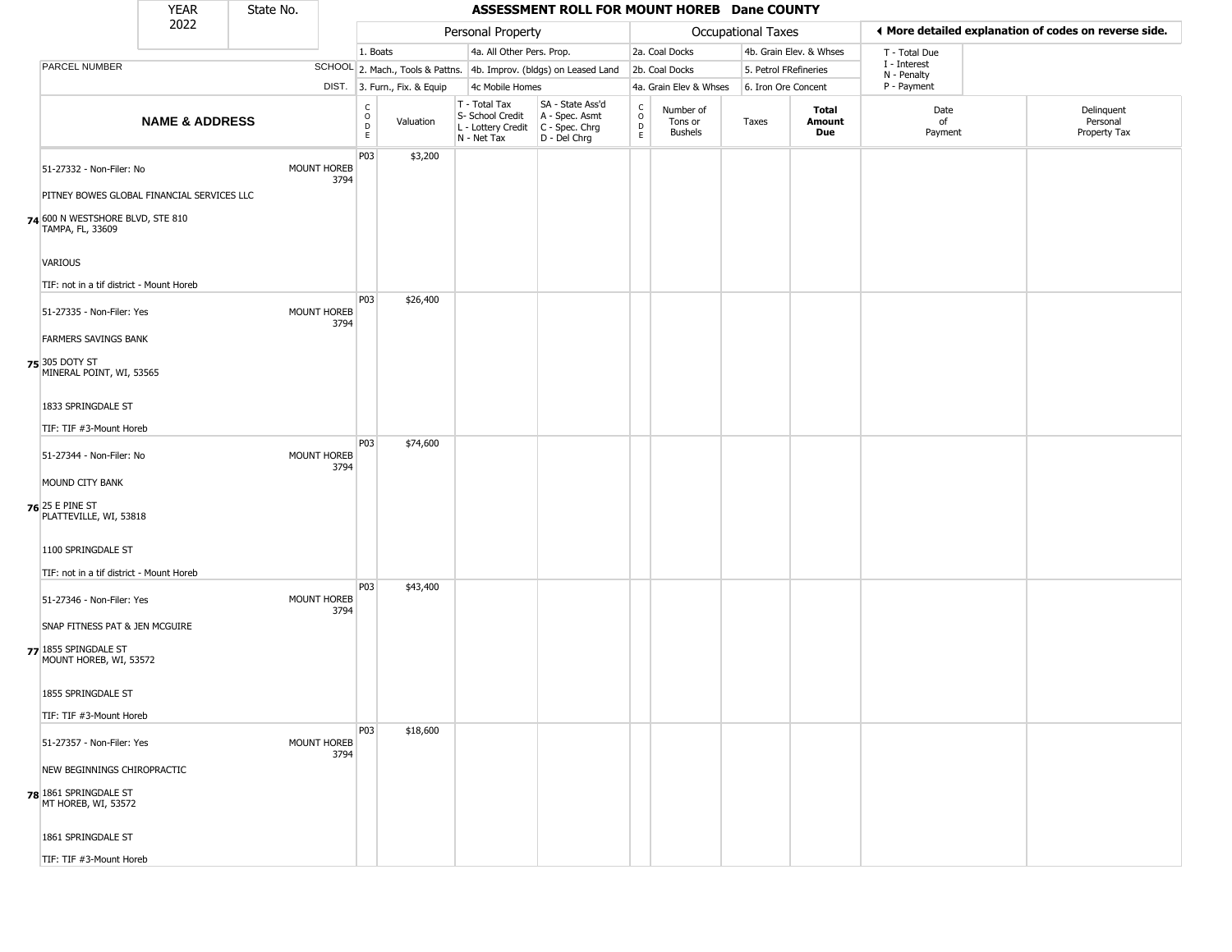|                                                      | <b>YEAR</b>                                | State No. |                            |                                             |                              |                                                                        | ASSESSMENT ROLL FOR MOUNT HOREB Dane COUNTY                          |                  |                                        |                    |                         |                             |                                                       |
|------------------------------------------------------|--------------------------------------------|-----------|----------------------------|---------------------------------------------|------------------------------|------------------------------------------------------------------------|----------------------------------------------------------------------|------------------|----------------------------------------|--------------------|-------------------------|-----------------------------|-------------------------------------------------------|
|                                                      | 2022                                       |           |                            |                                             |                              | Personal Property                                                      |                                                                      |                  |                                        | Occupational Taxes |                         |                             | ♦ More detailed explanation of codes on reverse side. |
|                                                      |                                            |           |                            | 1. Boats                                    |                              | 4a. All Other Pers. Prop.                                              |                                                                      |                  | 2a. Coal Docks                         |                    | 4b. Grain Elev. & Whses | T - Total Due               |                                                       |
| PARCEL NUMBER                                        |                                            |           |                            |                                             |                              |                                                                        | SCHOOL 2. Mach., Tools & Pattns. 4b. Improv. (bldgs) on Leased Land  |                  | 2b. Coal Docks                         |                    | 5. Petrol FRefineries   | I - Interest<br>N - Penalty |                                                       |
|                                                      |                                            |           |                            |                                             | DIST. 3. Furn., Fix. & Equip | 4c Mobile Homes                                                        |                                                                      |                  | 4a. Grain Elev & Whses                 |                    | 6. Iron Ore Concent     | P - Payment                 |                                                       |
|                                                      | <b>NAME &amp; ADDRESS</b>                  |           |                            | $\frac{c}{0}$<br>$\mathsf D$<br>$\mathsf E$ | Valuation                    | T - Total Tax<br>S- School Credit<br>L - Lottery Credit<br>N - Net Tax | SA - State Ass'd<br>A - Spec. Asmt<br>C - Spec. Chrg<br>D - Del Chrg | C<br>D<br>D<br>E | Number of<br>Tons or<br><b>Bushels</b> | Taxes              | Total<br>Amount<br>Due  | Date<br>of<br>Payment       | Delinquent<br>Personal<br>Property Tax                |
| 51-27332 - Non-Filer: No                             |                                            |           | <b>MOUNT HOREB</b><br>3794 | P03                                         | \$3,200                      |                                                                        |                                                                      |                  |                                        |                    |                         |                             |                                                       |
|                                                      | PITNEY BOWES GLOBAL FINANCIAL SERVICES LLC |           |                            |                                             |                              |                                                                        |                                                                      |                  |                                        |                    |                         |                             |                                                       |
| 74 600 N WESTSHORE BLVD, STE 810<br>TAMPA, FL, 33609 |                                            |           |                            |                                             |                              |                                                                        |                                                                      |                  |                                        |                    |                         |                             |                                                       |
| VARIOUS                                              |                                            |           |                            |                                             |                              |                                                                        |                                                                      |                  |                                        |                    |                         |                             |                                                       |
| TIF: not in a tif district - Mount Horeb             |                                            |           |                            |                                             |                              |                                                                        |                                                                      |                  |                                        |                    |                         |                             |                                                       |
| 51-27335 - Non-Filer: Yes                            |                                            |           | <b>MOUNT HOREB</b><br>3794 | P03                                         | \$26,400                     |                                                                        |                                                                      |                  |                                        |                    |                         |                             |                                                       |
| <b>FARMERS SAVINGS BANK</b>                          |                                            |           |                            |                                             |                              |                                                                        |                                                                      |                  |                                        |                    |                         |                             |                                                       |
| <b>75</b> 305 DOTY ST<br>MINERAL POINT, WI, 53565    |                                            |           |                            |                                             |                              |                                                                        |                                                                      |                  |                                        |                    |                         |                             |                                                       |
| 1833 SPRINGDALE ST                                   |                                            |           |                            |                                             |                              |                                                                        |                                                                      |                  |                                        |                    |                         |                             |                                                       |
| TIF: TIF #3-Mount Horeb                              |                                            |           |                            |                                             |                              |                                                                        |                                                                      |                  |                                        |                    |                         |                             |                                                       |
| 51-27344 - Non-Filer: No                             |                                            |           | <b>MOUNT HOREB</b><br>3794 | P03                                         | \$74,600                     |                                                                        |                                                                      |                  |                                        |                    |                         |                             |                                                       |
| MOUND CITY BANK                                      |                                            |           |                            |                                             |                              |                                                                        |                                                                      |                  |                                        |                    |                         |                             |                                                       |
| <b>76</b> 25 E PINE ST<br>PLATTEVILLE, WI, 53818     |                                            |           |                            |                                             |                              |                                                                        |                                                                      |                  |                                        |                    |                         |                             |                                                       |
| 1100 SPRINGDALE ST                                   |                                            |           |                            |                                             |                              |                                                                        |                                                                      |                  |                                        |                    |                         |                             |                                                       |
| TIF: not in a tif district - Mount Horeb             |                                            |           |                            |                                             |                              |                                                                        |                                                                      |                  |                                        |                    |                         |                             |                                                       |
| 51-27346 - Non-Filer: Yes                            |                                            |           | <b>MOUNT HOREB</b><br>3794 | P03                                         | \$43,400                     |                                                                        |                                                                      |                  |                                        |                    |                         |                             |                                                       |
| SNAP FITNESS PAT & JEN MCGUIRE                       |                                            |           |                            |                                             |                              |                                                                        |                                                                      |                  |                                        |                    |                         |                             |                                                       |
| 77 1855 SPINGDALE ST<br>MOUNT HOREB, WI, 53572       |                                            |           |                            |                                             |                              |                                                                        |                                                                      |                  |                                        |                    |                         |                             |                                                       |
| 1855 SPRINGDALE ST                                   |                                            |           |                            |                                             |                              |                                                                        |                                                                      |                  |                                        |                    |                         |                             |                                                       |
| TIF: TIF #3-Mount Horeb                              |                                            |           |                            |                                             |                              |                                                                        |                                                                      |                  |                                        |                    |                         |                             |                                                       |
| 51-27357 - Non-Filer: Yes                            |                                            |           | MOUNT HOREB<br>3794        | P03                                         | \$18,600                     |                                                                        |                                                                      |                  |                                        |                    |                         |                             |                                                       |
| NEW BEGINNINGS CHIROPRACTIC                          |                                            |           |                            |                                             |                              |                                                                        |                                                                      |                  |                                        |                    |                         |                             |                                                       |
| 78 1861 SPRINGDALE ST<br>MT HOREB, WI, 53572         |                                            |           |                            |                                             |                              |                                                                        |                                                                      |                  |                                        |                    |                         |                             |                                                       |
| 1861 SPRINGDALE ST                                   |                                            |           |                            |                                             |                              |                                                                        |                                                                      |                  |                                        |                    |                         |                             |                                                       |
| TIF: TIF #3-Mount Horeb                              |                                            |           |                            |                                             |                              |                                                                        |                                                                      |                  |                                        |                    |                         |                             |                                                       |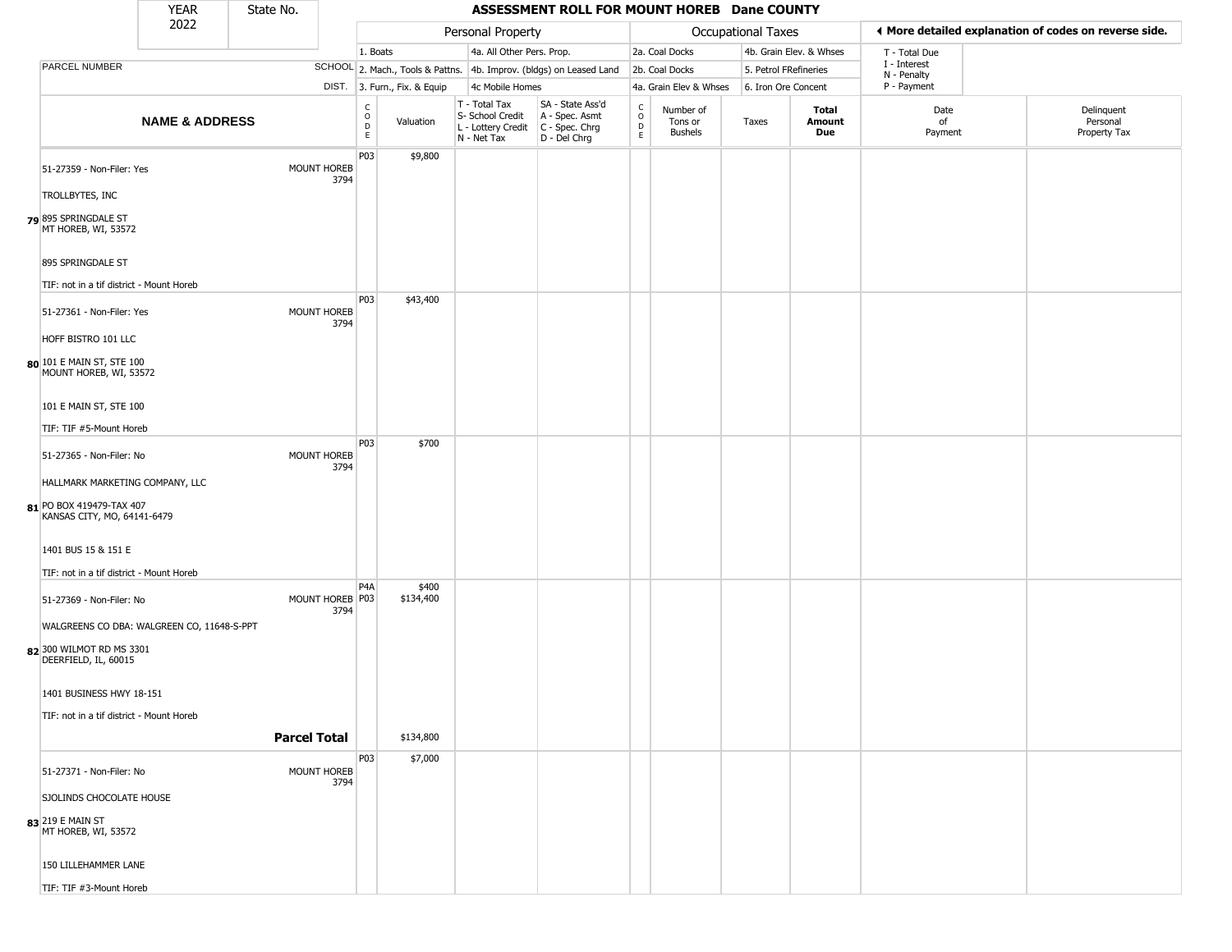|                                                         | <b>YEAR</b>                                | State No.           |                          |                              |                                                  | ASSESSMENT ROLL FOR MOUNT HOREB Dane COUNTY                                                 |                                   |                                        |                       |                         |                             |                                                       |  |
|---------------------------------------------------------|--------------------------------------------|---------------------|--------------------------|------------------------------|--------------------------------------------------|---------------------------------------------------------------------------------------------|-----------------------------------|----------------------------------------|-----------------------|-------------------------|-----------------------------|-------------------------------------------------------|--|
|                                                         | 2022                                       |                     |                          |                              | Personal Property                                |                                                                                             |                                   |                                        | Occupational Taxes    |                         |                             | ♦ More detailed explanation of codes on reverse side. |  |
|                                                         |                                            |                     |                          | 1. Boats                     | 4a. All Other Pers. Prop.                        |                                                                                             |                                   | 2a. Coal Docks                         |                       | 4b. Grain Elev. & Whses | T - Total Due               |                                                       |  |
| <b>PARCEL NUMBER</b>                                    |                                            |                     |                          |                              |                                                  | SCHOOL 2. Mach., Tools & Pattns. 4b. Improv. (bldgs) on Leased Land                         |                                   | 2b. Coal Docks                         | 5. Petrol FRefineries |                         | I - Interest<br>N - Penalty |                                                       |  |
|                                                         |                                            |                     |                          | DIST. 3. Furn., Fix. & Equip | 4c Mobile Homes                                  |                                                                                             |                                   | 4a. Grain Elev & Whses                 | 6. Iron Ore Concent   |                         | P - Payment                 |                                                       |  |
|                                                         | <b>NAME &amp; ADDRESS</b>                  |                     | C<br>D<br>E<br>E         | Valuation                    | T - Total Tax<br>S- School Credit<br>N - Net Tax | SA - State Ass'd<br>A - Spec. Asmt<br>L - Lottery Credit   C - Spec. Chrg<br>$D - Del Chrg$ | $\rm_{o}^{c}$<br>$\mathsf D$<br>E | Number of<br>Tons or<br><b>Bushels</b> | Taxes                 | Total<br>Amount<br>Due  | Date<br>of<br>Payment       | Delinquent<br>Personal<br>Property Tax                |  |
| 51-27359 - Non-Filer: Yes                               |                                            | MOUNT HOREB         | P03<br>3794              | \$9,800                      |                                                  |                                                                                             |                                   |                                        |                       |                         |                             |                                                       |  |
| TROLLBYTES, INC                                         |                                            |                     |                          |                              |                                                  |                                                                                             |                                   |                                        |                       |                         |                             |                                                       |  |
| 895 SPRINGDALE ST<br>MT HOREB, WI, 53572                |                                            |                     |                          |                              |                                                  |                                                                                             |                                   |                                        |                       |                         |                             |                                                       |  |
| 895 SPRINGDALE ST                                       |                                            |                     |                          |                              |                                                  |                                                                                             |                                   |                                        |                       |                         |                             |                                                       |  |
| TIF: not in a tif district - Mount Horeb                |                                            |                     |                          |                              |                                                  |                                                                                             |                                   |                                        |                       |                         |                             |                                                       |  |
| 51-27361 - Non-Filer: Yes                               |                                            | MOUNT HOREB         | P03<br>3794              | \$43,400                     |                                                  |                                                                                             |                                   |                                        |                       |                         |                             |                                                       |  |
| HOFF BISTRO 101 LLC                                     |                                            |                     |                          |                              |                                                  |                                                                                             |                                   |                                        |                       |                         |                             |                                                       |  |
| 80 101 E MAIN ST, STE 100<br>MOUNT HOREB, WI, 53572     |                                            |                     |                          |                              |                                                  |                                                                                             |                                   |                                        |                       |                         |                             |                                                       |  |
| 101 E MAIN ST, STE 100                                  |                                            |                     |                          |                              |                                                  |                                                                                             |                                   |                                        |                       |                         |                             |                                                       |  |
| TIF: TIF #5-Mount Horeb                                 |                                            |                     |                          |                              |                                                  |                                                                                             |                                   |                                        |                       |                         |                             |                                                       |  |
| 51-27365 - Non-Filer: No                                |                                            | MOUNT HOREB         | <b>P03</b><br>3794       | \$700                        |                                                  |                                                                                             |                                   |                                        |                       |                         |                             |                                                       |  |
| HALLMARK MARKETING COMPANY, LLC                         |                                            |                     |                          |                              |                                                  |                                                                                             |                                   |                                        |                       |                         |                             |                                                       |  |
| 81 PO BOX 419479-TAX 407<br>KANSAS CITY, MO, 64141-6479 |                                            |                     |                          |                              |                                                  |                                                                                             |                                   |                                        |                       |                         |                             |                                                       |  |
| 1401 BUS 15 & 151 E                                     |                                            |                     |                          |                              |                                                  |                                                                                             |                                   |                                        |                       |                         |                             |                                                       |  |
| TIF: not in a tif district - Mount Horeb                |                                            |                     |                          |                              |                                                  |                                                                                             |                                   |                                        |                       |                         |                             |                                                       |  |
| 51-27369 - Non-Filer: No                                |                                            | MOUNT HOREB P03     | P <sub>4</sub> A<br>3794 | \$400<br>\$134,400           |                                                  |                                                                                             |                                   |                                        |                       |                         |                             |                                                       |  |
|                                                         | WALGREENS CO DBA: WALGREEN CO, 11648-S-PPT |                     |                          |                              |                                                  |                                                                                             |                                   |                                        |                       |                         |                             |                                                       |  |
| 82 300 WILMOT RD MS 3301<br>DEERFIELD, IL, 60015        |                                            |                     |                          |                              |                                                  |                                                                                             |                                   |                                        |                       |                         |                             |                                                       |  |
| 1401 BUSINESS HWY 18-151                                |                                            |                     |                          |                              |                                                  |                                                                                             |                                   |                                        |                       |                         |                             |                                                       |  |
| TIF: not in a tif district - Mount Horeb                |                                            |                     |                          |                              |                                                  |                                                                                             |                                   |                                        |                       |                         |                             |                                                       |  |
|                                                         |                                            | <b>Parcel Total</b> |                          | \$134,800                    |                                                  |                                                                                             |                                   |                                        |                       |                         |                             |                                                       |  |
| 51-27371 - Non-Filer: No                                |                                            | MOUNT HOREB         | P03<br>3794              | \$7,000                      |                                                  |                                                                                             |                                   |                                        |                       |                         |                             |                                                       |  |
| SJOLINDS CHOCOLATE HOUSE                                |                                            |                     |                          |                              |                                                  |                                                                                             |                                   |                                        |                       |                         |                             |                                                       |  |
| 83 219 E MAIN ST<br>MT HOREB, WI, 53572                 |                                            |                     |                          |                              |                                                  |                                                                                             |                                   |                                        |                       |                         |                             |                                                       |  |
| 150 LILLEHAMMER LANE                                    |                                            |                     |                          |                              |                                                  |                                                                                             |                                   |                                        |                       |                         |                             |                                                       |  |
| TIF: TIF #3-Mount Horeb                                 |                                            |                     |                          |                              |                                                  |                                                                                             |                                   |                                        |                       |                         |                             |                                                       |  |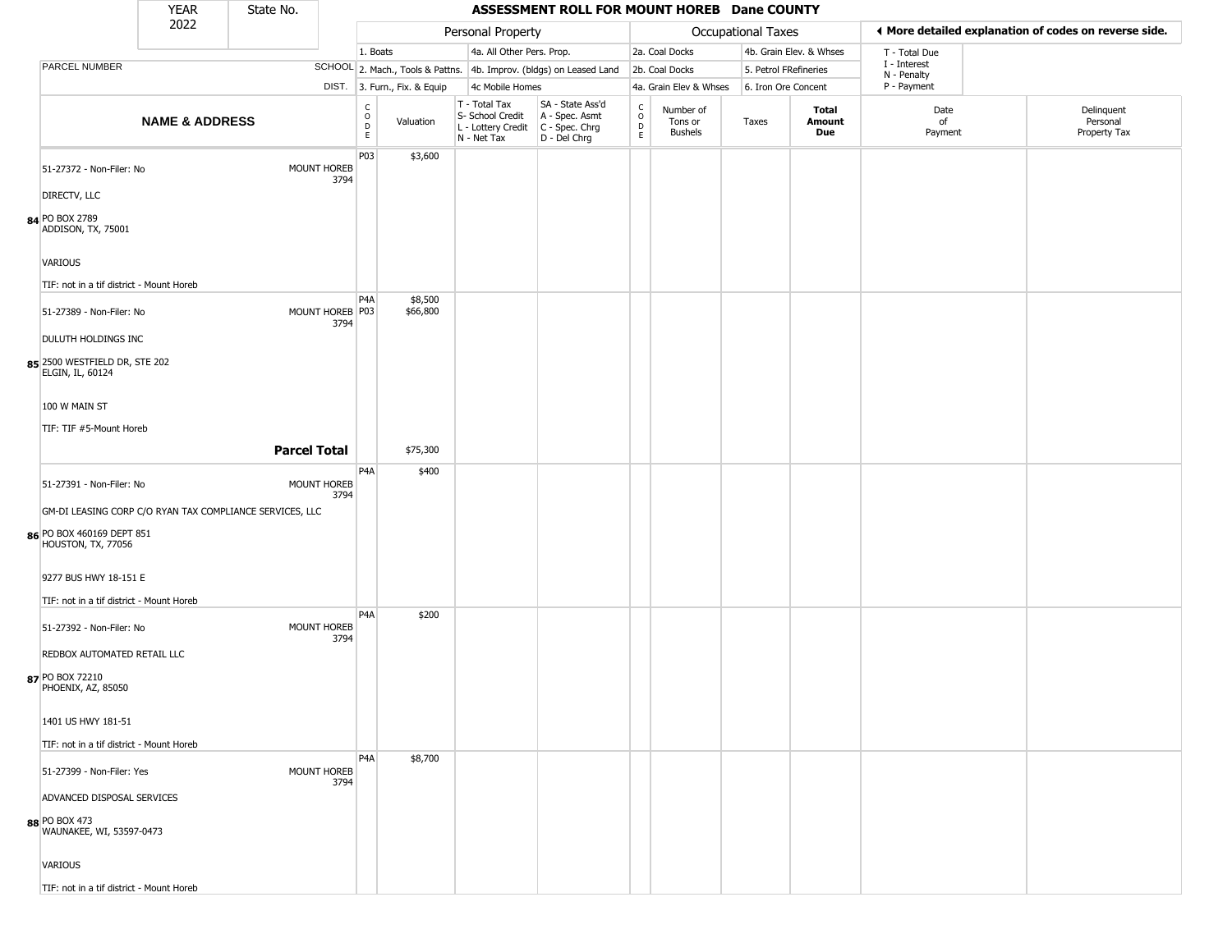|                                                                   | <b>YEAR</b>               | State No.                                                |      |                                                          |                              |                                                                                         | ASSESSMENT ROLL FOR MOUNT HOREB Dane COUNTY                         |                            |                                        |                       |                         |                             |                                                       |
|-------------------------------------------------------------------|---------------------------|----------------------------------------------------------|------|----------------------------------------------------------|------------------------------|-----------------------------------------------------------------------------------------|---------------------------------------------------------------------|----------------------------|----------------------------------------|-----------------------|-------------------------|-----------------------------|-------------------------------------------------------|
|                                                                   | 2022                      |                                                          |      |                                                          |                              | Personal Property                                                                       |                                                                     |                            |                                        | Occupational Taxes    |                         |                             | ♦ More detailed explanation of codes on reverse side. |
|                                                                   |                           |                                                          |      | 1. Boats                                                 |                              | 4a. All Other Pers. Prop.                                                               |                                                                     |                            | 2a. Coal Docks                         |                       | 4b. Grain Elev. & Whses | T - Total Due               |                                                       |
| PARCEL NUMBER                                                     |                           |                                                          |      |                                                          |                              |                                                                                         | SCHOOL 2. Mach., Tools & Pattns. 4b. Improv. (bldgs) on Leased Land |                            | 2b. Coal Docks                         | 5. Petrol FRefineries |                         | I - Interest<br>N - Penalty |                                                       |
|                                                                   |                           |                                                          |      |                                                          | DIST. 3. Furn., Fix. & Equip | 4c Mobile Homes                                                                         |                                                                     |                            | 4a. Grain Elev & Whses                 | 6. Iron Ore Concent   |                         | P - Payment                 |                                                       |
|                                                                   | <b>NAME &amp; ADDRESS</b> |                                                          |      | $\begin{matrix} 0 \\ 0 \\ D \end{matrix}$<br>$\mathsf E$ | Valuation                    | T - Total Tax<br>S- School Credit<br>L - Lottery Credit   C - Spec. Chrg<br>N - Net Tax | SA - State Ass'd<br>A - Spec. Asmt<br>$D - Del Chrg$                | C<br>$\mathsf O$<br>D<br>E | Number of<br>Tons or<br><b>Bushels</b> | Taxes                 | Total<br>Amount<br>Due  | Date<br>of<br>Payment       | Delinquent<br>Personal<br>Property Tax                |
| 51-27372 - Non-Filer: No                                          |                           | MOUNT HOREB                                              | 3794 | P03                                                      | \$3,600                      |                                                                                         |                                                                     |                            |                                        |                       |                         |                             |                                                       |
| DIRECTV, LLC                                                      |                           |                                                          |      |                                                          |                              |                                                                                         |                                                                     |                            |                                        |                       |                         |                             |                                                       |
| 84 PO BOX 2789<br>ADDISON, TX, 75001                              |                           |                                                          |      |                                                          |                              |                                                                                         |                                                                     |                            |                                        |                       |                         |                             |                                                       |
| VARIOUS                                                           |                           |                                                          |      |                                                          |                              |                                                                                         |                                                                     |                            |                                        |                       |                         |                             |                                                       |
| TIF: not in a tif district - Mount Horeb                          |                           |                                                          |      |                                                          |                              |                                                                                         |                                                                     |                            |                                        |                       |                         |                             |                                                       |
| 51-27389 - Non-Filer: No                                          |                           | MOUNT HOREB P03                                          | 3794 | P <sub>4</sub> A                                         | \$8,500<br>\$66,800          |                                                                                         |                                                                     |                            |                                        |                       |                         |                             |                                                       |
| DULUTH HOLDINGS INC                                               |                           |                                                          |      |                                                          |                              |                                                                                         |                                                                     |                            |                                        |                       |                         |                             |                                                       |
| 85 2500 WESTFIELD DR, STE 202<br>ELGIN, IL, 60124                 |                           |                                                          |      |                                                          |                              |                                                                                         |                                                                     |                            |                                        |                       |                         |                             |                                                       |
| 100 W MAIN ST                                                     |                           |                                                          |      |                                                          |                              |                                                                                         |                                                                     |                            |                                        |                       |                         |                             |                                                       |
| TIF: TIF #5-Mount Horeb                                           |                           |                                                          |      |                                                          |                              |                                                                                         |                                                                     |                            |                                        |                       |                         |                             |                                                       |
|                                                                   |                           | <b>Parcel Total</b>                                      |      |                                                          | \$75,300                     |                                                                                         |                                                                     |                            |                                        |                       |                         |                             |                                                       |
|                                                                   |                           |                                                          |      | P <sub>4</sub> A                                         | \$400                        |                                                                                         |                                                                     |                            |                                        |                       |                         |                             |                                                       |
| 51-27391 - Non-Filer: No                                          |                           | <b>MOUNT HOREB</b>                                       | 3794 |                                                          |                              |                                                                                         |                                                                     |                            |                                        |                       |                         |                             |                                                       |
|                                                                   |                           | GM-DI LEASING CORP C/O RYAN TAX COMPLIANCE SERVICES, LLC |      |                                                          |                              |                                                                                         |                                                                     |                            |                                        |                       |                         |                             |                                                       |
| 86 PO BOX 460169 DEPT 851<br>HOUSTON, TX, 77056                   |                           |                                                          |      |                                                          |                              |                                                                                         |                                                                     |                            |                                        |                       |                         |                             |                                                       |
| 9277 BUS HWY 18-151 E<br>TIF: not in a tif district - Mount Horeb |                           |                                                          |      |                                                          |                              |                                                                                         |                                                                     |                            |                                        |                       |                         |                             |                                                       |
|                                                                   |                           |                                                          |      | P <sub>4</sub> A                                         | \$200                        |                                                                                         |                                                                     |                            |                                        |                       |                         |                             |                                                       |
| 51-27392 - Non-Filer: No                                          |                           | MOUNT HOREB                                              | 3794 |                                                          |                              |                                                                                         |                                                                     |                            |                                        |                       |                         |                             |                                                       |
| REDBOX AUTOMATED RETAIL LLC                                       |                           |                                                          |      |                                                          |                              |                                                                                         |                                                                     |                            |                                        |                       |                         |                             |                                                       |
| 87 PO BOX 72210<br>PHOENIX, AZ, 85050                             |                           |                                                          |      |                                                          |                              |                                                                                         |                                                                     |                            |                                        |                       |                         |                             |                                                       |
| 1401 US HWY 181-51                                                |                           |                                                          |      |                                                          |                              |                                                                                         |                                                                     |                            |                                        |                       |                         |                             |                                                       |
| TIF: not in a tif district - Mount Horeb                          |                           |                                                          |      |                                                          |                              |                                                                                         |                                                                     |                            |                                        |                       |                         |                             |                                                       |
| 51-27399 - Non-Filer: Yes                                         |                           | MOUNT HOREB                                              | 3794 | P <sub>4</sub> A                                         | \$8,700                      |                                                                                         |                                                                     |                            |                                        |                       |                         |                             |                                                       |
| ADVANCED DISPOSAL SERVICES                                        |                           |                                                          |      |                                                          |                              |                                                                                         |                                                                     |                            |                                        |                       |                         |                             |                                                       |
| 88 PO BOX 473<br>WAUNAKEE, WI, 53597-0473                         |                           |                                                          |      |                                                          |                              |                                                                                         |                                                                     |                            |                                        |                       |                         |                             |                                                       |
| VARIOUS                                                           |                           |                                                          |      |                                                          |                              |                                                                                         |                                                                     |                            |                                        |                       |                         |                             |                                                       |
| TIF: not in a tif district - Mount Horeb                          |                           |                                                          |      |                                                          |                              |                                                                                         |                                                                     |                            |                                        |                       |                         |                             |                                                       |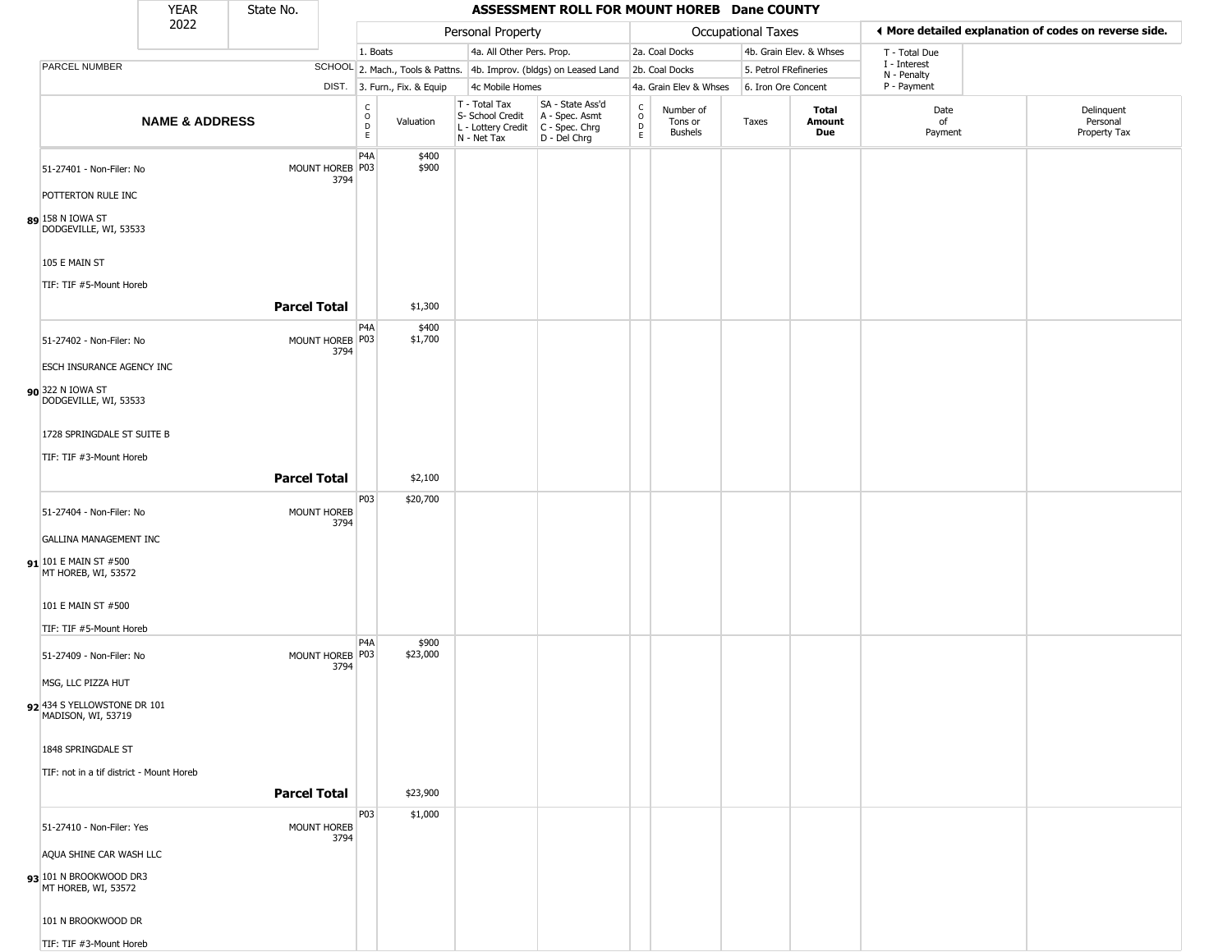|                                                     | <b>YEAR</b>               | State No.           |                            |                                                |                              |                                                                        | ASSESSMENT ROLL FOR MOUNT HOREB Dane COUNTY                          |                                                 |                                 |                     |                         |                             |                                                       |
|-----------------------------------------------------|---------------------------|---------------------|----------------------------|------------------------------------------------|------------------------------|------------------------------------------------------------------------|----------------------------------------------------------------------|-------------------------------------------------|---------------------------------|---------------------|-------------------------|-----------------------------|-------------------------------------------------------|
|                                                     | 2022                      |                     |                            |                                                |                              | Personal Property                                                      |                                                                      |                                                 |                                 | Occupational Taxes  |                         |                             | ♦ More detailed explanation of codes on reverse side. |
|                                                     |                           |                     |                            | 1. Boats                                       |                              | 4a. All Other Pers. Prop.                                              |                                                                      |                                                 | 2a. Coal Docks                  |                     | 4b. Grain Elev. & Whses | T - Total Due               |                                                       |
| PARCEL NUMBER                                       |                           |                     |                            |                                                |                              |                                                                        | SCHOOL 2. Mach., Tools & Pattns. 4b. Improv. (bldgs) on Leased Land  |                                                 | 2b. Coal Docks                  |                     | 5. Petrol FRefineries   | I - Interest<br>N - Penalty |                                                       |
|                                                     |                           |                     |                            |                                                | DIST. 3. Furn., Fix. & Equip | 4c Mobile Homes                                                        |                                                                      |                                                 | 4a. Grain Elev & Whses          | 6. Iron Ore Concent |                         | P - Payment                 |                                                       |
|                                                     | <b>NAME &amp; ADDRESS</b> |                     |                            | $\begin{matrix} 0 \\ 0 \\ D \end{matrix}$<br>E | Valuation                    | T - Total Tax<br>S- School Credit<br>L - Lottery Credit<br>N - Net Tax | SA - State Ass'd<br>A - Spec. Asmt<br>C - Spec. Chrg<br>D - Del Chrg | $\begin{array}{c} C \\ O \\ D \\ E \end{array}$ | Number of<br>Tons or<br>Bushels | Taxes               | Total<br>Amount<br>Due  | Date<br>of<br>Payment       | Delinquent<br>Personal<br>Property Tax                |
| 51-27401 - Non-Filer: No                            |                           |                     | MOUNT HOREB P03<br>3794    | P4A                                            | \$400<br>\$900               |                                                                        |                                                                      |                                                 |                                 |                     |                         |                             |                                                       |
| POTTERTON RULE INC                                  |                           |                     |                            |                                                |                              |                                                                        |                                                                      |                                                 |                                 |                     |                         |                             |                                                       |
| DODGEVILLE, WI, 53533                               |                           |                     |                            |                                                |                              |                                                                        |                                                                      |                                                 |                                 |                     |                         |                             |                                                       |
| 105 E MAIN ST                                       |                           |                     |                            |                                                |                              |                                                                        |                                                                      |                                                 |                                 |                     |                         |                             |                                                       |
| TIF: TIF #5-Mount Horeb                             |                           |                     |                            |                                                |                              |                                                                        |                                                                      |                                                 |                                 |                     |                         |                             |                                                       |
|                                                     |                           | <b>Parcel Total</b> |                            |                                                | \$1,300                      |                                                                        |                                                                      |                                                 |                                 |                     |                         |                             |                                                       |
| 51-27402 - Non-Filer: No                            |                           |                     | MOUNT HOREB P03<br>3794    | P4A                                            | \$400<br>\$1,700             |                                                                        |                                                                      |                                                 |                                 |                     |                         |                             |                                                       |
| <b>ESCH INSURANCE AGENCY INC</b>                    |                           |                     |                            |                                                |                              |                                                                        |                                                                      |                                                 |                                 |                     |                         |                             |                                                       |
| 90 322 N IOWA ST<br>DODGEVILLE, WI, 53533           |                           |                     |                            |                                                |                              |                                                                        |                                                                      |                                                 |                                 |                     |                         |                             |                                                       |
| 1728 SPRINGDALE ST SUITE B                          |                           |                     |                            |                                                |                              |                                                                        |                                                                      |                                                 |                                 |                     |                         |                             |                                                       |
| TIF: TIF #3-Mount Horeb                             |                           |                     |                            |                                                |                              |                                                                        |                                                                      |                                                 |                                 |                     |                         |                             |                                                       |
|                                                     |                           | <b>Parcel Total</b> |                            |                                                | \$2,100                      |                                                                        |                                                                      |                                                 |                                 |                     |                         |                             |                                                       |
|                                                     |                           |                     |                            | P <sub>03</sub>                                | \$20,700                     |                                                                        |                                                                      |                                                 |                                 |                     |                         |                             |                                                       |
| 51-27404 - Non-Filer: No                            |                           |                     | <b>MOUNT HOREB</b><br>3794 |                                                |                              |                                                                        |                                                                      |                                                 |                                 |                     |                         |                             |                                                       |
| <b>GALLINA MANAGEMENT INC</b>                       |                           |                     |                            |                                                |                              |                                                                        |                                                                      |                                                 |                                 |                     |                         |                             |                                                       |
| <b>91</b> 101 E MAIN ST #500<br>MT HOREB, WI, 53572 |                           |                     |                            |                                                |                              |                                                                        |                                                                      |                                                 |                                 |                     |                         |                             |                                                       |
| 101 E MAIN ST #500                                  |                           |                     |                            |                                                |                              |                                                                        |                                                                      |                                                 |                                 |                     |                         |                             |                                                       |
| TIF: TIF #5-Mount Horeb                             |                           |                     |                            |                                                |                              |                                                                        |                                                                      |                                                 |                                 |                     |                         |                             |                                                       |
| 51-27409 - Non-Filer: No                            |                           |                     | MOUNT HOREB P03<br>3794    | P <sub>4</sub> A                               | \$900<br>\$23,000            |                                                                        |                                                                      |                                                 |                                 |                     |                         |                             |                                                       |
| MSG, LLC PIZZA HUT                                  |                           |                     |                            |                                                |                              |                                                                        |                                                                      |                                                 |                                 |                     |                         |                             |                                                       |
| 92 434 S YELLOWSTONE DR 101<br>MADISON, WI, 53719   |                           |                     |                            |                                                |                              |                                                                        |                                                                      |                                                 |                                 |                     |                         |                             |                                                       |
| 1848 SPRINGDALE ST                                  |                           |                     |                            |                                                |                              |                                                                        |                                                                      |                                                 |                                 |                     |                         |                             |                                                       |
| TIF: not in a tif district - Mount Horeb            |                           |                     |                            |                                                |                              |                                                                        |                                                                      |                                                 |                                 |                     |                         |                             |                                                       |
|                                                     |                           | <b>Parcel Total</b> |                            |                                                | \$23,900                     |                                                                        |                                                                      |                                                 |                                 |                     |                         |                             |                                                       |
|                                                     |                           |                     |                            | P03                                            | \$1,000                      |                                                                        |                                                                      |                                                 |                                 |                     |                         |                             |                                                       |
| 51-27410 - Non-Filer: Yes                           |                           |                     | MOUNT HOREB<br>3794        |                                                |                              |                                                                        |                                                                      |                                                 |                                 |                     |                         |                             |                                                       |
| AQUA SHINE CAR WASH LLC                             |                           |                     |                            |                                                |                              |                                                                        |                                                                      |                                                 |                                 |                     |                         |                             |                                                       |
| 93 101 N BROOKWOOD DR3<br>MT HOREB, WI, 53572       |                           |                     |                            |                                                |                              |                                                                        |                                                                      |                                                 |                                 |                     |                         |                             |                                                       |
| 101 N BROOKWOOD DR                                  |                           |                     |                            |                                                |                              |                                                                        |                                                                      |                                                 |                                 |                     |                         |                             |                                                       |
| TIF: TIF #3-Mount Horeb                             |                           |                     |                            |                                                |                              |                                                                        |                                                                      |                                                 |                                 |                     |                         |                             |                                                       |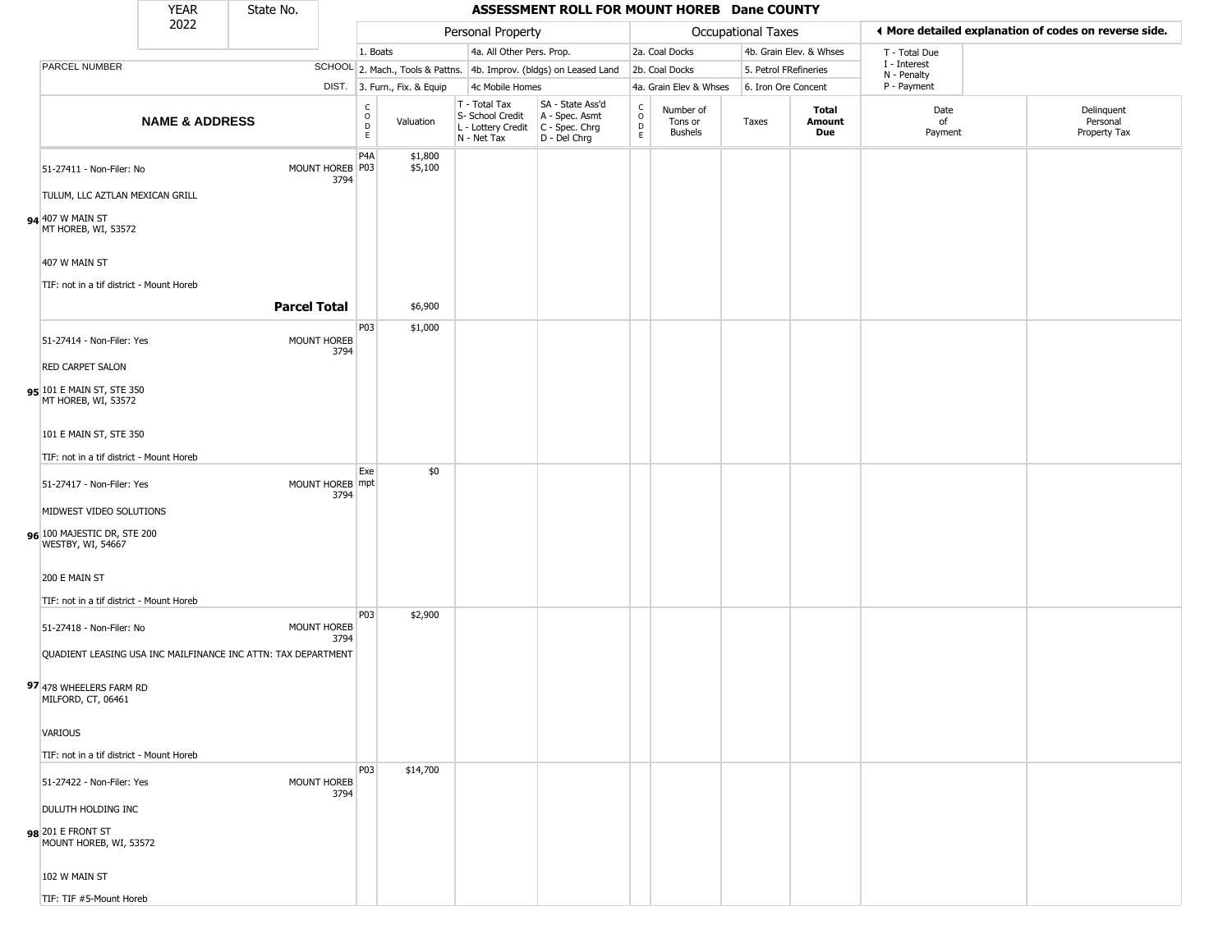|                                                  | <b>YEAR</b>               | State No.                                                     |                         |                                   |                              |                                                  | ASSESSMENT ROLL FOR MOUNT HOREB Dane COUNTY                                                 |                                   |                                        |                       |                         |                             |                                                       |
|--------------------------------------------------|---------------------------|---------------------------------------------------------------|-------------------------|-----------------------------------|------------------------------|--------------------------------------------------|---------------------------------------------------------------------------------------------|-----------------------------------|----------------------------------------|-----------------------|-------------------------|-----------------------------|-------------------------------------------------------|
|                                                  | 2022                      |                                                               |                         |                                   |                              | Personal Property                                |                                                                                             |                                   |                                        | Occupational Taxes    |                         |                             | ◀ More detailed explanation of codes on reverse side. |
|                                                  |                           |                                                               |                         | 1. Boats                          |                              | 4a. All Other Pers. Prop.                        |                                                                                             |                                   | 2a. Coal Docks                         |                       | 4b. Grain Elev. & Whses | T - Total Due               |                                                       |
| PARCEL NUMBER                                    |                           |                                                               |                         |                                   |                              |                                                  | SCHOOL 2. Mach., Tools & Pattns. 4b. Improv. (bldgs) on Leased Land                         |                                   | 2b. Coal Docks                         | 5. Petrol FRefineries |                         | I - Interest<br>N - Penalty |                                                       |
|                                                  |                           |                                                               |                         |                                   | DIST. 3. Furn., Fix. & Equip | 4c Mobile Homes                                  |                                                                                             |                                   | 4a. Grain Elev & Whses                 | 6. Iron Ore Concent   |                         | P - Payment                 |                                                       |
|                                                  | <b>NAME &amp; ADDRESS</b> |                                                               |                         | $\frac{c}{0}$<br>$\mathsf D$<br>E | Valuation                    | T - Total Tax<br>S- School Credit<br>N - Net Tax | SA - State Ass'd<br>A - Spec. Asmt<br>L - Lottery Credit   C - Spec. Chrg<br>$D - Del Chrg$ | $\rm_{o}^{c}$<br>$\mathsf D$<br>E | Number of<br>Tons or<br><b>Bushels</b> | Taxes                 | Total<br>Amount<br>Due  | Date<br>of<br>Payment       | Delinquent<br>Personal<br>Property Tax                |
| 51-27411 - Non-Filer: No                         |                           |                                                               | MOUNT HOREB P03<br>3794 | P4A                               | \$1,800<br>\$5,100           |                                                  |                                                                                             |                                   |                                        |                       |                         |                             |                                                       |
| TULUM, LLC AZTLAN MEXICAN GRILL                  |                           |                                                               |                         |                                   |                              |                                                  |                                                                                             |                                   |                                        |                       |                         |                             |                                                       |
| 94 407 W MAIN ST<br>MT HOREB, WI, 53572          |                           |                                                               |                         |                                   |                              |                                                  |                                                                                             |                                   |                                        |                       |                         |                             |                                                       |
| 407 W MAIN ST                                    |                           |                                                               |                         |                                   |                              |                                                  |                                                                                             |                                   |                                        |                       |                         |                             |                                                       |
| TIF: not in a tif district - Mount Horeb         |                           |                                                               |                         |                                   |                              |                                                  |                                                                                             |                                   |                                        |                       |                         |                             |                                                       |
|                                                  |                           | <b>Parcel Total</b>                                           |                         |                                   | \$6,900                      |                                                  |                                                                                             |                                   |                                        |                       |                         |                             |                                                       |
| 51-27414 - Non-Filer: Yes                        |                           |                                                               | MOUNT HOREB             | P03                               | \$1,000                      |                                                  |                                                                                             |                                   |                                        |                       |                         |                             |                                                       |
| <b>RED CARPET SALON</b>                          |                           |                                                               | 3794                    |                                   |                              |                                                  |                                                                                             |                                   |                                        |                       |                         |                             |                                                       |
| 95 101 E MAIN ST, STE 350<br>MT HOREB, WI, 53572 |                           |                                                               |                         |                                   |                              |                                                  |                                                                                             |                                   |                                        |                       |                         |                             |                                                       |
| 101 E MAIN ST, STE 350                           |                           |                                                               |                         |                                   |                              |                                                  |                                                                                             |                                   |                                        |                       |                         |                             |                                                       |
| TIF: not in a tif district - Mount Horeb         |                           |                                                               |                         |                                   |                              |                                                  |                                                                                             |                                   |                                        |                       |                         |                             |                                                       |
| 51-27417 - Non-Filer: Yes                        |                           |                                                               | MOUNT HOREB mpt<br>3794 | Exe                               | \$0                          |                                                  |                                                                                             |                                   |                                        |                       |                         |                             |                                                       |
| MIDWEST VIDEO SOLUTIONS                          |                           |                                                               |                         |                                   |                              |                                                  |                                                                                             |                                   |                                        |                       |                         |                             |                                                       |
| 96 100 MAJESTIC DR, STE 200<br>WESTBY, WI, 54667 |                           |                                                               |                         |                                   |                              |                                                  |                                                                                             |                                   |                                        |                       |                         |                             |                                                       |
| 200 E MAIN ST                                    |                           |                                                               |                         |                                   |                              |                                                  |                                                                                             |                                   |                                        |                       |                         |                             |                                                       |
| TIF: not in a tif district - Mount Horeb         |                           |                                                               |                         | P03                               | \$2,900                      |                                                  |                                                                                             |                                   |                                        |                       |                         |                             |                                                       |
| 51-27418 - Non-Filer: No                         |                           |                                                               | MOUNT HOREB<br>3794     |                                   |                              |                                                  |                                                                                             |                                   |                                        |                       |                         |                             |                                                       |
|                                                  |                           | QUADIENT LEASING USA INC MAILFINANCE INC ATTN: TAX DEPARTMENT |                         |                                   |                              |                                                  |                                                                                             |                                   |                                        |                       |                         |                             |                                                       |
| 97 478 WHEELERS FARM RD<br>MILFORD, CT, 06461    |                           |                                                               |                         |                                   |                              |                                                  |                                                                                             |                                   |                                        |                       |                         |                             |                                                       |
| VARIOUS                                          |                           |                                                               |                         |                                   |                              |                                                  |                                                                                             |                                   |                                        |                       |                         |                             |                                                       |
| TIF: not in a tif district - Mount Horeb         |                           |                                                               |                         |                                   |                              |                                                  |                                                                                             |                                   |                                        |                       |                         |                             |                                                       |
| 51-27422 - Non-Filer: Yes                        |                           |                                                               | MOUNT HOREB<br>3794     | <b>P03</b>                        | \$14,700                     |                                                  |                                                                                             |                                   |                                        |                       |                         |                             |                                                       |
| <b>DULUTH HOLDING INC</b>                        |                           |                                                               |                         |                                   |                              |                                                  |                                                                                             |                                   |                                        |                       |                         |                             |                                                       |
| 98 201 E FRONT ST<br>MOUNT HOREB, WI, 53572      |                           |                                                               |                         |                                   |                              |                                                  |                                                                                             |                                   |                                        |                       |                         |                             |                                                       |
| 102 W MAIN ST                                    |                           |                                                               |                         |                                   |                              |                                                  |                                                                                             |                                   |                                        |                       |                         |                             |                                                       |
| TIF: TIF #5-Mount Horeb                          |                           |                                                               |                         |                                   |                              |                                                  |                                                                                             |                                   |                                        |                       |                         |                             |                                                       |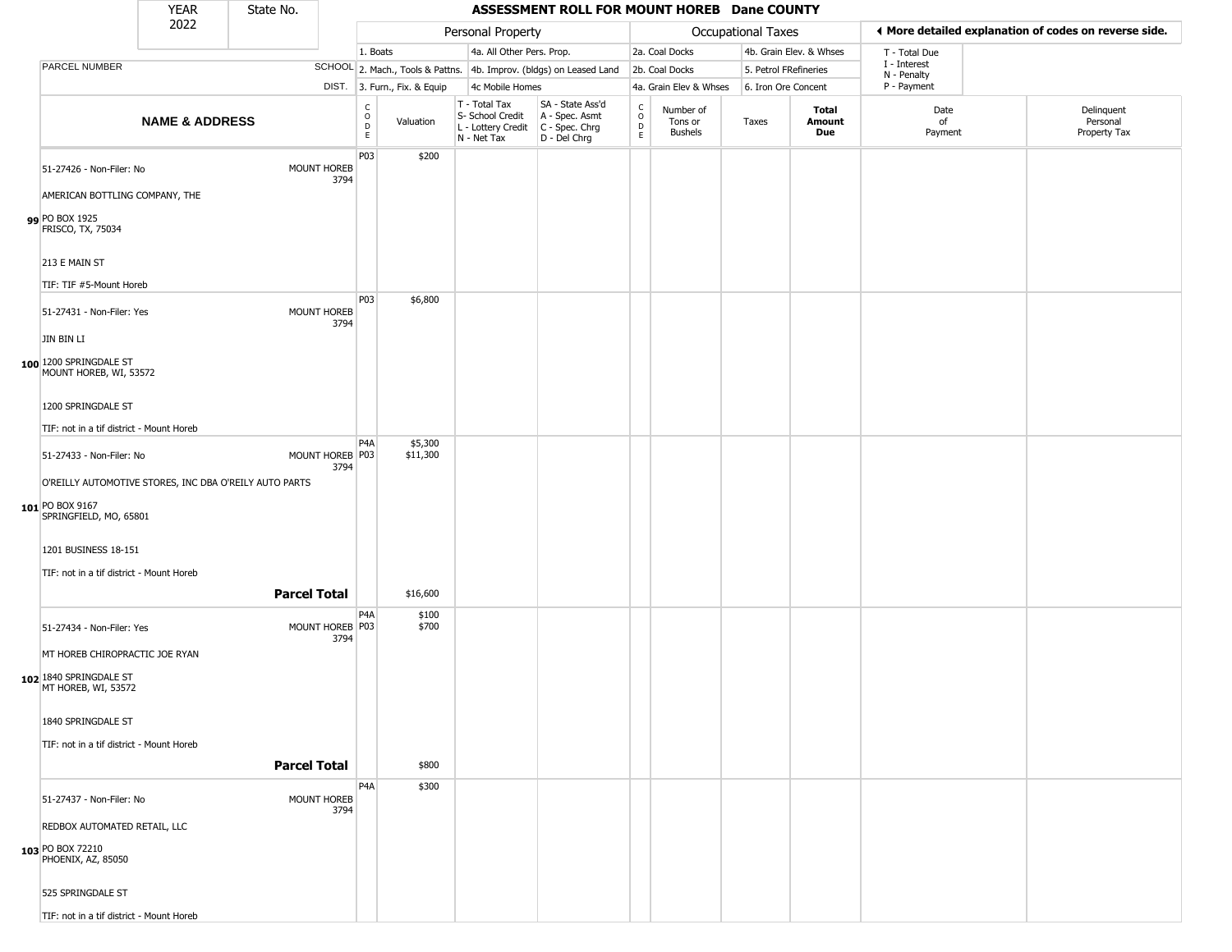|                                                                                    | <b>YEAR</b>               | State No.           |                            |                         |                              |                                                                        | ASSESSMENT ROLL FOR MOUNT HOREB Dane COUNTY                          |                                         |                                        |                    |                         |                             |                                                       |
|------------------------------------------------------------------------------------|---------------------------|---------------------|----------------------------|-------------------------|------------------------------|------------------------------------------------------------------------|----------------------------------------------------------------------|-----------------------------------------|----------------------------------------|--------------------|-------------------------|-----------------------------|-------------------------------------------------------|
|                                                                                    | 2022                      |                     |                            |                         |                              | Personal Property                                                      |                                                                      |                                         |                                        | Occupational Taxes |                         |                             | ◀ More detailed explanation of codes on reverse side. |
|                                                                                    |                           |                     |                            | 1. Boats                |                              | 4a. All Other Pers. Prop.                                              |                                                                      |                                         | 2a. Coal Docks                         |                    | 4b. Grain Elev. & Whses | T - Total Due               |                                                       |
| <b>PARCEL NUMBER</b>                                                               |                           |                     |                            |                         |                              |                                                                        | SCHOOL 2. Mach., Tools & Pattns. 4b. Improv. (bldgs) on Leased Land  |                                         | 2b. Coal Docks                         |                    | 5. Petrol FRefineries   | I - Interest<br>N - Penalty |                                                       |
|                                                                                    |                           |                     |                            |                         | DIST. 3. Furn., Fix. & Equip | 4c Mobile Homes                                                        |                                                                      |                                         | 4a. Grain Elev & Whses                 |                    | 6. Iron Ore Concent     | P - Payment                 |                                                       |
|                                                                                    | <b>NAME &amp; ADDRESS</b> |                     |                            | C<br>$\circ$<br>D<br>E. | Valuation                    | T - Total Tax<br>S- School Credit<br>L - Lottery Credit<br>N - Net Tax | SA - State Ass'd<br>A - Spec. Asmt<br>C - Spec. Chrg<br>D - Del Chrg | $_{\rm o}^{\rm c}$<br>$\mathsf{D}$<br>E | Number of<br>Tons or<br><b>Bushels</b> | Taxes              | Total<br>Amount<br>Due  | Date<br>of<br>Payment       | Delinquent<br>Personal<br>Property Tax                |
| 51-27426 - Non-Filer: No                                                           |                           |                     | <b>MOUNT HOREB</b><br>3794 | P03                     | \$200                        |                                                                        |                                                                      |                                         |                                        |                    |                         |                             |                                                       |
| AMERICAN BOTTLING COMPANY, THE<br>99 PO BOX 1925<br>FRISCO, TX, 75034              |                           |                     |                            |                         |                              |                                                                        |                                                                      |                                         |                                        |                    |                         |                             |                                                       |
| 213 E MAIN ST                                                                      |                           |                     |                            |                         |                              |                                                                        |                                                                      |                                         |                                        |                    |                         |                             |                                                       |
| TIF: TIF #5-Mount Horeb<br>51-27431 - Non-Filer: Yes                               |                           |                     | MOUNT HOREB<br>3794        | P03                     | \$6,800                      |                                                                        |                                                                      |                                         |                                        |                    |                         |                             |                                                       |
| JIN BIN LI<br>100 1200 SPRINGDALE ST                                               |                           |                     |                            |                         |                              |                                                                        |                                                                      |                                         |                                        |                    |                         |                             |                                                       |
| MOUNT HOREB, WI, 53572<br>1200 SPRINGDALE ST                                       |                           |                     |                            |                         |                              |                                                                        |                                                                      |                                         |                                        |                    |                         |                             |                                                       |
| TIF: not in a tif district - Mount Horeb                                           |                           |                     |                            |                         |                              |                                                                        |                                                                      |                                         |                                        |                    |                         |                             |                                                       |
|                                                                                    |                           |                     |                            | P <sub>4</sub> A        | \$5,300                      |                                                                        |                                                                      |                                         |                                        |                    |                         |                             |                                                       |
| 51-27433 - Non-Filer: No<br>O'REILLY AUTOMOTIVE STORES, INC DBA O'REILY AUTO PARTS |                           |                     | MOUNT HOREB P03<br>3794    |                         | \$11,300                     |                                                                        |                                                                      |                                         |                                        |                    |                         |                             |                                                       |
| 101 PO BOX 9167<br>SPRINGFIELD, MO, 65801                                          |                           |                     |                            |                         |                              |                                                                        |                                                                      |                                         |                                        |                    |                         |                             |                                                       |
| 1201 BUSINESS 18-151                                                               |                           |                     |                            |                         |                              |                                                                        |                                                                      |                                         |                                        |                    |                         |                             |                                                       |
| TIF: not in a tif district - Mount Horeb                                           |                           | <b>Parcel Total</b> |                            |                         | \$16,600                     |                                                                        |                                                                      |                                         |                                        |                    |                         |                             |                                                       |
| 51-27434 - Non-Filer: Yes                                                          |                           |                     | MOUNT HOREB P03<br>3794    | P4A                     | \$100<br>\$700               |                                                                        |                                                                      |                                         |                                        |                    |                         |                             |                                                       |
| MT HOREB CHIROPRACTIC JOE RYAN<br>102 1840 SPRINGDALE ST<br>MT HOREB, WI, 53572    |                           |                     |                            |                         |                              |                                                                        |                                                                      |                                         |                                        |                    |                         |                             |                                                       |
| 1840 SPRINGDALE ST                                                                 |                           |                     |                            |                         |                              |                                                                        |                                                                      |                                         |                                        |                    |                         |                             |                                                       |
| TIF: not in a tif district - Mount Horeb                                           |                           | <b>Parcel Total</b> |                            |                         | \$800                        |                                                                        |                                                                      |                                         |                                        |                    |                         |                             |                                                       |
| 51-27437 - Non-Filer: No                                                           |                           |                     | MOUNT HOREB                | P <sub>4</sub> A        | \$300                        |                                                                        |                                                                      |                                         |                                        |                    |                         |                             |                                                       |
| REDBOX AUTOMATED RETAIL, LLC                                                       |                           |                     | 3794                       |                         |                              |                                                                        |                                                                      |                                         |                                        |                    |                         |                             |                                                       |
| 103 PO BOX 72210<br>PHOENIX, AZ, 85050                                             |                           |                     |                            |                         |                              |                                                                        |                                                                      |                                         |                                        |                    |                         |                             |                                                       |
| 525 SPRINGDALE ST                                                                  |                           |                     |                            |                         |                              |                                                                        |                                                                      |                                         |                                        |                    |                         |                             |                                                       |

TIF: not in a tif district - Mount Horeb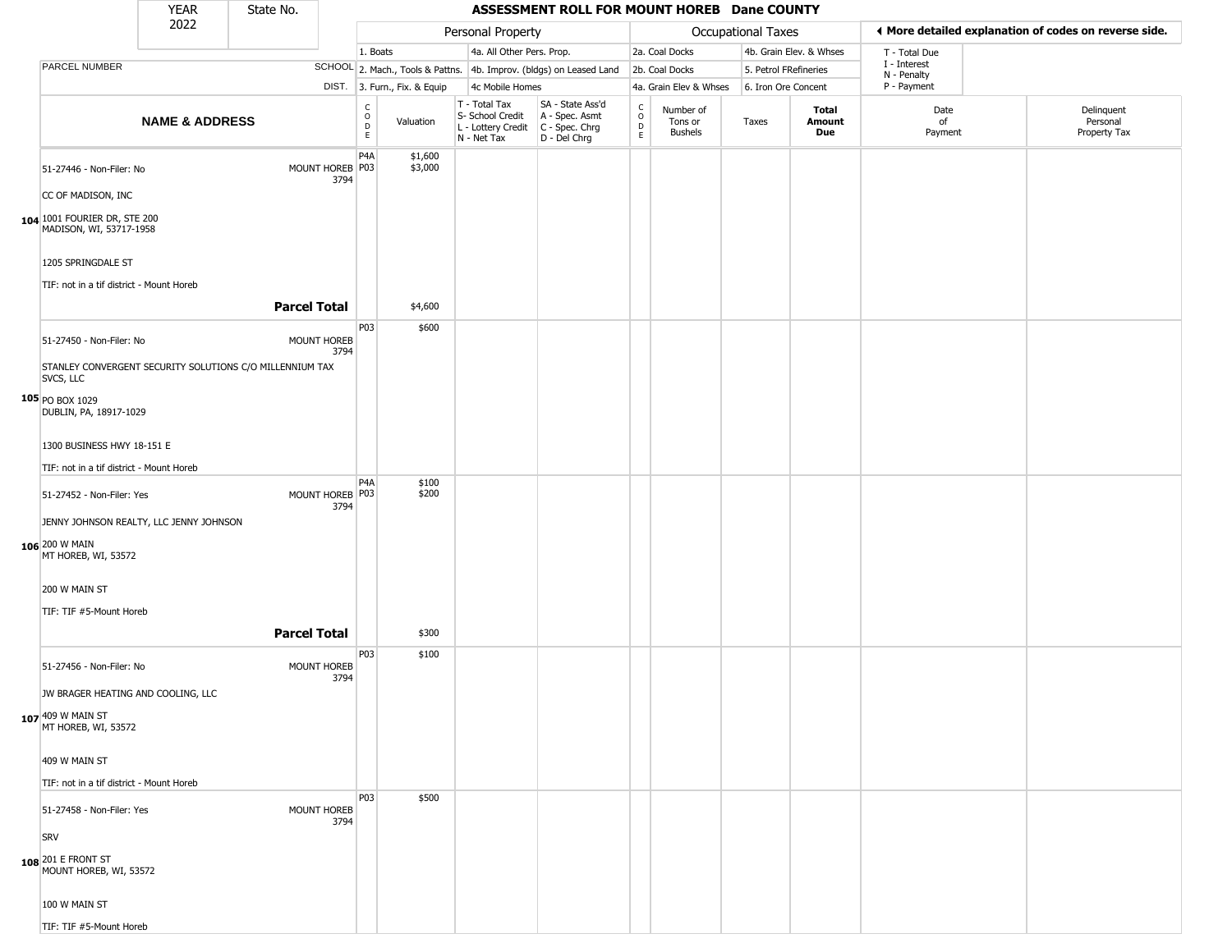|                                                                                  | <b>YEAR</b>               | State No.           |                         |                                                              |                              |                                                                        | ASSESSMENT ROLL FOR MOUNT HOREB Dane COUNTY                          |                                                 |                                        |                           |                         |                             |                                                       |
|----------------------------------------------------------------------------------|---------------------------|---------------------|-------------------------|--------------------------------------------------------------|------------------------------|------------------------------------------------------------------------|----------------------------------------------------------------------|-------------------------------------------------|----------------------------------------|---------------------------|-------------------------|-----------------------------|-------------------------------------------------------|
|                                                                                  | 2022                      |                     |                         |                                                              |                              | Personal Property                                                      |                                                                      |                                                 |                                        | <b>Occupational Taxes</b> |                         |                             | ◀ More detailed explanation of codes on reverse side. |
|                                                                                  |                           |                     |                         | 1. Boats                                                     |                              | 4a. All Other Pers. Prop.                                              |                                                                      |                                                 | 2a. Coal Docks                         |                           | 4b. Grain Elev. & Whses | T - Total Due               |                                                       |
| PARCEL NUMBER                                                                    |                           |                     |                         |                                                              |                              |                                                                        | SCHOOL 2. Mach., Tools & Pattns. 4b. Improv. (bldgs) on Leased Land  |                                                 | 2b. Coal Docks                         | 5. Petrol FRefineries     |                         | I - Interest<br>N - Penalty |                                                       |
|                                                                                  |                           |                     |                         |                                                              | DIST. 3. Furn., Fix. & Equip | 4c Mobile Homes                                                        |                                                                      |                                                 | 4a. Grain Elev & Whses                 | 6. Iron Ore Concent       |                         | P - Payment                 |                                                       |
|                                                                                  | <b>NAME &amp; ADDRESS</b> |                     |                         | $\mathsf{C}$<br>$\begin{array}{c}\n0 \\ D \\ E\n\end{array}$ | Valuation                    | T - Total Tax<br>S- School Credit<br>L - Lottery Credit<br>N - Net Tax | SA - State Ass'd<br>A - Spec. Asmt<br>C - Spec. Chrg<br>D - Del Chrg | $\begin{array}{c} C \\ O \\ D \\ E \end{array}$ | Number of<br>Tons or<br><b>Bushels</b> | Taxes                     | Total<br>Amount<br>Due  | Date<br>of<br>Payment       | Delinquent<br>Personal<br>Property Tax                |
| 51-27446 - Non-Filer: No<br>CC OF MADISON, INC                                   |                           |                     | MOUNT HOREB P03<br>3794 | P <sub>4</sub> A                                             | \$1,600<br>\$3,000           |                                                                        |                                                                      |                                                 |                                        |                           |                         |                             |                                                       |
| 104 1001 FOURIER DR, STE 200<br>MADISON, WI, 53717-1958                          |                           |                     |                         |                                                              |                              |                                                                        |                                                                      |                                                 |                                        |                           |                         |                             |                                                       |
| 1205 SPRINGDALE ST                                                               |                           |                     |                         |                                                              |                              |                                                                        |                                                                      |                                                 |                                        |                           |                         |                             |                                                       |
| TIF: not in a tif district - Mount Horeb                                         |                           | <b>Parcel Total</b> |                         |                                                              | \$4,600                      |                                                                        |                                                                      |                                                 |                                        |                           |                         |                             |                                                       |
| 51-27450 - Non-Filer: No                                                         |                           |                     | MOUNT HOREB<br>3794     | P03                                                          | \$600                        |                                                                        |                                                                      |                                                 |                                        |                           |                         |                             |                                                       |
| STANLEY CONVERGENT SECURITY SOLUTIONS C/O MILLENNIUM TAX<br>SVCS, LLC            |                           |                     |                         |                                                              |                              |                                                                        |                                                                      |                                                 |                                        |                           |                         |                             |                                                       |
| 105 PO BOX 1029<br>DUBLIN, PA, 18917-1029                                        |                           |                     |                         |                                                              |                              |                                                                        |                                                                      |                                                 |                                        |                           |                         |                             |                                                       |
| 1300 BUSINESS HWY 18-151 E                                                       |                           |                     |                         |                                                              |                              |                                                                        |                                                                      |                                                 |                                        |                           |                         |                             |                                                       |
| TIF: not in a tif district - Mount Horeb                                         |                           |                     |                         | P4A                                                          | \$100                        |                                                                        |                                                                      |                                                 |                                        |                           |                         |                             |                                                       |
| 51-27452 - Non-Filer: Yes                                                        |                           |                     | MOUNT HOREB P03<br>3794 |                                                              | \$200                        |                                                                        |                                                                      |                                                 |                                        |                           |                         |                             |                                                       |
| JENNY JOHNSON REALTY, LLC JENNY JOHNSON<br>106 200 W MAIN<br>MT HOREB, WI, 53572 |                           |                     |                         |                                                              |                              |                                                                        |                                                                      |                                                 |                                        |                           |                         |                             |                                                       |
| 200 W MAIN ST<br>TIF: TIF #5-Mount Horeb                                         |                           |                     |                         |                                                              |                              |                                                                        |                                                                      |                                                 |                                        |                           |                         |                             |                                                       |
|                                                                                  |                           | <b>Parcel Total</b> |                         |                                                              | \$300                        |                                                                        |                                                                      |                                                 |                                        |                           |                         |                             |                                                       |
| 51-27456 - Non-Filer: No                                                         |                           |                     | MOUNT HOREB<br>3794     | P03                                                          | \$100                        |                                                                        |                                                                      |                                                 |                                        |                           |                         |                             |                                                       |
| JW BRAGER HEATING AND COOLING, LLC                                               |                           |                     |                         |                                                              |                              |                                                                        |                                                                      |                                                 |                                        |                           |                         |                             |                                                       |
| 107 409 W MAIN ST<br>MT HOREB, WI, 53572                                         |                           |                     |                         |                                                              |                              |                                                                        |                                                                      |                                                 |                                        |                           |                         |                             |                                                       |
| 409 W MAIN ST                                                                    |                           |                     |                         |                                                              |                              |                                                                        |                                                                      |                                                 |                                        |                           |                         |                             |                                                       |
| TIF: not in a tif district - Mount Horeb                                         |                           |                     |                         | P03                                                          | \$500                        |                                                                        |                                                                      |                                                 |                                        |                           |                         |                             |                                                       |
| 51-27458 - Non-Filer: Yes                                                        |                           |                     | MOUNT HOREB<br>3794     |                                                              |                              |                                                                        |                                                                      |                                                 |                                        |                           |                         |                             |                                                       |
| SRV<br>108 201 E FRONT ST<br>MOUNT HOREB, WI, 53572                              |                           |                     |                         |                                                              |                              |                                                                        |                                                                      |                                                 |                                        |                           |                         |                             |                                                       |
| 100 W MAIN ST                                                                    |                           |                     |                         |                                                              |                              |                                                                        |                                                                      |                                                 |                                        |                           |                         |                             |                                                       |
| TIF: TIF #5-Mount Horeb                                                          |                           |                     |                         |                                                              |                              |                                                                        |                                                                      |                                                 |                                        |                           |                         |                             |                                                       |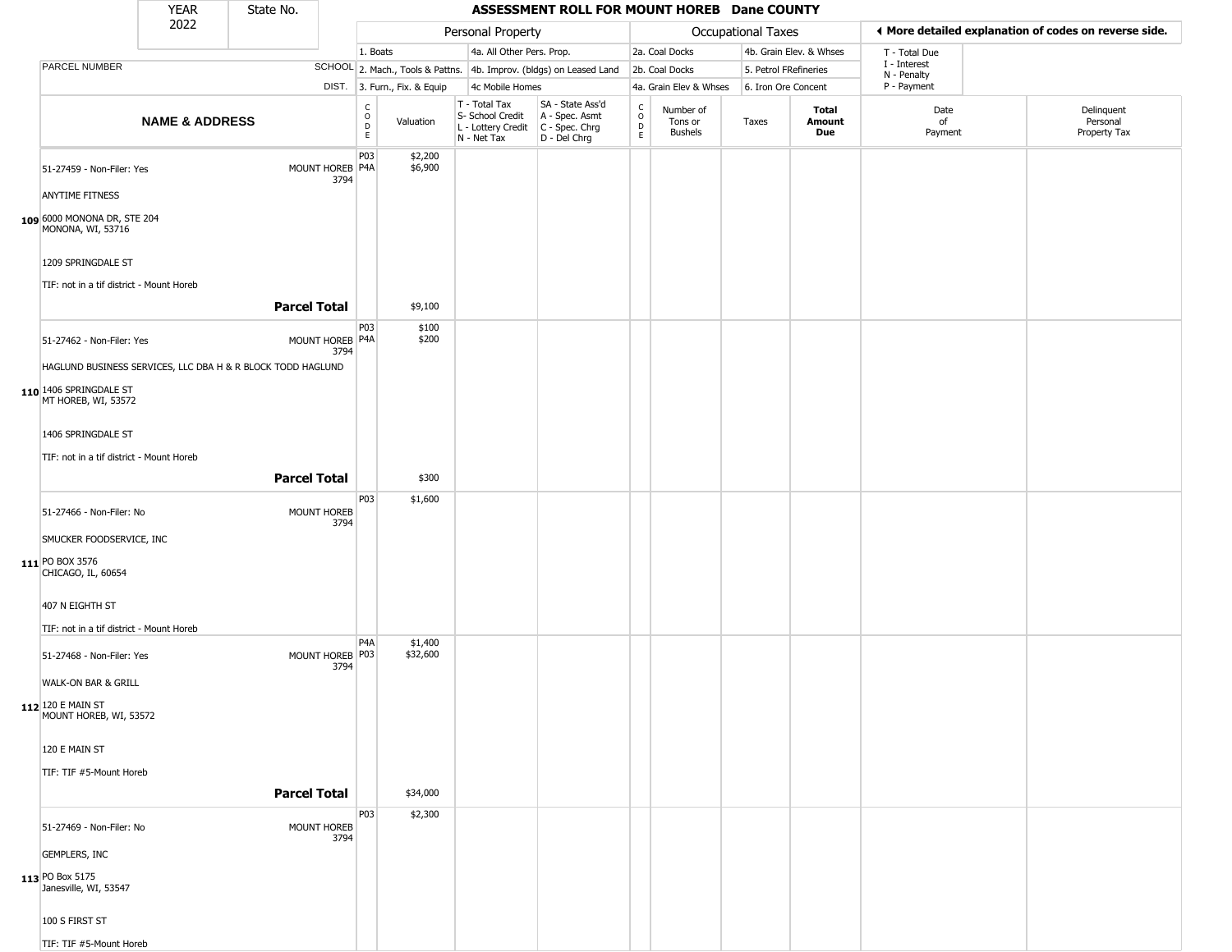|                                                                | <b>YEAR</b>               | State No.                                                   |                         |                              |                              |                                                                                         | ASSESSMENT ROLL FOR MOUNT HOREB Dane COUNTY                         |                                     |                                        |                           |                         |                             |                                                       |
|----------------------------------------------------------------|---------------------------|-------------------------------------------------------------|-------------------------|------------------------------|------------------------------|-----------------------------------------------------------------------------------------|---------------------------------------------------------------------|-------------------------------------|----------------------------------------|---------------------------|-------------------------|-----------------------------|-------------------------------------------------------|
|                                                                | 2022                      |                                                             |                         |                              |                              | Personal Property                                                                       |                                                                     |                                     |                                        | <b>Occupational Taxes</b> |                         |                             | ◀ More detailed explanation of codes on reverse side. |
|                                                                |                           |                                                             |                         | 1. Boats                     |                              | 4a. All Other Pers. Prop.                                                               |                                                                     |                                     | 2a. Coal Docks                         |                           | 4b. Grain Elev. & Whses | T - Total Due               |                                                       |
| PARCEL NUMBER                                                  |                           |                                                             |                         |                              |                              |                                                                                         | SCHOOL 2. Mach., Tools & Pattns. 4b. Improv. (bldgs) on Leased Land |                                     | 2b. Coal Docks                         | 5. Petrol FRefineries     |                         | I - Interest<br>N - Penalty |                                                       |
|                                                                |                           |                                                             |                         |                              | DIST. 3. Furn., Fix. & Equip | 4c Mobile Homes                                                                         |                                                                     |                                     | 4a. Grain Elev & Whses                 | 6. Iron Ore Concent       |                         | P - Payment                 |                                                       |
|                                                                | <b>NAME &amp; ADDRESS</b> |                                                             |                         | $_{\rm o}^{\rm c}$<br>D<br>E | Valuation                    | T - Total Tax<br>S- School Credit<br>L - Lottery Credit   C - Spec. Chrg<br>N - Net Tax | SA - State Ass'd<br>A - Spec. Asmt<br>D - Del Chrg                  | $_{\rm o}^{\rm c}$<br>$\frac{D}{E}$ | Number of<br>Tons or<br><b>Bushels</b> | Taxes                     | Total<br>Amount<br>Due  | Date<br>of<br>Payment       | Delinquent<br>Personal<br>Property Tax                |
| 51-27459 - Non-Filer: Yes                                      |                           |                                                             | MOUNT HOREB P4A<br>3794 | P03                          | \$2,200<br>\$6,900           |                                                                                         |                                                                     |                                     |                                        |                           |                         |                             |                                                       |
| <b>ANYTIME FITNESS</b>                                         |                           |                                                             |                         |                              |                              |                                                                                         |                                                                     |                                     |                                        |                           |                         |                             |                                                       |
| 109 6000 MONONA DR, STE 204<br>MONONA, WI, 53716               |                           |                                                             |                         |                              |                              |                                                                                         |                                                                     |                                     |                                        |                           |                         |                             |                                                       |
| 1209 SPRINGDALE ST<br>TIF: not in a tif district - Mount Horeb |                           |                                                             |                         |                              |                              |                                                                                         |                                                                     |                                     |                                        |                           |                         |                             |                                                       |
|                                                                |                           | <b>Parcel Total</b>                                         |                         |                              | \$9,100                      |                                                                                         |                                                                     |                                     |                                        |                           |                         |                             |                                                       |
| 51-27462 - Non-Filer: Yes                                      |                           |                                                             | MOUNT HOREB P4A         | P03                          | \$100<br>\$200               |                                                                                         |                                                                     |                                     |                                        |                           |                         |                             |                                                       |
|                                                                |                           | HAGLUND BUSINESS SERVICES, LLC DBA H & R BLOCK TODD HAGLUND | 3794                    |                              |                              |                                                                                         |                                                                     |                                     |                                        |                           |                         |                             |                                                       |
| 110 1406 SPRINGDALE ST<br>MT HOREB, WI, 53572                  |                           |                                                             |                         |                              |                              |                                                                                         |                                                                     |                                     |                                        |                           |                         |                             |                                                       |
| 1406 SPRINGDALE ST                                             |                           |                                                             |                         |                              |                              |                                                                                         |                                                                     |                                     |                                        |                           |                         |                             |                                                       |
| TIF: not in a tif district - Mount Horeb                       |                           |                                                             |                         |                              |                              |                                                                                         |                                                                     |                                     |                                        |                           |                         |                             |                                                       |
|                                                                |                           | <b>Parcel Total</b>                                         |                         |                              | \$300                        |                                                                                         |                                                                     |                                     |                                        |                           |                         |                             |                                                       |
| 51-27466 - Non-Filer: No                                       |                           | <b>MOUNT HOREB</b>                                          | 3794                    | P03                          | \$1,600                      |                                                                                         |                                                                     |                                     |                                        |                           |                         |                             |                                                       |
| SMUCKER FOODSERVICE, INC                                       |                           |                                                             |                         |                              |                              |                                                                                         |                                                                     |                                     |                                        |                           |                         |                             |                                                       |
| 111 PO BOX 3576<br>CHICAGO, IL, 60654                          |                           |                                                             |                         |                              |                              |                                                                                         |                                                                     |                                     |                                        |                           |                         |                             |                                                       |
| 407 N EIGHTH ST                                                |                           |                                                             |                         |                              |                              |                                                                                         |                                                                     |                                     |                                        |                           |                         |                             |                                                       |
| TIF: not in a tif district - Mount Horeb                       |                           |                                                             |                         |                              |                              |                                                                                         |                                                                     |                                     |                                        |                           |                         |                             |                                                       |
| 51-27468 - Non-Filer: Yes                                      |                           |                                                             | MOUNT HOREB P03<br>3794 | P4A                          | \$1,400<br>\$32,600          |                                                                                         |                                                                     |                                     |                                        |                           |                         |                             |                                                       |
| WALK-ON BAR & GRILL                                            |                           |                                                             |                         |                              |                              |                                                                                         |                                                                     |                                     |                                        |                           |                         |                             |                                                       |
| 112 120 E MAIN ST<br>MOUNT HOREB, WI, 53572                    |                           |                                                             |                         |                              |                              |                                                                                         |                                                                     |                                     |                                        |                           |                         |                             |                                                       |
| 120 E MAIN ST                                                  |                           |                                                             |                         |                              |                              |                                                                                         |                                                                     |                                     |                                        |                           |                         |                             |                                                       |
| TIF: TIF #5-Mount Horeb                                        |                           |                                                             |                         |                              |                              |                                                                                         |                                                                     |                                     |                                        |                           |                         |                             |                                                       |
|                                                                |                           | <b>Parcel Total</b>                                         |                         |                              | \$34,000                     |                                                                                         |                                                                     |                                     |                                        |                           |                         |                             |                                                       |
| 51-27469 - Non-Filer: No                                       |                           | MOUNT HOREB                                                 | 3794                    | P03                          | \$2,300                      |                                                                                         |                                                                     |                                     |                                        |                           |                         |                             |                                                       |
| <b>GEMPLERS, INC</b>                                           |                           |                                                             |                         |                              |                              |                                                                                         |                                                                     |                                     |                                        |                           |                         |                             |                                                       |
| 113 PO Box 5175<br>Janesville, WI, 53547                       |                           |                                                             |                         |                              |                              |                                                                                         |                                                                     |                                     |                                        |                           |                         |                             |                                                       |
| 100 S FIRST ST                                                 |                           |                                                             |                         |                              |                              |                                                                                         |                                                                     |                                     |                                        |                           |                         |                             |                                                       |
| TIF: TIF #5-Mount Horeb                                        |                           |                                                             |                         |                              |                              |                                                                                         |                                                                     |                                     |                                        |                           |                         |                             |                                                       |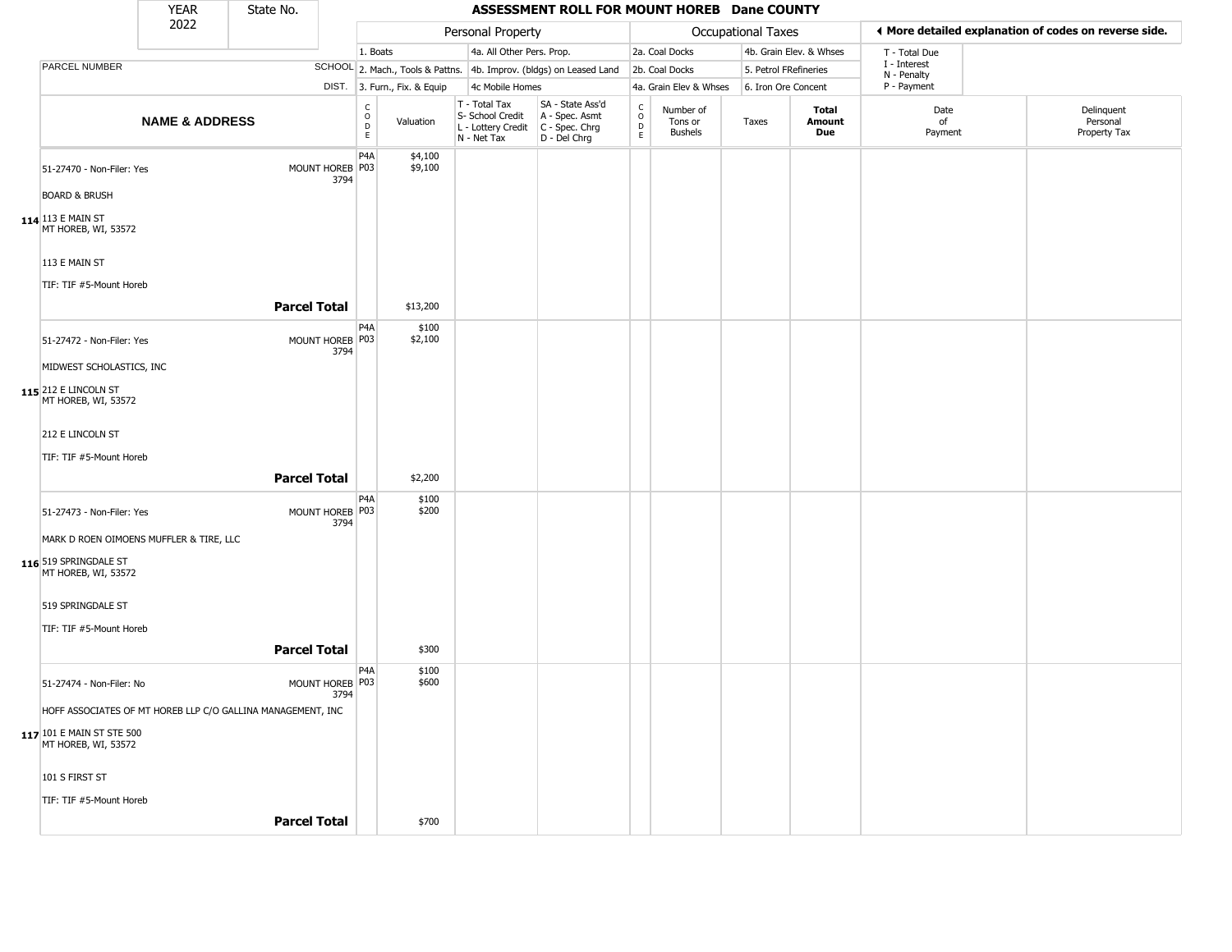|                                                                                         | <b>YEAR</b>               | State No.                                                   |                           |                                                   |                              |                                                                        | ASSESSMENT ROLL FOR MOUNT HOREB Dane COUNTY                          |                                     |                                        |                       |                         |                             |                                                       |
|-----------------------------------------------------------------------------------------|---------------------------|-------------------------------------------------------------|---------------------------|---------------------------------------------------|------------------------------|------------------------------------------------------------------------|----------------------------------------------------------------------|-------------------------------------|----------------------------------------|-----------------------|-------------------------|-----------------------------|-------------------------------------------------------|
|                                                                                         | 2022                      |                                                             |                           |                                                   |                              | Personal Property                                                      |                                                                      |                                     |                                        | Occupational Taxes    |                         |                             | ◀ More detailed explanation of codes on reverse side. |
|                                                                                         |                           |                                                             |                           | 1. Boats                                          |                              | 4a. All Other Pers. Prop.                                              |                                                                      |                                     | 2a. Coal Docks                         |                       | 4b. Grain Elev. & Whses | T - Total Due               |                                                       |
| PARCEL NUMBER                                                                           |                           |                                                             |                           |                                                   |                              |                                                                        | SCHOOL 2. Mach., Tools & Pattns. 4b. Improv. (bldgs) on Leased Land  |                                     | 2b. Coal Docks                         | 5. Petrol FRefineries |                         | I - Interest<br>N - Penalty |                                                       |
|                                                                                         |                           |                                                             |                           |                                                   | DIST. 3. Furn., Fix. & Equip | 4c Mobile Homes                                                        |                                                                      |                                     | 4a. Grain Elev & Whses                 | 6. Iron Ore Concent   |                         | P - Payment                 |                                                       |
|                                                                                         | <b>NAME &amp; ADDRESS</b> |                                                             |                           | $\begin{array}{c}\nC \\ O \\ D \\ E\n\end{array}$ | Valuation                    | T - Total Tax<br>S- School Credit<br>L - Lottery Credit<br>N - Net Tax | SA - State Ass'd<br>A - Spec. Asmt<br>C - Spec. Chrg<br>D - Del Chrg | C<br>$\circ$<br>D<br>$\mathsf{E}^-$ | Number of<br>Tons or<br><b>Bushels</b> | Taxes                 | Total<br>Amount<br>Due  | Date<br>of<br>Payment       | Delinquent<br>Personal<br>Property Tax                |
| 51-27470 - Non-Filer: Yes                                                               |                           |                                                             | MOUNT HOREB P03<br>3794   | P <sub>4</sub> A                                  | \$4,100<br>\$9,100           |                                                                        |                                                                      |                                     |                                        |                       |                         |                             |                                                       |
| <b>BOARD &amp; BRUSH</b>                                                                |                           |                                                             |                           |                                                   |                              |                                                                        |                                                                      |                                     |                                        |                       |                         |                             |                                                       |
| 114 113 E MAIN ST<br>MT HOREB, WI, 53572                                                |                           |                                                             |                           |                                                   |                              |                                                                        |                                                                      |                                     |                                        |                       |                         |                             |                                                       |
| 113 E MAIN ST                                                                           |                           |                                                             |                           |                                                   |                              |                                                                        |                                                                      |                                     |                                        |                       |                         |                             |                                                       |
| TIF: TIF #5-Mount Horeb                                                                 |                           | <b>Parcel Total</b>                                         |                           |                                                   | \$13,200                     |                                                                        |                                                                      |                                     |                                        |                       |                         |                             |                                                       |
|                                                                                         |                           |                                                             |                           | P4A                                               | \$100                        |                                                                        |                                                                      |                                     |                                        |                       |                         |                             |                                                       |
| 51-27472 - Non-Filer: Yes                                                               |                           |                                                             | MOUNT HOREB   P03<br>3794 |                                                   | \$2,100                      |                                                                        |                                                                      |                                     |                                        |                       |                         |                             |                                                       |
| MIDWEST SCHOLASTICS, INC                                                                |                           |                                                             |                           |                                                   |                              |                                                                        |                                                                      |                                     |                                        |                       |                         |                             |                                                       |
| 115 212 E LINCOLN ST<br>MT HOREB, WI, 53572                                             |                           |                                                             |                           |                                                   |                              |                                                                        |                                                                      |                                     |                                        |                       |                         |                             |                                                       |
| 212 E LINCOLN ST                                                                        |                           |                                                             |                           |                                                   |                              |                                                                        |                                                                      |                                     |                                        |                       |                         |                             |                                                       |
| TIF: TIF #5-Mount Horeb                                                                 |                           |                                                             |                           |                                                   |                              |                                                                        |                                                                      |                                     |                                        |                       |                         |                             |                                                       |
|                                                                                         |                           | <b>Parcel Total</b>                                         |                           |                                                   | \$2,200                      |                                                                        |                                                                      |                                     |                                        |                       |                         |                             |                                                       |
| 51-27473 - Non-Filer: Yes                                                               |                           |                                                             | MOUNT HOREB P03<br>3794   | P <sub>4</sub> A                                  | \$100<br>\$200               |                                                                        |                                                                      |                                     |                                        |                       |                         |                             |                                                       |
| MARK D ROEN OIMOENS MUFFLER & TIRE, LLC<br>116 519 SPRINGDALE ST<br>MT HOREB, WI, 53572 |                           |                                                             |                           |                                                   |                              |                                                                        |                                                                      |                                     |                                        |                       |                         |                             |                                                       |
| 519 SPRINGDALE ST<br>TIF: TIF #5-Mount Horeb                                            |                           |                                                             |                           |                                                   |                              |                                                                        |                                                                      |                                     |                                        |                       |                         |                             |                                                       |
|                                                                                         |                           | <b>Parcel Total</b>                                         |                           |                                                   | \$300                        |                                                                        |                                                                      |                                     |                                        |                       |                         |                             |                                                       |
| 51-27474 - Non-Filer: No                                                                |                           |                                                             | MOUNT HOREB P03<br>3794   | P4A                                               | \$100<br>\$600               |                                                                        |                                                                      |                                     |                                        |                       |                         |                             |                                                       |
| 117 101 E MAIN ST STE 500<br>MT HOREB, WI, 53572                                        |                           | HOFF ASSOCIATES OF MT HOREB LLP C/O GALLINA MANAGEMENT, INC |                           |                                                   |                              |                                                                        |                                                                      |                                     |                                        |                       |                         |                             |                                                       |
| 101 S FIRST ST<br>TIF: TIF #5-Mount Horeb                                               |                           |                                                             |                           |                                                   |                              |                                                                        |                                                                      |                                     |                                        |                       |                         |                             |                                                       |
|                                                                                         |                           | <b>Parcel Total</b>                                         |                           |                                                   | \$700                        |                                                                        |                                                                      |                                     |                                        |                       |                         |                             |                                                       |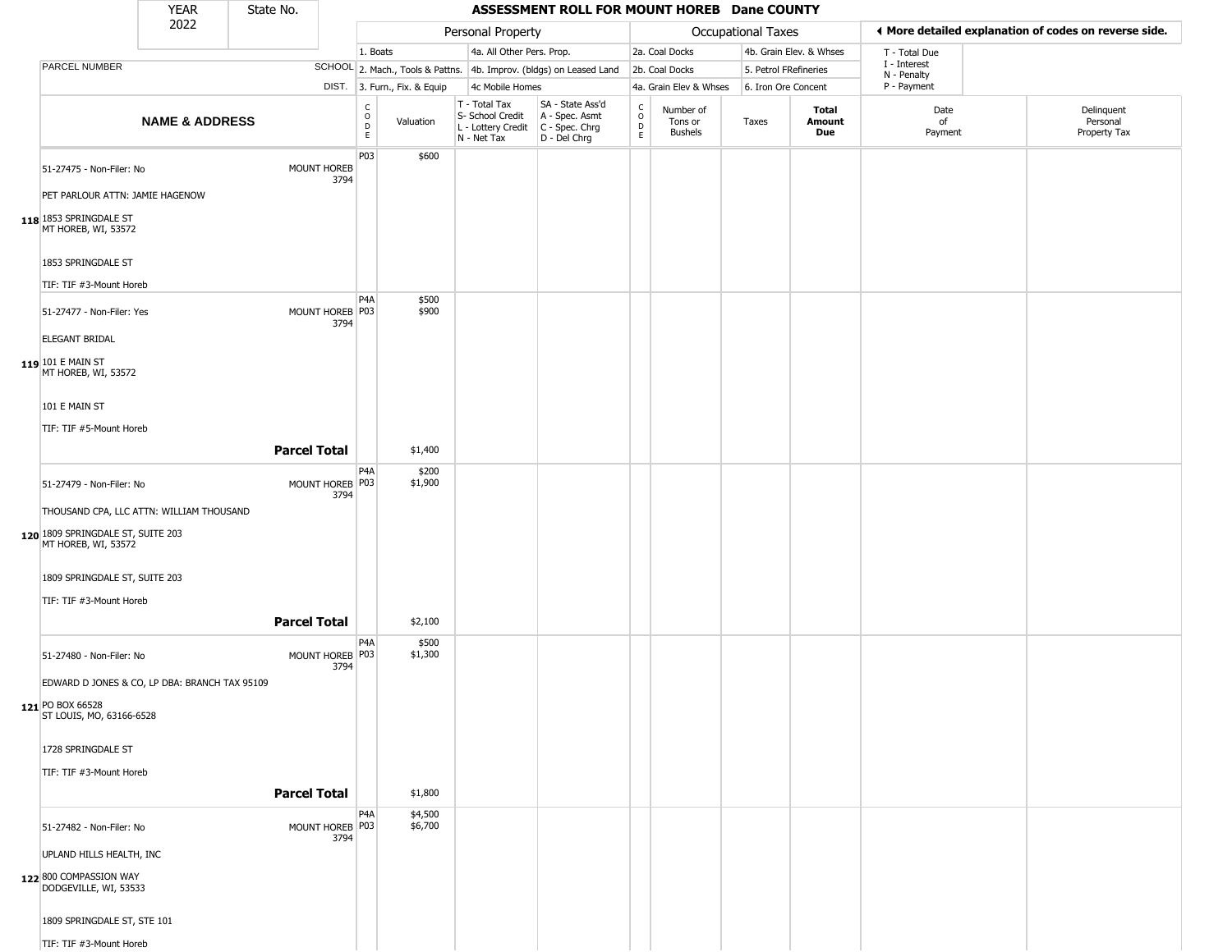|                                                                      | <b>YEAR</b>               | State No.           |                         |                                                                |                |                                                                                         | ASSESSMENT ROLL FOR MOUNT HOREB Dane COUNTY                         |                                     |                                        |                           |                         |                            |                                                       |
|----------------------------------------------------------------------|---------------------------|---------------------|-------------------------|----------------------------------------------------------------|----------------|-----------------------------------------------------------------------------------------|---------------------------------------------------------------------|-------------------------------------|----------------------------------------|---------------------------|-------------------------|----------------------------|-------------------------------------------------------|
|                                                                      | 2022                      |                     |                         |                                                                |                | Personal Property                                                                       |                                                                     |                                     |                                        | <b>Occupational Taxes</b> |                         |                            | ♦ More detailed explanation of codes on reverse side. |
|                                                                      |                           |                     |                         | 1. Boats                                                       |                | 4a. All Other Pers. Prop.                                                               |                                                                     |                                     | 2a. Coal Docks                         |                           | 4b. Grain Elev. & Whses | T - Total Due              |                                                       |
| PARCEL NUMBER                                                        |                           |                     |                         |                                                                |                |                                                                                         | SCHOOL 2. Mach., Tools & Pattns. 4b. Improv. (bldgs) on Leased Land |                                     | 2b. Coal Docks                         | 5. Petrol FRefineries     |                         | I - Interest               |                                                       |
|                                                                      |                           |                     |                         | DIST. 3. Furn., Fix. & Equip                                   |                | 4c Mobile Homes                                                                         |                                                                     |                                     | 4a. Grain Elev & Whses                 | 6. Iron Ore Concent       |                         | N - Penalty<br>P - Payment |                                                       |
|                                                                      | <b>NAME &amp; ADDRESS</b> |                     |                         | $\begin{array}{c}\nC \\ O \\ D \\ E\n\end{array}$<br>Valuation |                | T - Total Tax<br>S- School Credit<br>L - Lottery Credit   C - Spec. Chrg<br>N - Net Tax | SA - State Ass'd<br>A - Spec. Asmt<br>D - Del Chrg                  | $\int_{0}^{c}$<br>$\mathsf{D}$<br>E | Number of<br>Tons or<br><b>Bushels</b> | Taxes                     | Total<br>Amount<br>Due  | Date<br>of<br>Payment      | Delinquent<br>Personal<br>Property Tax                |
| 51-27475 - Non-Filer: No<br>PET PARLOUR ATTN: JAMIE HAGENOW          |                           |                     | MOUNT HOREB<br>3794     | P03                                                            | \$600          |                                                                                         |                                                                     |                                     |                                        |                           |                         |                            |                                                       |
| 118 1853 SPRINGDALE ST<br>MT HOREB, WI, 53572                        |                           |                     |                         |                                                                |                |                                                                                         |                                                                     |                                     |                                        |                           |                         |                            |                                                       |
| 1853 SPRINGDALE ST                                                   |                           |                     |                         |                                                                |                |                                                                                         |                                                                     |                                     |                                        |                           |                         |                            |                                                       |
| TIF: TIF #3-Mount Horeb                                              |                           |                     |                         |                                                                |                |                                                                                         |                                                                     |                                     |                                        |                           |                         |                            |                                                       |
| 51-27477 - Non-Filer: Yes<br>ELEGANT BRIDAL                          |                           |                     | MOUNT HOREB P03<br>3794 | P <sub>4</sub> A                                               | \$500<br>\$900 |                                                                                         |                                                                     |                                     |                                        |                           |                         |                            |                                                       |
| 119 101 E MAIN ST<br>MT HOREB, WI, 53572                             |                           |                     |                         |                                                                |                |                                                                                         |                                                                     |                                     |                                        |                           |                         |                            |                                                       |
| 101 E MAIN ST                                                        |                           |                     |                         |                                                                |                |                                                                                         |                                                                     |                                     |                                        |                           |                         |                            |                                                       |
| TIF: TIF #5-Mount Horeb                                              |                           |                     |                         |                                                                |                |                                                                                         |                                                                     |                                     |                                        |                           |                         |                            |                                                       |
|                                                                      |                           | <b>Parcel Total</b> |                         | \$1,400                                                        |                |                                                                                         |                                                                     |                                     |                                        |                           |                         |                            |                                                       |
|                                                                      |                           |                     |                         | P4A                                                            | \$200          |                                                                                         |                                                                     |                                     |                                        |                           |                         |                            |                                                       |
| 51-27479 - Non-Filer: No<br>THOUSAND CPA, LLC ATTN: WILLIAM THOUSAND |                           |                     | MOUNT HOREB P03<br>3794 | \$1,900                                                        |                |                                                                                         |                                                                     |                                     |                                        |                           |                         |                            |                                                       |
| 120 1809 SPRINGDALE ST, SUITE 203<br>MT HOREB, WI, 53572             |                           |                     |                         |                                                                |                |                                                                                         |                                                                     |                                     |                                        |                           |                         |                            |                                                       |
| 1809 SPRINGDALE ST, SUITE 203<br>TIF: TIF #3-Mount Horeb             |                           |                     |                         |                                                                |                |                                                                                         |                                                                     |                                     |                                        |                           |                         |                            |                                                       |
|                                                                      |                           |                     |                         |                                                                |                |                                                                                         |                                                                     |                                     |                                        |                           |                         |                            |                                                       |
|                                                                      |                           | <b>Parcel Total</b> |                         |                                                                | \$2,100        |                                                                                         |                                                                     |                                     |                                        |                           |                         |                            |                                                       |
| 51-27480 - Non-Filer: No                                             |                           |                     | MOUNT HOREB P03<br>3794 | P4A<br>\$1,300                                                 | \$500          |                                                                                         |                                                                     |                                     |                                        |                           |                         |                            |                                                       |
| EDWARD D JONES & CO, LP DBA: BRANCH TAX 95109                        |                           |                     |                         |                                                                |                |                                                                                         |                                                                     |                                     |                                        |                           |                         |                            |                                                       |
| 121 PO BOX 66528<br>ST LOUIS, MO, 63166-6528                         |                           |                     |                         |                                                                |                |                                                                                         |                                                                     |                                     |                                        |                           |                         |                            |                                                       |
| 1728 SPRINGDALE ST                                                   |                           |                     |                         |                                                                |                |                                                                                         |                                                                     |                                     |                                        |                           |                         |                            |                                                       |
| TIF: TIF #3-Mount Horeb                                              |                           |                     |                         |                                                                |                |                                                                                         |                                                                     |                                     |                                        |                           |                         |                            |                                                       |
|                                                                      |                           | <b>Parcel Total</b> |                         | \$1,800                                                        |                |                                                                                         |                                                                     |                                     |                                        |                           |                         |                            |                                                       |
| 51-27482 - Non-Filer: No                                             |                           |                     | MOUNT HOREB P03<br>3794 | P <sub>4</sub> A<br>\$4,500<br>\$6,700                         |                |                                                                                         |                                                                     |                                     |                                        |                           |                         |                            |                                                       |
| UPLAND HILLS HEALTH, INC                                             |                           |                     |                         |                                                                |                |                                                                                         |                                                                     |                                     |                                        |                           |                         |                            |                                                       |
| 122 800 COMPASSION WAY<br>DODGEVILLE, WI, 53533                      |                           |                     |                         |                                                                |                |                                                                                         |                                                                     |                                     |                                        |                           |                         |                            |                                                       |
| 1809 SPRINGDALE ST, STE 101                                          |                           |                     |                         |                                                                |                |                                                                                         |                                                                     |                                     |                                        |                           |                         |                            |                                                       |
| TIF: TIF #3-Mount Horeb                                              |                           |                     |                         |                                                                |                |                                                                                         |                                                                     |                                     |                                        |                           |                         |                            |                                                       |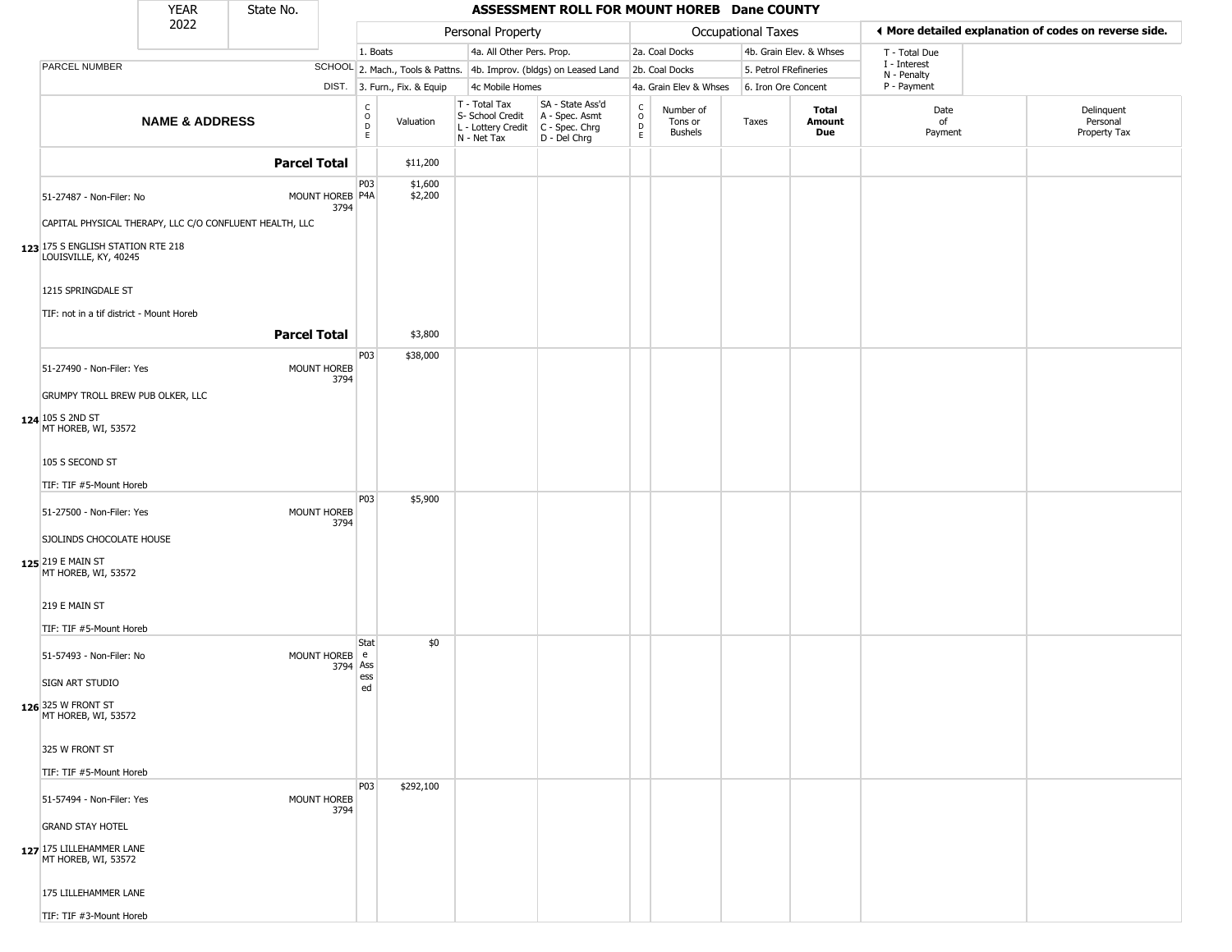| 2022<br><b>Occupational Taxes</b><br>◀ More detailed explanation of codes on reverse side.<br>Personal Property<br>4a. All Other Pers. Prop.<br>1. Boats<br>2a. Coal Docks<br>4b. Grain Elev. & Whses<br>T - Total Due<br>I - Interest<br>PARCEL NUMBER<br>SCHOOL 2. Mach., Tools & Pattns. 4b. Improv. (bldgs) on Leased Land<br>2b. Coal Docks<br>5. Petrol FRefineries<br>N - Penalty<br>P - Payment<br>DIST. 3. Furn., Fix. & Equip<br>4c Mobile Homes<br>4a. Grain Elev & Whses<br>6. Iron Ore Concent<br>T - Total Tax<br>SA - State Ass'd<br>$\begin{matrix} 0 \\ 0 \\ D \end{matrix}$<br>$\begin{array}{c} C \\ O \\ D \\ E \end{array}$<br>Number of<br>Total<br>Date<br>Delinquent<br>A - Spec. Asmt<br>S- School Credit<br><b>NAME &amp; ADDRESS</b><br>Amount<br>Personal<br>Valuation<br>Tons or<br>Taxes<br>of<br>C - Spec. Chrg<br>L - Lottery Credit<br><b>Due</b><br>Property Tax<br>Bushels<br>Payment<br>E.<br>D - Del Chrg<br>N - Net Tax<br><b>Parcel Total</b><br>\$11,200<br>P03<br>\$1,600<br>MOUNT HOREB P4A<br>\$2,200<br>51-27487 - Non-Filer: No<br>3794<br>CAPITAL PHYSICAL THERAPY, LLC C/O CONFLUENT HEALTH, LLC<br>123 175 S ENGLISH STATION RTE 218<br>LOUISVILLE, KY, 40245<br>1215 SPRINGDALE ST<br>TIF: not in a tif district - Mount Horeb<br><b>Parcel Total</b><br>\$3,800<br>P <sub>03</sub><br>\$38,000<br>MOUNT HOREB<br>51-27490 - Non-Filer: Yes<br>3794<br>GRUMPY TROLL BREW PUB OLKER, LLC<br>124 105 S 2ND ST<br>MT HOREB, WI, 53572<br>105 S SECOND ST<br>TIF: TIF #5-Mount Horeb<br>P03<br>\$5,900<br>MOUNT HOREB<br>51-27500 - Non-Filer: Yes<br>3794<br>SJOLINDS CHOCOLATE HOUSE<br>125 219 E MAIN ST<br>MT HOREB, WI, 53572<br>219 E MAIN ST<br>TIF: TIF #5-Mount Horeb<br>Stat<br>\$0<br>MOUNT HOREB e<br>51-57493 - Non-Filer: No<br>3794 Ass<br>ess<br>SIGN ART STUDIO<br>ed<br><b>126</b> 325 W FRONT ST<br>MT HOREB, WI, 53572<br>325 W FRONT ST<br>TIF: TIF #5-Mount Horeb<br>P03<br>\$292,100<br>51-57494 - Non-Filer: Yes<br><b>MOUNT HOREB</b><br>3794<br><b>GRAND STAY HOTEL</b><br>127 175 LILLEHAMMER LANE<br>MT HOREB, WI, 53572 |  | <b>YEAR</b> | State No. |  |  | ASSESSMENT ROLL FOR MOUNT HOREB Dane COUNTY |  |  |  |  |
|---------------------------------------------------------------------------------------------------------------------------------------------------------------------------------------------------------------------------------------------------------------------------------------------------------------------------------------------------------------------------------------------------------------------------------------------------------------------------------------------------------------------------------------------------------------------------------------------------------------------------------------------------------------------------------------------------------------------------------------------------------------------------------------------------------------------------------------------------------------------------------------------------------------------------------------------------------------------------------------------------------------------------------------------------------------------------------------------------------------------------------------------------------------------------------------------------------------------------------------------------------------------------------------------------------------------------------------------------------------------------------------------------------------------------------------------------------------------------------------------------------------------------------------------------------------------------------------------------------------------------------------------------------------------------------------------------------------------------------------------------------------------------------------------------------------------------------------------------------------------------------------------------------------------------------------------------------------------------------------------------------------------------------------------------------------------------------------------------|--|-------------|-----------|--|--|---------------------------------------------|--|--|--|--|
|                                                                                                                                                                                                                                                                                                                                                                                                                                                                                                                                                                                                                                                                                                                                                                                                                                                                                                                                                                                                                                                                                                                                                                                                                                                                                                                                                                                                                                                                                                                                                                                                                                                                                                                                                                                                                                                                                                                                                                                                                                                                                                   |  |             |           |  |  |                                             |  |  |  |  |
|                                                                                                                                                                                                                                                                                                                                                                                                                                                                                                                                                                                                                                                                                                                                                                                                                                                                                                                                                                                                                                                                                                                                                                                                                                                                                                                                                                                                                                                                                                                                                                                                                                                                                                                                                                                                                                                                                                                                                                                                                                                                                                   |  |             |           |  |  |                                             |  |  |  |  |
|                                                                                                                                                                                                                                                                                                                                                                                                                                                                                                                                                                                                                                                                                                                                                                                                                                                                                                                                                                                                                                                                                                                                                                                                                                                                                                                                                                                                                                                                                                                                                                                                                                                                                                                                                                                                                                                                                                                                                                                                                                                                                                   |  |             |           |  |  |                                             |  |  |  |  |
|                                                                                                                                                                                                                                                                                                                                                                                                                                                                                                                                                                                                                                                                                                                                                                                                                                                                                                                                                                                                                                                                                                                                                                                                                                                                                                                                                                                                                                                                                                                                                                                                                                                                                                                                                                                                                                                                                                                                                                                                                                                                                                   |  |             |           |  |  |                                             |  |  |  |  |
|                                                                                                                                                                                                                                                                                                                                                                                                                                                                                                                                                                                                                                                                                                                                                                                                                                                                                                                                                                                                                                                                                                                                                                                                                                                                                                                                                                                                                                                                                                                                                                                                                                                                                                                                                                                                                                                                                                                                                                                                                                                                                                   |  |             |           |  |  |                                             |  |  |  |  |
|                                                                                                                                                                                                                                                                                                                                                                                                                                                                                                                                                                                                                                                                                                                                                                                                                                                                                                                                                                                                                                                                                                                                                                                                                                                                                                                                                                                                                                                                                                                                                                                                                                                                                                                                                                                                                                                                                                                                                                                                                                                                                                   |  |             |           |  |  |                                             |  |  |  |  |
|                                                                                                                                                                                                                                                                                                                                                                                                                                                                                                                                                                                                                                                                                                                                                                                                                                                                                                                                                                                                                                                                                                                                                                                                                                                                                                                                                                                                                                                                                                                                                                                                                                                                                                                                                                                                                                                                                                                                                                                                                                                                                                   |  |             |           |  |  |                                             |  |  |  |  |
|                                                                                                                                                                                                                                                                                                                                                                                                                                                                                                                                                                                                                                                                                                                                                                                                                                                                                                                                                                                                                                                                                                                                                                                                                                                                                                                                                                                                                                                                                                                                                                                                                                                                                                                                                                                                                                                                                                                                                                                                                                                                                                   |  |             |           |  |  |                                             |  |  |  |  |
|                                                                                                                                                                                                                                                                                                                                                                                                                                                                                                                                                                                                                                                                                                                                                                                                                                                                                                                                                                                                                                                                                                                                                                                                                                                                                                                                                                                                                                                                                                                                                                                                                                                                                                                                                                                                                                                                                                                                                                                                                                                                                                   |  |             |           |  |  |                                             |  |  |  |  |
|                                                                                                                                                                                                                                                                                                                                                                                                                                                                                                                                                                                                                                                                                                                                                                                                                                                                                                                                                                                                                                                                                                                                                                                                                                                                                                                                                                                                                                                                                                                                                                                                                                                                                                                                                                                                                                                                                                                                                                                                                                                                                                   |  |             |           |  |  |                                             |  |  |  |  |
|                                                                                                                                                                                                                                                                                                                                                                                                                                                                                                                                                                                                                                                                                                                                                                                                                                                                                                                                                                                                                                                                                                                                                                                                                                                                                                                                                                                                                                                                                                                                                                                                                                                                                                                                                                                                                                                                                                                                                                                                                                                                                                   |  |             |           |  |  |                                             |  |  |  |  |
|                                                                                                                                                                                                                                                                                                                                                                                                                                                                                                                                                                                                                                                                                                                                                                                                                                                                                                                                                                                                                                                                                                                                                                                                                                                                                                                                                                                                                                                                                                                                                                                                                                                                                                                                                                                                                                                                                                                                                                                                                                                                                                   |  |             |           |  |  |                                             |  |  |  |  |
|                                                                                                                                                                                                                                                                                                                                                                                                                                                                                                                                                                                                                                                                                                                                                                                                                                                                                                                                                                                                                                                                                                                                                                                                                                                                                                                                                                                                                                                                                                                                                                                                                                                                                                                                                                                                                                                                                                                                                                                                                                                                                                   |  |             |           |  |  |                                             |  |  |  |  |
|                                                                                                                                                                                                                                                                                                                                                                                                                                                                                                                                                                                                                                                                                                                                                                                                                                                                                                                                                                                                                                                                                                                                                                                                                                                                                                                                                                                                                                                                                                                                                                                                                                                                                                                                                                                                                                                                                                                                                                                                                                                                                                   |  |             |           |  |  |                                             |  |  |  |  |
|                                                                                                                                                                                                                                                                                                                                                                                                                                                                                                                                                                                                                                                                                                                                                                                                                                                                                                                                                                                                                                                                                                                                                                                                                                                                                                                                                                                                                                                                                                                                                                                                                                                                                                                                                                                                                                                                                                                                                                                                                                                                                                   |  |             |           |  |  |                                             |  |  |  |  |
|                                                                                                                                                                                                                                                                                                                                                                                                                                                                                                                                                                                                                                                                                                                                                                                                                                                                                                                                                                                                                                                                                                                                                                                                                                                                                                                                                                                                                                                                                                                                                                                                                                                                                                                                                                                                                                                                                                                                                                                                                                                                                                   |  |             |           |  |  |                                             |  |  |  |  |
|                                                                                                                                                                                                                                                                                                                                                                                                                                                                                                                                                                                                                                                                                                                                                                                                                                                                                                                                                                                                                                                                                                                                                                                                                                                                                                                                                                                                                                                                                                                                                                                                                                                                                                                                                                                                                                                                                                                                                                                                                                                                                                   |  |             |           |  |  |                                             |  |  |  |  |
|                                                                                                                                                                                                                                                                                                                                                                                                                                                                                                                                                                                                                                                                                                                                                                                                                                                                                                                                                                                                                                                                                                                                                                                                                                                                                                                                                                                                                                                                                                                                                                                                                                                                                                                                                                                                                                                                                                                                                                                                                                                                                                   |  |             |           |  |  |                                             |  |  |  |  |
|                                                                                                                                                                                                                                                                                                                                                                                                                                                                                                                                                                                                                                                                                                                                                                                                                                                                                                                                                                                                                                                                                                                                                                                                                                                                                                                                                                                                                                                                                                                                                                                                                                                                                                                                                                                                                                                                                                                                                                                                                                                                                                   |  |             |           |  |  |                                             |  |  |  |  |
|                                                                                                                                                                                                                                                                                                                                                                                                                                                                                                                                                                                                                                                                                                                                                                                                                                                                                                                                                                                                                                                                                                                                                                                                                                                                                                                                                                                                                                                                                                                                                                                                                                                                                                                                                                                                                                                                                                                                                                                                                                                                                                   |  |             |           |  |  |                                             |  |  |  |  |
|                                                                                                                                                                                                                                                                                                                                                                                                                                                                                                                                                                                                                                                                                                                                                                                                                                                                                                                                                                                                                                                                                                                                                                                                                                                                                                                                                                                                                                                                                                                                                                                                                                                                                                                                                                                                                                                                                                                                                                                                                                                                                                   |  |             |           |  |  |                                             |  |  |  |  |
|                                                                                                                                                                                                                                                                                                                                                                                                                                                                                                                                                                                                                                                                                                                                                                                                                                                                                                                                                                                                                                                                                                                                                                                                                                                                                                                                                                                                                                                                                                                                                                                                                                                                                                                                                                                                                                                                                                                                                                                                                                                                                                   |  |             |           |  |  |                                             |  |  |  |  |
|                                                                                                                                                                                                                                                                                                                                                                                                                                                                                                                                                                                                                                                                                                                                                                                                                                                                                                                                                                                                                                                                                                                                                                                                                                                                                                                                                                                                                                                                                                                                                                                                                                                                                                                                                                                                                                                                                                                                                                                                                                                                                                   |  |             |           |  |  |                                             |  |  |  |  |
|                                                                                                                                                                                                                                                                                                                                                                                                                                                                                                                                                                                                                                                                                                                                                                                                                                                                                                                                                                                                                                                                                                                                                                                                                                                                                                                                                                                                                                                                                                                                                                                                                                                                                                                                                                                                                                                                                                                                                                                                                                                                                                   |  |             |           |  |  |                                             |  |  |  |  |
| 175 LILLEHAMMER LANE<br>TIF: TIF #3-Mount Horeb                                                                                                                                                                                                                                                                                                                                                                                                                                                                                                                                                                                                                                                                                                                                                                                                                                                                                                                                                                                                                                                                                                                                                                                                                                                                                                                                                                                                                                                                                                                                                                                                                                                                                                                                                                                                                                                                                                                                                                                                                                                   |  |             |           |  |  |                                             |  |  |  |  |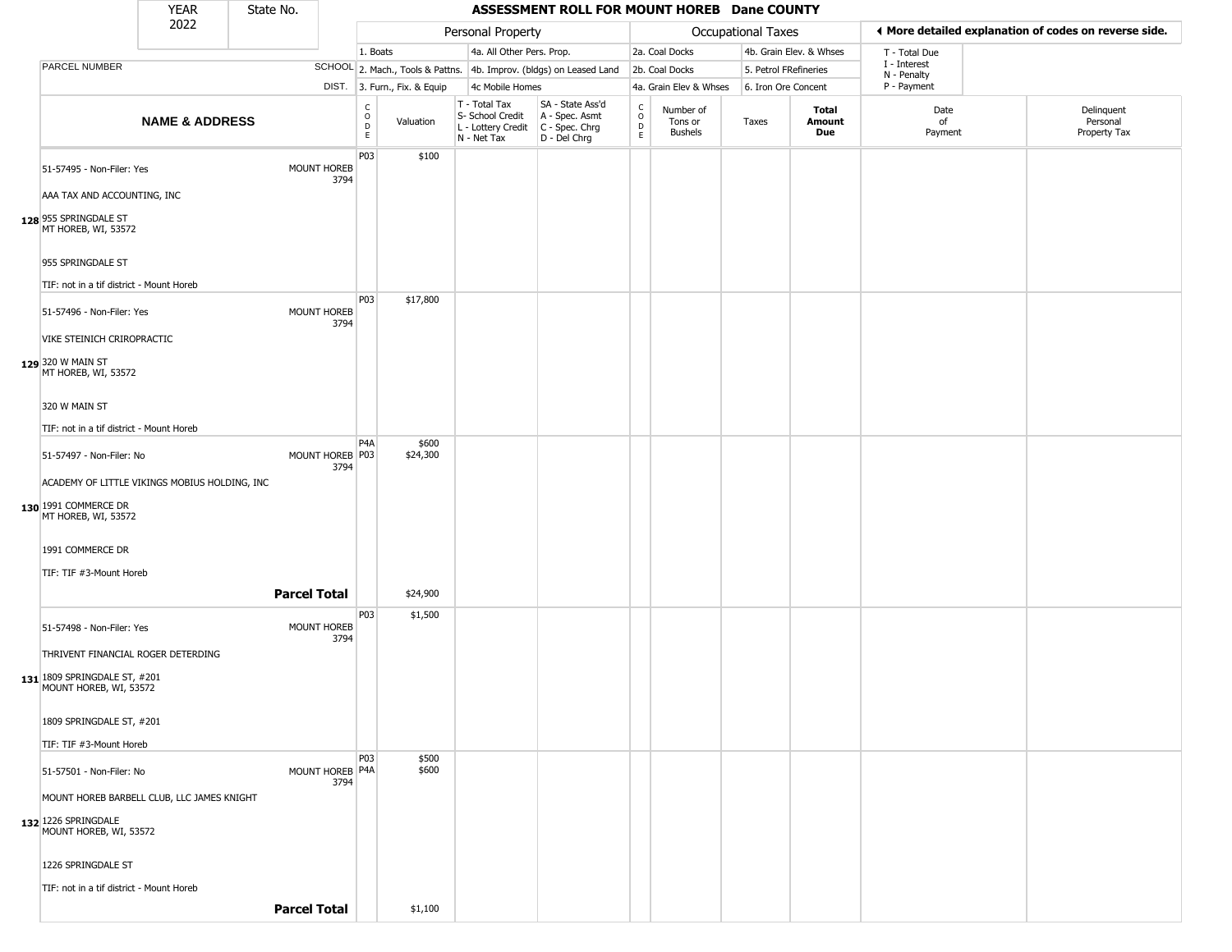|                                                                                              | <b>YEAR</b>               | State No.           |                            |                                                |                              |                                                                                         | ASSESSMENT ROLL FOR MOUNT HOREB Dane COUNTY                         |                                        |                                        |                     |                         |                             |                                                       |
|----------------------------------------------------------------------------------------------|---------------------------|---------------------|----------------------------|------------------------------------------------|------------------------------|-----------------------------------------------------------------------------------------|---------------------------------------------------------------------|----------------------------------------|----------------------------------------|---------------------|-------------------------|-----------------------------|-------------------------------------------------------|
|                                                                                              | 2022                      |                     |                            |                                                |                              | Personal Property                                                                       |                                                                     |                                        |                                        | Occupational Taxes  |                         |                             | I More detailed explanation of codes on reverse side. |
|                                                                                              |                           |                     |                            | 1. Boats                                       |                              | 4a. All Other Pers. Prop.                                                               |                                                                     |                                        | 2a. Coal Docks                         |                     | 4b. Grain Elev. & Whses | T - Total Due               |                                                       |
| PARCEL NUMBER                                                                                |                           |                     |                            |                                                |                              |                                                                                         | SCHOOL 2. Mach., Tools & Pattns. 4b. Improv. (bldgs) on Leased Land |                                        | 2b. Coal Docks                         |                     | 5. Petrol FRefineries   | I - Interest<br>N - Penalty |                                                       |
|                                                                                              |                           |                     |                            |                                                | DIST. 3. Furn., Fix. & Equip | 4c Mobile Homes                                                                         |                                                                     |                                        | 4a. Grain Elev & Whses                 | 6. Iron Ore Concent |                         | P - Payment                 |                                                       |
|                                                                                              | <b>NAME &amp; ADDRESS</b> |                     |                            | C<br>$\mathsf O$<br>$\mathsf D$<br>$\mathsf E$ | Valuation                    | T - Total Tax<br>S- School Credit<br>L - Lottery Credit   C - Spec. Chrg<br>N - Net Tax | SA - State Ass'd<br>A - Spec. Asmt<br>D - Del Chrg                  | $\delta$<br>$\mathsf D$<br>$\mathsf E$ | Number of<br>Tons or<br><b>Bushels</b> | Taxes               | Total<br>Amount<br>Due  | Date<br>of<br>Payment       | Delinquent<br>Personal<br>Property Tax                |
| 51-57495 - Non-Filer: Yes<br>AAA TAX AND ACCOUNTING, INC<br>128 955 SPRINGDALE ST            |                           |                     | MOUNT HOREB<br>3794        | P03                                            | \$100                        |                                                                                         |                                                                     |                                        |                                        |                     |                         |                             |                                                       |
| MT HOREB, WI, 53572<br>955 SPRINGDALE ST<br>TIF: not in a tif district - Mount Horeb         |                           |                     |                            |                                                |                              |                                                                                         |                                                                     |                                        |                                        |                     |                         |                             |                                                       |
| 51-57496 - Non-Filer: Yes<br>VIKE STEINICH CRIROPRACTIC                                      |                           |                     | MOUNT HOREB<br>3794        | P03                                            | \$17,800                     |                                                                                         |                                                                     |                                        |                                        |                     |                         |                             |                                                       |
| 129 320 W MAIN ST<br>MT HOREB, WI, 53572                                                     |                           |                     |                            |                                                |                              |                                                                                         |                                                                     |                                        |                                        |                     |                         |                             |                                                       |
| 320 W MAIN ST                                                                                |                           |                     |                            |                                                |                              |                                                                                         |                                                                     |                                        |                                        |                     |                         |                             |                                                       |
| TIF: not in a tif district - Mount Horeb                                                     |                           |                     |                            | P4A                                            | \$600                        |                                                                                         |                                                                     |                                        |                                        |                     |                         |                             |                                                       |
| 51-57497 - Non-Filer: No                                                                     |                           |                     | MOUNT HOREB P03<br>3794    |                                                | \$24,300                     |                                                                                         |                                                                     |                                        |                                        |                     |                         |                             |                                                       |
| ACADEMY OF LITTLE VIKINGS MOBIUS HOLDING, INC<br>130 1991 COMMERCE DR<br>MT HOREB, WI, 53572 |                           |                     |                            |                                                |                              |                                                                                         |                                                                     |                                        |                                        |                     |                         |                             |                                                       |
| 1991 COMMERCE DR                                                                             |                           |                     |                            |                                                |                              |                                                                                         |                                                                     |                                        |                                        |                     |                         |                             |                                                       |
| TIF: TIF #3-Mount Horeb                                                                      |                           |                     |                            |                                                |                              |                                                                                         |                                                                     |                                        |                                        |                     |                         |                             |                                                       |
|                                                                                              |                           | <b>Parcel Total</b> |                            | P03                                            | \$24,900<br>\$1,500          |                                                                                         |                                                                     |                                        |                                        |                     |                         |                             |                                                       |
| 51-57498 - Non-Filer: Yes                                                                    |                           |                     | <b>MOUNT HOREB</b><br>3794 |                                                |                              |                                                                                         |                                                                     |                                        |                                        |                     |                         |                             |                                                       |
| THRIVENT FINANCIAL ROGER DETERDING<br>131 1809 SPRINGDALE ST, #201<br>MOUNT HOREB, WI, 53572 |                           |                     |                            |                                                |                              |                                                                                         |                                                                     |                                        |                                        |                     |                         |                             |                                                       |
| 1809 SPRINGDALE ST, #201                                                                     |                           |                     |                            |                                                |                              |                                                                                         |                                                                     |                                        |                                        |                     |                         |                             |                                                       |
| TIF: TIF #3-Mount Horeb                                                                      |                           |                     |                            |                                                |                              |                                                                                         |                                                                     |                                        |                                        |                     |                         |                             |                                                       |
| 51-57501 - Non-Filer: No                                                                     |                           |                     | MOUNT HOREB P4A<br>3794    | P03                                            | \$500<br>\$600               |                                                                                         |                                                                     |                                        |                                        |                     |                         |                             |                                                       |
| MOUNT HOREB BARBELL CLUB, LLC JAMES KNIGHT                                                   |                           |                     |                            |                                                |                              |                                                                                         |                                                                     |                                        |                                        |                     |                         |                             |                                                       |
| 132 1226 SPRINGDALE<br>MOUNT HOREB, WI, 53572                                                |                           |                     |                            |                                                |                              |                                                                                         |                                                                     |                                        |                                        |                     |                         |                             |                                                       |
| 1226 SPRINGDALE ST                                                                           |                           |                     |                            |                                                |                              |                                                                                         |                                                                     |                                        |                                        |                     |                         |                             |                                                       |
| TIF: not in a tif district - Mount Horeb                                                     |                           |                     |                            |                                                |                              |                                                                                         |                                                                     |                                        |                                        |                     |                         |                             |                                                       |
|                                                                                              |                           | <b>Parcel Total</b> |                            |                                                | \$1,100                      |                                                                                         |                                                                     |                                        |                                        |                     |                         |                             |                                                       |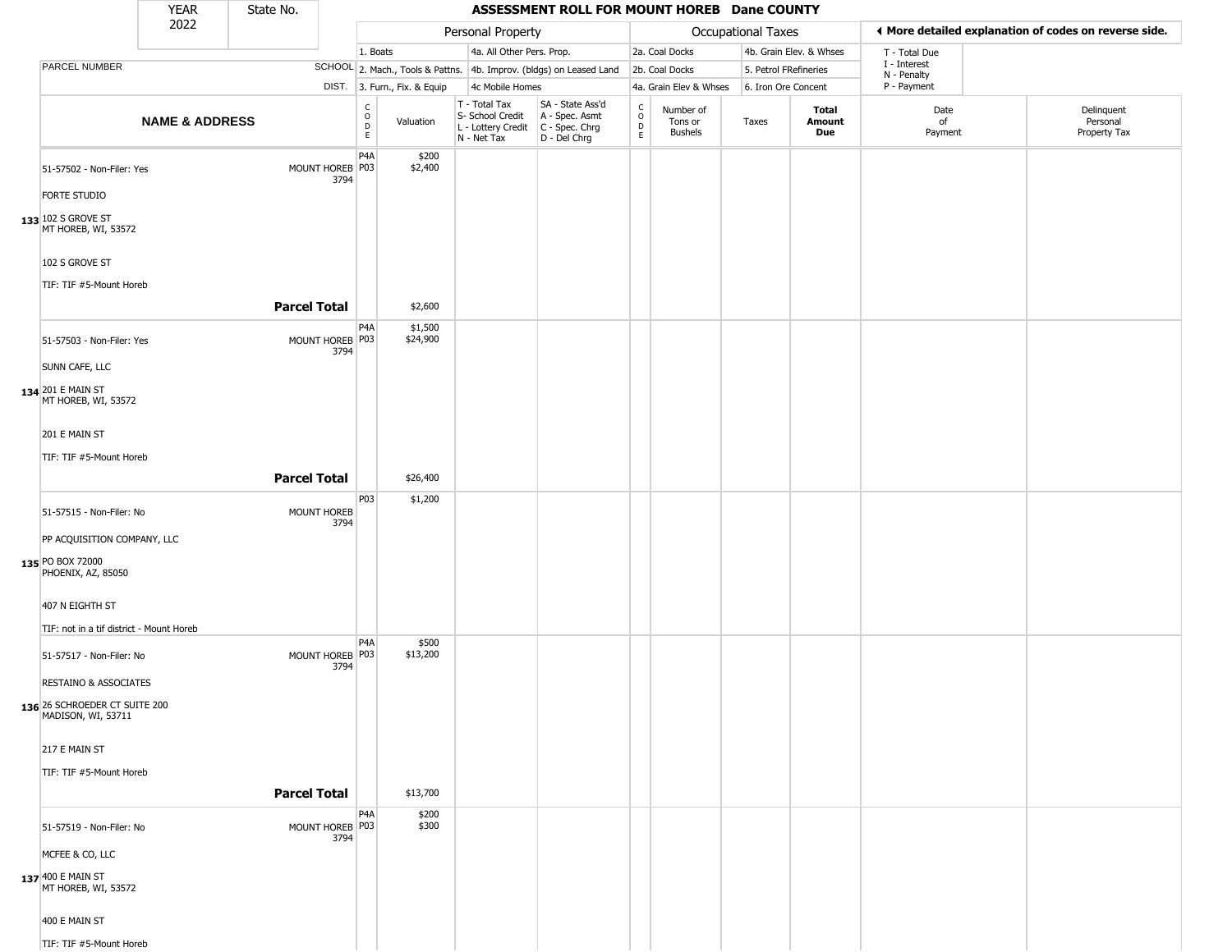|                                                                        | <b>YEAR</b>               | State No.           |                         |                                        |                              |                                                                        | ASSESSMENT ROLL FOR MOUNT HOREB Dane COUNTY                          |                                                                    |                                 |                       |                         |                             |                                                       |
|------------------------------------------------------------------------|---------------------------|---------------------|-------------------------|----------------------------------------|------------------------------|------------------------------------------------------------------------|----------------------------------------------------------------------|--------------------------------------------------------------------|---------------------------------|-----------------------|-------------------------|-----------------------------|-------------------------------------------------------|
|                                                                        | 2022                      |                     |                         |                                        |                              | Personal Property                                                      |                                                                      |                                                                    |                                 | Occupational Taxes    |                         |                             | ♦ More detailed explanation of codes on reverse side. |
|                                                                        |                           |                     |                         | 1. Boats                               |                              | 4a. All Other Pers. Prop.                                              |                                                                      |                                                                    | 2a. Coal Docks                  |                       | 4b. Grain Elev. & Whses | T - Total Due               |                                                       |
| PARCEL NUMBER                                                          |                           |                     |                         |                                        |                              |                                                                        | SCHOOL 2. Mach., Tools & Pattns. 4b. Improv. (bldgs) on Leased Land  |                                                                    | 2b. Coal Docks                  | 5. Petrol FRefineries |                         | I - Interest<br>N - Penalty |                                                       |
|                                                                        |                           |                     |                         |                                        | DIST. 3. Furn., Fix. & Equip | 4c Mobile Homes                                                        |                                                                      |                                                                    | 4a. Grain Elev & Whses          | 6. Iron Ore Concent   |                         | P - Payment                 |                                                       |
|                                                                        | <b>NAME &amp; ADDRESS</b> |                     |                         | $_{\rm o}^{\rm c}$<br>$\mathsf D$<br>E | Valuation                    | T - Total Tax<br>S- School Credit<br>L - Lottery Credit<br>N - Net Tax | SA - State Ass'd<br>A - Spec. Asmt<br>C - Spec. Chrg<br>D - Del Chrg | $\begin{smallmatrix} C \\ 0 \\ D \end{smallmatrix}$<br>$\mathsf E$ | Number of<br>Tons or<br>Bushels | Taxes                 | Total<br>Amount<br>Due  | Date<br>of<br>Payment       | Delinquent<br>Personal<br>Property Tax                |
| 51-57502 - Non-Filer: Yes<br><b>FORTE STUDIO</b><br>133 102 S GROVE ST |                           |                     | MOUNT HOREB P03<br>3794 | P <sub>4</sub> A                       | \$200<br>\$2,400             |                                                                        |                                                                      |                                                                    |                                 |                       |                         |                             |                                                       |
| MT HOREB, WI, 53572<br>102 S GROVE ST<br>TIF: TIF #5-Mount Horeb       |                           |                     |                         |                                        |                              |                                                                        |                                                                      |                                                                    |                                 |                       |                         |                             |                                                       |
|                                                                        |                           | <b>Parcel Total</b> |                         |                                        | \$2,600                      |                                                                        |                                                                      |                                                                    |                                 |                       |                         |                             |                                                       |
| 51-57503 - Non-Filer: Yes                                              |                           |                     | MOUNT HOREB P03<br>3794 | P4A                                    | \$1,500<br>\$24,900          |                                                                        |                                                                      |                                                                    |                                 |                       |                         |                             |                                                       |
| SUNN CAFE, LLC                                                         |                           |                     |                         |                                        |                              |                                                                        |                                                                      |                                                                    |                                 |                       |                         |                             |                                                       |
| 134 201 E MAIN ST<br>MT HOREB, WI, 53572                               |                           |                     |                         |                                        |                              |                                                                        |                                                                      |                                                                    |                                 |                       |                         |                             |                                                       |
| 201 E MAIN ST                                                          |                           |                     |                         |                                        |                              |                                                                        |                                                                      |                                                                    |                                 |                       |                         |                             |                                                       |
| TIF: TIF #5-Mount Horeb                                                |                           |                     |                         |                                        |                              |                                                                        |                                                                      |                                                                    |                                 |                       |                         |                             |                                                       |
|                                                                        |                           | <b>Parcel Total</b> |                         |                                        | \$26,400                     |                                                                        |                                                                      |                                                                    |                                 |                       |                         |                             |                                                       |
| 51-57515 - Non-Filer: No                                               |                           |                     | MOUNT HOREB<br>3794     | P03                                    | \$1,200                      |                                                                        |                                                                      |                                                                    |                                 |                       |                         |                             |                                                       |
| PP ACQUISITION COMPANY, LLC                                            |                           |                     |                         |                                        |                              |                                                                        |                                                                      |                                                                    |                                 |                       |                         |                             |                                                       |
| 135 PO BOX 72000<br>PHOENIX, AZ, 85050                                 |                           |                     |                         |                                        |                              |                                                                        |                                                                      |                                                                    |                                 |                       |                         |                             |                                                       |
| 407 N EIGHTH ST                                                        |                           |                     |                         |                                        |                              |                                                                        |                                                                      |                                                                    |                                 |                       |                         |                             |                                                       |
| TIF: not in a tif district - Mount Horeb                               |                           |                     |                         |                                        |                              |                                                                        |                                                                      |                                                                    |                                 |                       |                         |                             |                                                       |
| 51-57517 - Non-Filer: No                                               |                           |                     | MOUNT HOREB P03<br>3794 | P4A                                    | \$500<br>\$13,200            |                                                                        |                                                                      |                                                                    |                                 |                       |                         |                             |                                                       |
| <b>RESTAINO &amp; ASSOCIATES</b>                                       |                           |                     |                         |                                        |                              |                                                                        |                                                                      |                                                                    |                                 |                       |                         |                             |                                                       |
| 136 26 SCHROEDER CT SUITE 200<br>MADISON, WI, 53711                    |                           |                     |                         |                                        |                              |                                                                        |                                                                      |                                                                    |                                 |                       |                         |                             |                                                       |
| 217 E MAIN ST                                                          |                           |                     |                         |                                        |                              |                                                                        |                                                                      |                                                                    |                                 |                       |                         |                             |                                                       |
| TIF: TIF #5-Mount Horeb                                                |                           |                     |                         |                                        |                              |                                                                        |                                                                      |                                                                    |                                 |                       |                         |                             |                                                       |
|                                                                        |                           | <b>Parcel Total</b> |                         |                                        | \$13,700                     |                                                                        |                                                                      |                                                                    |                                 |                       |                         |                             |                                                       |
| 51-57519 - Non-Filer: No                                               |                           |                     | MOUNT HOREB P03<br>3794 | P4A                                    | \$200<br>\$300               |                                                                        |                                                                      |                                                                    |                                 |                       |                         |                             |                                                       |
| MCFEE & CO, LLC                                                        |                           |                     |                         |                                        |                              |                                                                        |                                                                      |                                                                    |                                 |                       |                         |                             |                                                       |
| 137 400 E MAIN ST<br>MT HOREB, WI, 53572                               |                           |                     |                         |                                        |                              |                                                                        |                                                                      |                                                                    |                                 |                       |                         |                             |                                                       |
| 400 E MAIN ST                                                          |                           |                     |                         |                                        |                              |                                                                        |                                                                      |                                                                    |                                 |                       |                         |                             |                                                       |
| TIF: TIF #5-Mount Horeb                                                |                           |                     |                         |                                        |                              |                                                                        |                                                                      |                                                                    |                                 |                       |                         |                             |                                                       |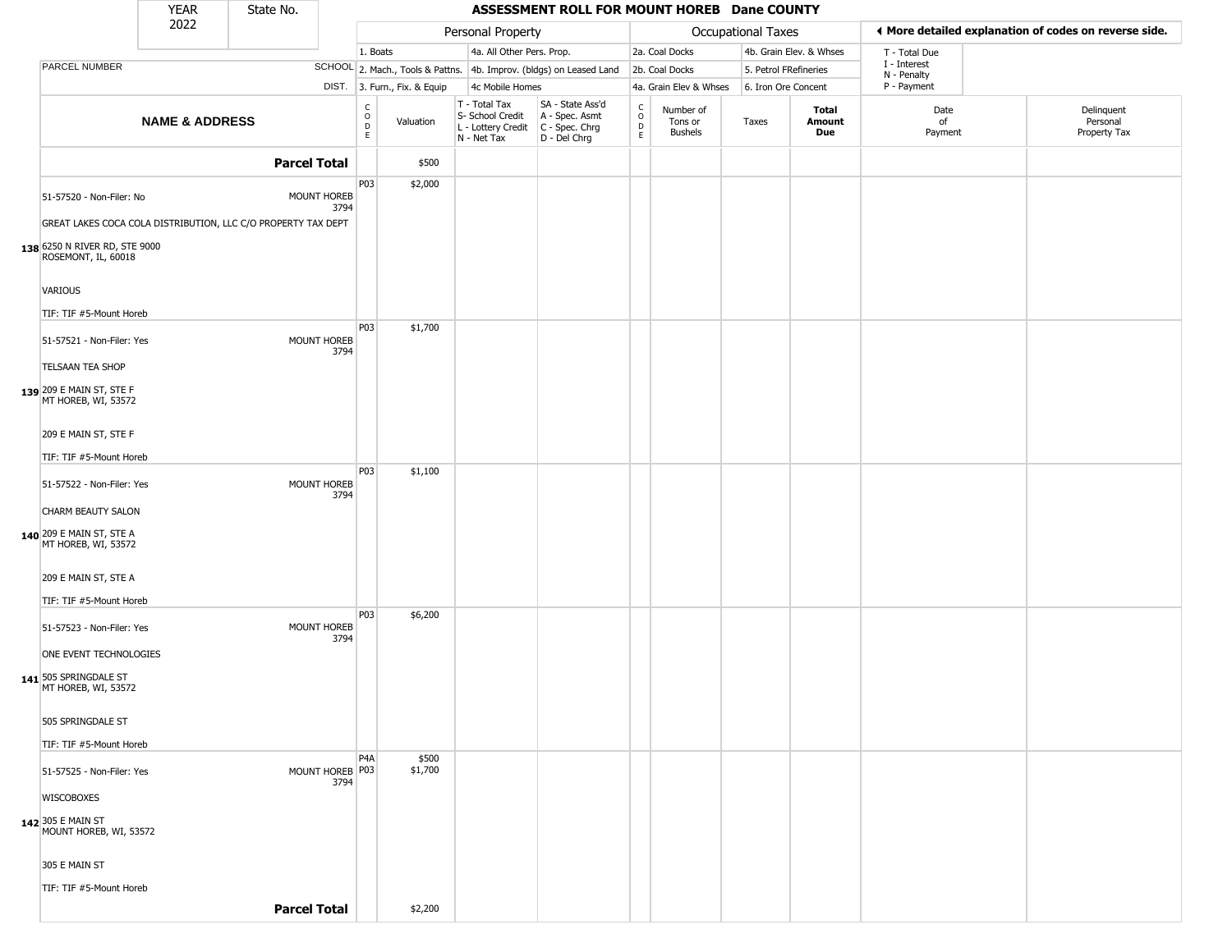|                                                               | <b>YEAR</b>               | State No.           |                         |                                   |                              |                                                                        | ASSESSMENT ROLL FOR MOUNT HOREB Dane COUNTY                            |                                            |                                        |                           |                         |                             |                                                       |
|---------------------------------------------------------------|---------------------------|---------------------|-------------------------|-----------------------------------|------------------------------|------------------------------------------------------------------------|------------------------------------------------------------------------|--------------------------------------------|----------------------------------------|---------------------------|-------------------------|-----------------------------|-------------------------------------------------------|
|                                                               | 2022                      |                     |                         |                                   |                              | Personal Property                                                      |                                                                        |                                            |                                        | <b>Occupational Taxes</b> |                         |                             | ◀ More detailed explanation of codes on reverse side. |
|                                                               |                           |                     |                         | 1. Boats                          |                              | 4a. All Other Pers. Prop.                                              |                                                                        |                                            | 2a. Coal Docks                         |                           | 4b. Grain Elev. & Whses | T - Total Due               |                                                       |
| PARCEL NUMBER                                                 |                           |                     |                         |                                   |                              |                                                                        | SCHOOL 2. Mach., Tools & Pattns. 4b. Improv. (bldgs) on Leased Land    |                                            | 2b. Coal Docks                         | 5. Petrol FRefineries     |                         | I - Interest<br>N - Penalty |                                                       |
|                                                               |                           |                     |                         |                                   | DIST. 3. Furn., Fix. & Equip | 4c Mobile Homes                                                        |                                                                        |                                            | 4a. Grain Elev & Whses                 | 6. Iron Ore Concent       |                         | P - Payment                 |                                                       |
|                                                               | <b>NAME &amp; ADDRESS</b> |                     |                         | C<br>$\circ$<br>$\mathsf{D}$<br>E | Valuation                    | T - Total Tax<br>S- School Credit<br>L - Lottery Credit<br>N - Net Tax | SA - State Ass'd<br>A - Spec. Asmt<br>$C - Spec. Chrg$<br>D - Del Chrg | $\begin{array}{c} C \\ 0 \\ E \end{array}$ | Number of<br>Tons or<br><b>Bushels</b> | Taxes                     | Total<br>Amount<br>Due  | Date<br>of<br>Payment       | Delinquent<br>Personal<br>Property Tax                |
|                                                               |                           | <b>Parcel Total</b> |                         |                                   | \$500                        |                                                                        |                                                                        |                                            |                                        |                           |                         |                             |                                                       |
| 51-57520 - Non-Filer: No                                      |                           |                     | MOUNT HOREB             | P03                               | \$2,000                      |                                                                        |                                                                        |                                            |                                        |                           |                         |                             |                                                       |
| GREAT LAKES COCA COLA DISTRIBUTION, LLC C/O PROPERTY TAX DEPT |                           |                     | 3794                    |                                   |                              |                                                                        |                                                                        |                                            |                                        |                           |                         |                             |                                                       |
| 138 6250 N RIVER RD, STE 9000<br>ROSEMONT, IL, 60018          |                           |                     |                         |                                   |                              |                                                                        |                                                                        |                                            |                                        |                           |                         |                             |                                                       |
| VARIOUS                                                       |                           |                     |                         |                                   |                              |                                                                        |                                                                        |                                            |                                        |                           |                         |                             |                                                       |
| TIF: TIF #5-Mount Horeb                                       |                           |                     |                         | P03                               | \$1,700                      |                                                                        |                                                                        |                                            |                                        |                           |                         |                             |                                                       |
| 51-57521 - Non-Filer: Yes                                     |                           |                     | MOUNT HOREB<br>3794     |                                   |                              |                                                                        |                                                                        |                                            |                                        |                           |                         |                             |                                                       |
| <b>TELSAAN TEA SHOP</b>                                       |                           |                     |                         |                                   |                              |                                                                        |                                                                        |                                            |                                        |                           |                         |                             |                                                       |
| 139 209 E MAIN ST, STE F<br>MT HOREB, WI, 53572               |                           |                     |                         |                                   |                              |                                                                        |                                                                        |                                            |                                        |                           |                         |                             |                                                       |
| 209 E MAIN ST, STE F                                          |                           |                     |                         |                                   |                              |                                                                        |                                                                        |                                            |                                        |                           |                         |                             |                                                       |
| TIF: TIF #5-Mount Horeb                                       |                           |                     |                         |                                   |                              |                                                                        |                                                                        |                                            |                                        |                           |                         |                             |                                                       |
| 51-57522 - Non-Filer: Yes                                     |                           |                     | MOUNT HOREB<br>3794     | P03                               | \$1,100                      |                                                                        |                                                                        |                                            |                                        |                           |                         |                             |                                                       |
| CHARM BEAUTY SALON                                            |                           |                     |                         |                                   |                              |                                                                        |                                                                        |                                            |                                        |                           |                         |                             |                                                       |
| <b>140</b> 209 E MAIN ST, STE A MT HOREB, WI, 53572           |                           |                     |                         |                                   |                              |                                                                        |                                                                        |                                            |                                        |                           |                         |                             |                                                       |
| 209 E MAIN ST, STE A                                          |                           |                     |                         |                                   |                              |                                                                        |                                                                        |                                            |                                        |                           |                         |                             |                                                       |
| TIF: TIF #5-Mount Horeb                                       |                           |                     |                         |                                   |                              |                                                                        |                                                                        |                                            |                                        |                           |                         |                             |                                                       |
| 51-57523 - Non-Filer: Yes                                     |                           |                     | MOUNT HOREB<br>3794     | P03                               | \$6,200                      |                                                                        |                                                                        |                                            |                                        |                           |                         |                             |                                                       |
| ONE EVENT TECHNOLOGIES                                        |                           |                     |                         |                                   |                              |                                                                        |                                                                        |                                            |                                        |                           |                         |                             |                                                       |
| 141 505 SPRINGDALE ST<br>MT HOREB, WI, 53572                  |                           |                     |                         |                                   |                              |                                                                        |                                                                        |                                            |                                        |                           |                         |                             |                                                       |
| 505 SPRINGDALE ST                                             |                           |                     |                         |                                   |                              |                                                                        |                                                                        |                                            |                                        |                           |                         |                             |                                                       |
| TIF: TIF #5-Mount Horeb                                       |                           |                     |                         |                                   |                              |                                                                        |                                                                        |                                            |                                        |                           |                         |                             |                                                       |
| 51-57525 - Non-Filer: Yes                                     |                           |                     | MOUNT HOREB P03<br>3794 | P <sub>4</sub> A                  | \$500<br>\$1,700             |                                                                        |                                                                        |                                            |                                        |                           |                         |                             |                                                       |
| <b>WISCOBOXES</b>                                             |                           |                     |                         |                                   |                              |                                                                        |                                                                        |                                            |                                        |                           |                         |                             |                                                       |
| 142 305 E MAIN ST<br>MOUNT HOREB, WI, 53572                   |                           |                     |                         |                                   |                              |                                                                        |                                                                        |                                            |                                        |                           |                         |                             |                                                       |
| 305 E MAIN ST                                                 |                           |                     |                         |                                   |                              |                                                                        |                                                                        |                                            |                                        |                           |                         |                             |                                                       |
| TIF: TIF #5-Mount Horeb                                       |                           |                     |                         |                                   |                              |                                                                        |                                                                        |                                            |                                        |                           |                         |                             |                                                       |
|                                                               |                           | <b>Parcel Total</b> |                         |                                   | \$2,200                      |                                                                        |                                                                        |                                            |                                        |                           |                         |                             |                                                       |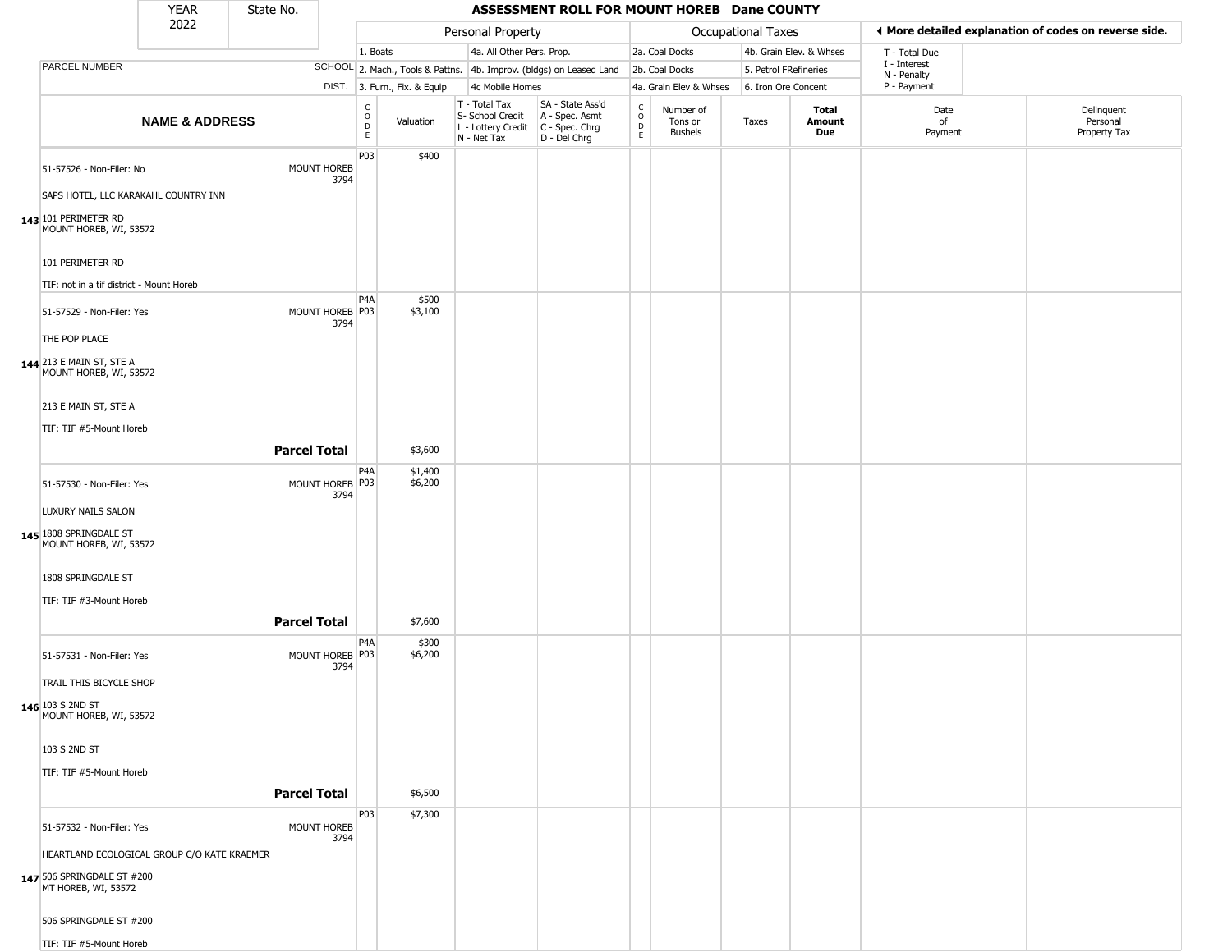|                                                                     | <b>YEAR</b>               | State No.           |                         |                                        |                              |                                                                                       | ASSESSMENT ROLL FOR MOUNT HOREB Dane COUNTY                         |                                                   |                                        |                           |                         |                             |                                                       |
|---------------------------------------------------------------------|---------------------------|---------------------|-------------------------|----------------------------------------|------------------------------|---------------------------------------------------------------------------------------|---------------------------------------------------------------------|---------------------------------------------------|----------------------------------------|---------------------------|-------------------------|-----------------------------|-------------------------------------------------------|
|                                                                     | 2022                      |                     |                         |                                        |                              | Personal Property                                                                     |                                                                     |                                                   |                                        | <b>Occupational Taxes</b> |                         |                             | ◀ More detailed explanation of codes on reverse side. |
|                                                                     |                           |                     |                         | 1. Boats                               |                              | 4a. All Other Pers. Prop.                                                             |                                                                     |                                                   | 2a. Coal Docks                         |                           | 4b. Grain Elev. & Whses | T - Total Due               |                                                       |
| PARCEL NUMBER                                                       |                           |                     |                         |                                        |                              |                                                                                       | SCHOOL 2. Mach., Tools & Pattns. 4b. Improv. (bldgs) on Leased Land |                                                   | 2b. Coal Docks                         | 5. Petrol FRefineries     |                         | I - Interest<br>N - Penalty |                                                       |
|                                                                     |                           |                     |                         |                                        | DIST. 3. Furn., Fix. & Equip | 4c Mobile Homes                                                                       |                                                                     |                                                   | 4a. Grain Elev & Whses                 | 6. Iron Ore Concent       |                         | P - Payment                 |                                                       |
|                                                                     | <b>NAME &amp; ADDRESS</b> |                     |                         | $_{\rm o}^{\rm c}$<br>$\mathsf D$<br>E | Valuation                    | T - Total Tax<br>S- School Credit<br>L - Lottery Credit C - Spec. Chrg<br>N - Net Tax | SA - State Ass'd<br>A - Spec. Asmt<br>D - Del Chrg                  | $\rm _o^C$<br>$\mathrel{\mathsf{D}}_{\mathsf{E}}$ | Number of<br>Tons or<br><b>Bushels</b> | Taxes                     | Total<br>Amount<br>Due  | Date<br>of<br>Payment       | Delinquent<br>Personal<br>Property Tax                |
| 51-57526 - Non-Filer: No                                            |                           |                     | MOUNT HOREB<br>3794     | P03                                    | \$400                        |                                                                                       |                                                                     |                                                   |                                        |                           |                         |                             |                                                       |
| SAPS HOTEL, LLC KARAKAHL COUNTRY INN                                |                           |                     |                         |                                        |                              |                                                                                       |                                                                     |                                                   |                                        |                           |                         |                             |                                                       |
| 143 101 PERIMETER RD<br>MOUNT HOREB, WI, 53572                      |                           |                     |                         |                                        |                              |                                                                                       |                                                                     |                                                   |                                        |                           |                         |                             |                                                       |
| 101 PERIMETER RD                                                    |                           |                     |                         |                                        |                              |                                                                                       |                                                                     |                                                   |                                        |                           |                         |                             |                                                       |
| TIF: not in a tif district - Mount Horeb                            |                           |                     |                         | P <sub>4</sub> A                       | \$500                        |                                                                                       |                                                                     |                                                   |                                        |                           |                         |                             |                                                       |
| 51-57529 - Non-Filer: Yes                                           |                           |                     | MOUNT HOREB P03<br>3794 |                                        | \$3,100                      |                                                                                       |                                                                     |                                                   |                                        |                           |                         |                             |                                                       |
| THE POP PLACE<br>144 213 E MAIN ST, STE A<br>MOUNT HOREB, WI, 53572 |                           |                     |                         |                                        |                              |                                                                                       |                                                                     |                                                   |                                        |                           |                         |                             |                                                       |
| 213 E MAIN ST, STE A                                                |                           |                     |                         |                                        |                              |                                                                                       |                                                                     |                                                   |                                        |                           |                         |                             |                                                       |
| TIF: TIF #5-Mount Horeb                                             |                           |                     |                         |                                        |                              |                                                                                       |                                                                     |                                                   |                                        |                           |                         |                             |                                                       |
|                                                                     |                           | <b>Parcel Total</b> |                         |                                        | \$3,600                      |                                                                                       |                                                                     |                                                   |                                        |                           |                         |                             |                                                       |
|                                                                     |                           |                     |                         | P4A                                    | \$1,400                      |                                                                                       |                                                                     |                                                   |                                        |                           |                         |                             |                                                       |
| 51-57530 - Non-Filer: Yes<br>LUXURY NAILS SALON                     |                           |                     | MOUNT HOREB P03<br>3794 |                                        | \$6,200                      |                                                                                       |                                                                     |                                                   |                                        |                           |                         |                             |                                                       |
| 145 1808 SPRINGDALE ST<br>MOUNT HOREB, WI, 53572                    |                           |                     |                         |                                        |                              |                                                                                       |                                                                     |                                                   |                                        |                           |                         |                             |                                                       |
| 1808 SPRINGDALE ST                                                  |                           |                     |                         |                                        |                              |                                                                                       |                                                                     |                                                   |                                        |                           |                         |                             |                                                       |
| TIF: TIF #3-Mount Horeb                                             |                           |                     |                         |                                        |                              |                                                                                       |                                                                     |                                                   |                                        |                           |                         |                             |                                                       |
|                                                                     |                           | <b>Parcel Total</b> |                         |                                        | \$7,600                      |                                                                                       |                                                                     |                                                   |                                        |                           |                         |                             |                                                       |
| 51-57531 - Non-Filer: Yes                                           |                           |                     | MOUNT HOREB P03<br>3794 | P4A                                    | \$300<br>\$6,200             |                                                                                       |                                                                     |                                                   |                                        |                           |                         |                             |                                                       |
| TRAIL THIS BICYCLE SHOP                                             |                           |                     |                         |                                        |                              |                                                                                       |                                                                     |                                                   |                                        |                           |                         |                             |                                                       |
| 146 103 S 2ND ST<br>MOUNT HOREB, WI, 53572                          |                           |                     |                         |                                        |                              |                                                                                       |                                                                     |                                                   |                                        |                           |                         |                             |                                                       |
| 103 S 2ND ST                                                        |                           |                     |                         |                                        |                              |                                                                                       |                                                                     |                                                   |                                        |                           |                         |                             |                                                       |
| TIF: TIF #5-Mount Horeb                                             |                           | <b>Parcel Total</b> |                         |                                        | \$6,500                      |                                                                                       |                                                                     |                                                   |                                        |                           |                         |                             |                                                       |
|                                                                     |                           |                     |                         | P03                                    | \$7,300                      |                                                                                       |                                                                     |                                                   |                                        |                           |                         |                             |                                                       |
| 51-57532 - Non-Filer: Yes                                           |                           |                     | MOUNT HOREB<br>3794     |                                        |                              |                                                                                       |                                                                     |                                                   |                                        |                           |                         |                             |                                                       |
| HEARTLAND ECOLOGICAL GROUP C/O KATE KRAEMER                         |                           |                     |                         |                                        |                              |                                                                                       |                                                                     |                                                   |                                        |                           |                         |                             |                                                       |
| 147 506 SPRINGDALE ST #200<br>MT HOREB, WI, 53572                   |                           |                     |                         |                                        |                              |                                                                                       |                                                                     |                                                   |                                        |                           |                         |                             |                                                       |
| 506 SPRINGDALE ST #200                                              |                           |                     |                         |                                        |                              |                                                                                       |                                                                     |                                                   |                                        |                           |                         |                             |                                                       |
| TIF: TIF #5-Mount Horeb                                             |                           |                     |                         |                                        |                              |                                                                                       |                                                                     |                                                   |                                        |                           |                         |                             |                                                       |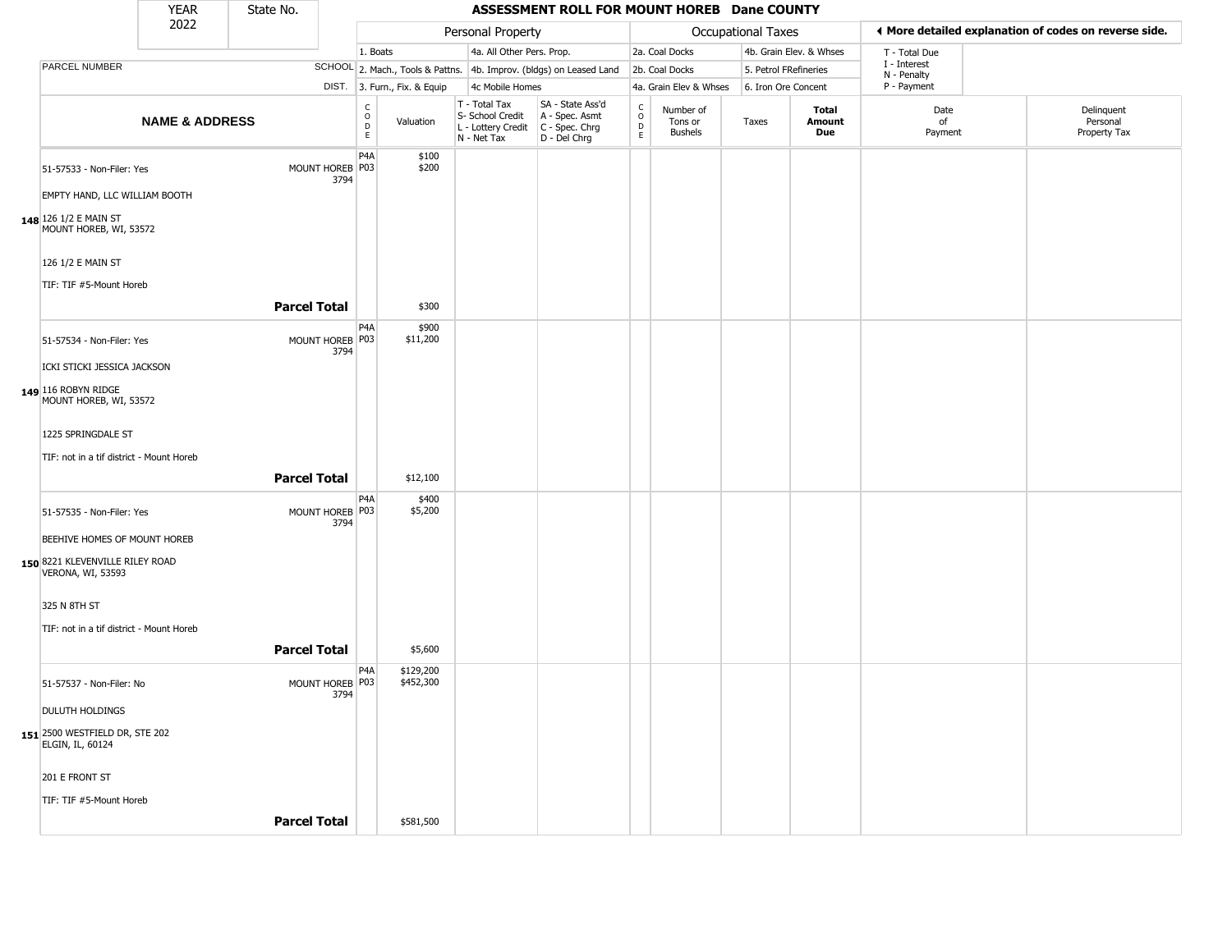|                                                      | <b>YEAR</b>               | State No.           |                           |                                             |                              |                                                                                           | ASSESSMENT ROLL FOR MOUNT HOREB Dane COUNTY                         |                                              |                                        |                    |                         |                             |                                                       |
|------------------------------------------------------|---------------------------|---------------------|---------------------------|---------------------------------------------|------------------------------|-------------------------------------------------------------------------------------------|---------------------------------------------------------------------|----------------------------------------------|----------------------------------------|--------------------|-------------------------|-----------------------------|-------------------------------------------------------|
|                                                      | 2022                      |                     |                           |                                             |                              | Personal Property                                                                         |                                                                     |                                              |                                        | Occupational Taxes |                         |                             | ♦ More detailed explanation of codes on reverse side. |
|                                                      |                           |                     |                           | 1. Boats                                    |                              | 4a. All Other Pers. Prop.                                                                 |                                                                     |                                              | 2a. Coal Docks                         |                    | 4b. Grain Elev. & Whses | T - Total Due               |                                                       |
| <b>PARCEL NUMBER</b>                                 |                           |                     |                           |                                             |                              |                                                                                           | SCHOOL 2. Mach., Tools & Pattns. 4b. Improv. (bldgs) on Leased Land |                                              | 2b. Coal Docks                         |                    | 5. Petrol FRefineries   | I - Interest<br>N - Penalty |                                                       |
|                                                      |                           |                     |                           |                                             | DIST. 3. Furn., Fix. & Equip | 4c Mobile Homes                                                                           |                                                                     |                                              | 4a. Grain Elev & Whses                 |                    | 6. Iron Ore Concent     | P - Payment                 |                                                       |
|                                                      | <b>NAME &amp; ADDRESS</b> |                     |                           | $\frac{c}{0}$<br>$\mathsf D$<br>$\mathsf E$ | Valuation                    | T - Total Tax<br>S- School Credit<br>$L$ - Lottery Credit $C$ - Spec. Chrg<br>N - Net Tax | SA - State Ass'd<br>A - Spec. Asmt<br>$D - Del Chrg$                | $\int_{0}^{c}$<br>$\mathsf D$<br>$\mathsf E$ | Number of<br>Tons or<br><b>Bushels</b> | Taxes              | Total<br>Amount<br>Due  | Date<br>of<br>Payment       | Delinquent<br>Personal<br>Property Tax                |
| 51-57533 - Non-Filer: Yes                            |                           |                     | MOUNT HOREB P03<br>3794   | P <sub>4</sub> A                            | \$100<br>\$200               |                                                                                           |                                                                     |                                              |                                        |                    |                         |                             |                                                       |
| EMPTY HAND, LLC WILLIAM BOOTH                        |                           |                     |                           |                                             |                              |                                                                                           |                                                                     |                                              |                                        |                    |                         |                             |                                                       |
| 148 126 1/2 E MAIN ST<br>MOUNT HOREB, WI, 53572      |                           |                     |                           |                                             |                              |                                                                                           |                                                                     |                                              |                                        |                    |                         |                             |                                                       |
| 126 1/2 E MAIN ST                                    |                           |                     |                           |                                             |                              |                                                                                           |                                                                     |                                              |                                        |                    |                         |                             |                                                       |
| TIF: TIF #5-Mount Horeb                              |                           |                     |                           |                                             |                              |                                                                                           |                                                                     |                                              |                                        |                    |                         |                             |                                                       |
|                                                      |                           | <b>Parcel Total</b> |                           |                                             | \$300                        |                                                                                           |                                                                     |                                              |                                        |                    |                         |                             |                                                       |
| 51-57534 - Non-Filer: Yes                            |                           |                     | MOUNT HOREB   P03<br>3794 | P4A                                         | \$900<br>\$11,200            |                                                                                           |                                                                     |                                              |                                        |                    |                         |                             |                                                       |
| ICKI STICKI JESSICA JACKSON                          |                           |                     |                           |                                             |                              |                                                                                           |                                                                     |                                              |                                        |                    |                         |                             |                                                       |
| 149 116 ROBYN RIDGE<br>MOUNT HOREB, WI, 53572        |                           |                     |                           |                                             |                              |                                                                                           |                                                                     |                                              |                                        |                    |                         |                             |                                                       |
| 1225 SPRINGDALE ST                                   |                           |                     |                           |                                             |                              |                                                                                           |                                                                     |                                              |                                        |                    |                         |                             |                                                       |
| TIF: not in a tif district - Mount Horeb             |                           |                     |                           |                                             |                              |                                                                                           |                                                                     |                                              |                                        |                    |                         |                             |                                                       |
|                                                      |                           | <b>Parcel Total</b> |                           |                                             | \$12,100                     |                                                                                           |                                                                     |                                              |                                        |                    |                         |                             |                                                       |
| 51-57535 - Non-Filer: Yes                            |                           |                     | MOUNT HOREB P03<br>3794   | P4A                                         | \$400<br>\$5,200             |                                                                                           |                                                                     |                                              |                                        |                    |                         |                             |                                                       |
| BEEHIVE HOMES OF MOUNT HOREB                         |                           |                     |                           |                                             |                              |                                                                                           |                                                                     |                                              |                                        |                    |                         |                             |                                                       |
| 150 8221 KLEVENVILLE RILEY ROAD<br>VERONA, WI, 53593 |                           |                     |                           |                                             |                              |                                                                                           |                                                                     |                                              |                                        |                    |                         |                             |                                                       |
| 325 N 8TH ST                                         |                           |                     |                           |                                             |                              |                                                                                           |                                                                     |                                              |                                        |                    |                         |                             |                                                       |
| TIF: not in a tif district - Mount Horeb             |                           |                     |                           |                                             |                              |                                                                                           |                                                                     |                                              |                                        |                    |                         |                             |                                                       |
|                                                      |                           | <b>Parcel Total</b> |                           |                                             | \$5,600                      |                                                                                           |                                                                     |                                              |                                        |                    |                         |                             |                                                       |
| 51-57537 - Non-Filer: No                             |                           |                     | MOUNT HOREB P03<br>3794   | P4A                                         | \$129,200<br>\$452,300       |                                                                                           |                                                                     |                                              |                                        |                    |                         |                             |                                                       |
| <b>DULUTH HOLDINGS</b>                               |                           |                     |                           |                                             |                              |                                                                                           |                                                                     |                                              |                                        |                    |                         |                             |                                                       |
| 151 2500 WESTFIELD DR, STE 202<br>ELGIN, IL, 60124   |                           |                     |                           |                                             |                              |                                                                                           |                                                                     |                                              |                                        |                    |                         |                             |                                                       |
| 201 E FRONT ST                                       |                           |                     |                           |                                             |                              |                                                                                           |                                                                     |                                              |                                        |                    |                         |                             |                                                       |
| TIF: TIF #5-Mount Horeb                              |                           |                     |                           |                                             |                              |                                                                                           |                                                                     |                                              |                                        |                    |                         |                             |                                                       |
|                                                      |                           | <b>Parcel Total</b> |                           |                                             | \$581,500                    |                                                                                           |                                                                     |                                              |                                        |                    |                         |                             |                                                       |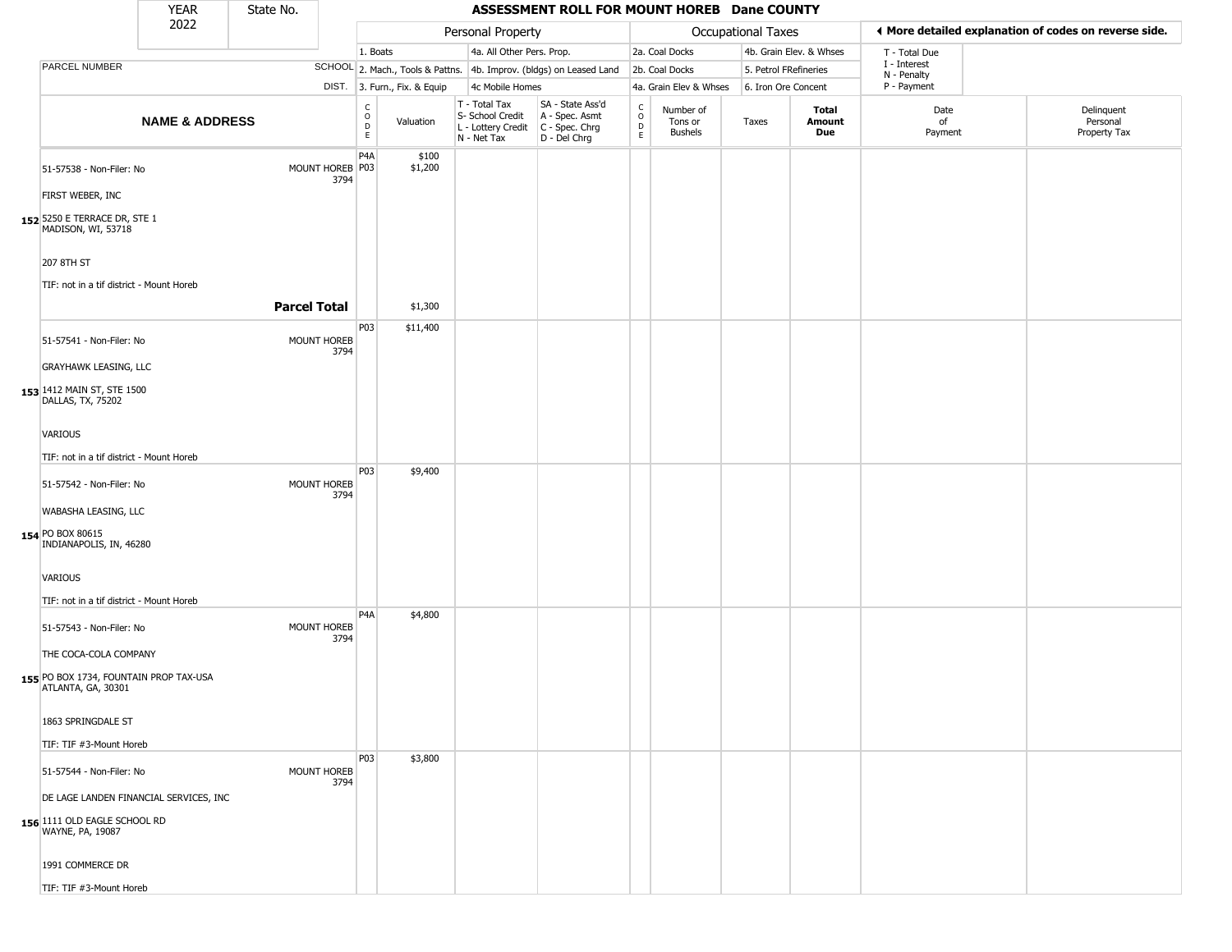|                                                              | <b>YEAR</b>               | State No.           |                         |                                     |                              |                                                                        | ASSESSMENT ROLL FOR MOUNT HOREB Dane COUNTY                          |                                    |                                        |                       |                         |                             |                                                       |
|--------------------------------------------------------------|---------------------------|---------------------|-------------------------|-------------------------------------|------------------------------|------------------------------------------------------------------------|----------------------------------------------------------------------|------------------------------------|----------------------------------------|-----------------------|-------------------------|-----------------------------|-------------------------------------------------------|
|                                                              | 2022                      |                     |                         |                                     |                              | Personal Property                                                      |                                                                      |                                    |                                        | Occupational Taxes    |                         |                             | ◀ More detailed explanation of codes on reverse side. |
|                                                              |                           |                     |                         | 1. Boats                            |                              | 4a. All Other Pers. Prop.                                              |                                                                      |                                    | 2a. Coal Docks                         |                       | 4b. Grain Elev. & Whses | T - Total Due               |                                                       |
| PARCEL NUMBER                                                |                           |                     |                         |                                     |                              |                                                                        | SCHOOL 2. Mach., Tools & Pattns. 4b. Improv. (bldgs) on Leased Land  |                                    | 2b. Coal Docks                         | 5. Petrol FRefineries |                         | I - Interest<br>N - Penalty |                                                       |
|                                                              |                           |                     |                         |                                     | DIST. 3. Furn., Fix. & Equip | 4c Mobile Homes                                                        |                                                                      |                                    | 4a. Grain Elev & Whses                 | 6. Iron Ore Concent   |                         | P - Payment                 |                                                       |
|                                                              | <b>NAME &amp; ADDRESS</b> |                     |                         | C<br>$\circ$<br>$\overline{D}$<br>E | Valuation                    | T - Total Tax<br>S- School Credit<br>L - Lottery Credit<br>N - Net Tax | SA - State Ass'd<br>A - Spec. Asmt<br>C - Spec. Chrg<br>D - Del Chrg | $\rm_{o}^{\rm c}$<br>$\frac{D}{E}$ | Number of<br>Tons or<br><b>Bushels</b> | Taxes                 | Total<br>Amount<br>Due  | Date<br>of<br>Payment       | Delinquent<br>Personal<br>Property Tax                |
| 51-57538 - Non-Filer: No                                     |                           |                     | MOUNT HOREB P03<br>3794 | P4A                                 | \$100<br>\$1,200             |                                                                        |                                                                      |                                    |                                        |                       |                         |                             |                                                       |
| FIRST WEBER, INC                                             |                           |                     |                         |                                     |                              |                                                                        |                                                                      |                                    |                                        |                       |                         |                             |                                                       |
| 152 5250 E TERRACE DR, STE 1<br>MADISON, WI, 53718           |                           |                     |                         |                                     |                              |                                                                        |                                                                      |                                    |                                        |                       |                         |                             |                                                       |
| 207 8TH ST                                                   |                           |                     |                         |                                     |                              |                                                                        |                                                                      |                                    |                                        |                       |                         |                             |                                                       |
| TIF: not in a tif district - Mount Horeb                     |                           |                     |                         |                                     |                              |                                                                        |                                                                      |                                    |                                        |                       |                         |                             |                                                       |
|                                                              |                           | <b>Parcel Total</b> |                         |                                     | \$1,300                      |                                                                        |                                                                      |                                    |                                        |                       |                         |                             |                                                       |
| 51-57541 - Non-Filer: No                                     |                           |                     | MOUNT HOREB             | P03                                 | \$11,400                     |                                                                        |                                                                      |                                    |                                        |                       |                         |                             |                                                       |
| <b>GRAYHAWK LEASING, LLC</b>                                 |                           |                     | 3794                    |                                     |                              |                                                                        |                                                                      |                                    |                                        |                       |                         |                             |                                                       |
| 153 1412 MAIN ST, STE 1500<br>DALLAS, TX, 75202              |                           |                     |                         |                                     |                              |                                                                        |                                                                      |                                    |                                        |                       |                         |                             |                                                       |
| <b>VARIOUS</b>                                               |                           |                     |                         |                                     |                              |                                                                        |                                                                      |                                    |                                        |                       |                         |                             |                                                       |
| TIF: not in a tif district - Mount Horeb                     |                           |                     |                         |                                     |                              |                                                                        |                                                                      |                                    |                                        |                       |                         |                             |                                                       |
| 51-57542 - Non-Filer: No                                     |                           |                     | MOUNT HOREB<br>3794     | P03                                 | \$9,400                      |                                                                        |                                                                      |                                    |                                        |                       |                         |                             |                                                       |
| WABASHA LEASING, LLC                                         |                           |                     |                         |                                     |                              |                                                                        |                                                                      |                                    |                                        |                       |                         |                             |                                                       |
| 154 PO BOX 80615<br>INDIANAPOLIS, IN, 46280                  |                           |                     |                         |                                     |                              |                                                                        |                                                                      |                                    |                                        |                       |                         |                             |                                                       |
| VARIOUS                                                      |                           |                     |                         |                                     |                              |                                                                        |                                                                      |                                    |                                        |                       |                         |                             |                                                       |
| TIF: not in a tif district - Mount Horeb                     |                           |                     |                         |                                     |                              |                                                                        |                                                                      |                                    |                                        |                       |                         |                             |                                                       |
| 51-57543 - Non-Filer: No                                     |                           |                     | MOUNT HOREB<br>3794     | P <sub>4</sub> A                    | \$4,800                      |                                                                        |                                                                      |                                    |                                        |                       |                         |                             |                                                       |
| THE COCA-COLA COMPANY                                        |                           |                     |                         |                                     |                              |                                                                        |                                                                      |                                    |                                        |                       |                         |                             |                                                       |
| 155 PO BOX 1734, FOUNTAIN PROP TAX-USA<br>ATLANTA, GA, 30301 |                           |                     |                         |                                     |                              |                                                                        |                                                                      |                                    |                                        |                       |                         |                             |                                                       |
| 1863 SPRINGDALE ST                                           |                           |                     |                         |                                     |                              |                                                                        |                                                                      |                                    |                                        |                       |                         |                             |                                                       |
| TIF: TIF #3-Mount Horeb                                      |                           |                     |                         |                                     |                              |                                                                        |                                                                      |                                    |                                        |                       |                         |                             |                                                       |
| 51-57544 - Non-Filer: No                                     |                           |                     | MOUNT HOREB<br>3794     | <b>P03</b>                          | \$3,800                      |                                                                        |                                                                      |                                    |                                        |                       |                         |                             |                                                       |
| DE LAGE LANDEN FINANCIAL SERVICES, INC                       |                           |                     |                         |                                     |                              |                                                                        |                                                                      |                                    |                                        |                       |                         |                             |                                                       |
| 156 1111 OLD EAGLE SCHOOL RD<br>WAYNE, PA, 19087             |                           |                     |                         |                                     |                              |                                                                        |                                                                      |                                    |                                        |                       |                         |                             |                                                       |
| 1991 COMMERCE DR                                             |                           |                     |                         |                                     |                              |                                                                        |                                                                      |                                    |                                        |                       |                         |                             |                                                       |
| TIF: TIF #3-Mount Horeb                                      |                           |                     |                         |                                     |                              |                                                                        |                                                                      |                                    |                                        |                       |                         |                             |                                                       |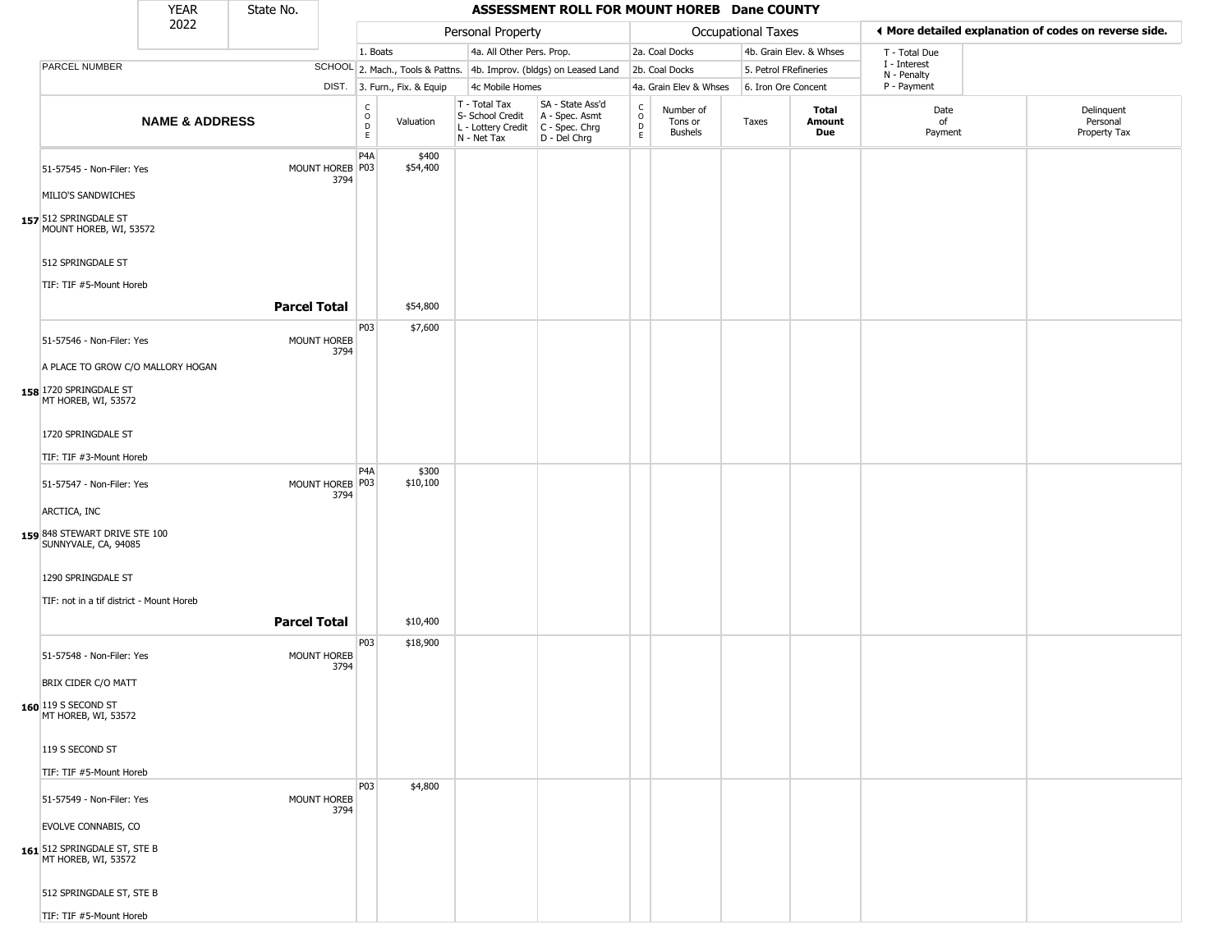|                                                                                    | <b>YEAR</b>               | State No.           |                            |                                                 |                              |                                                  | ASSESSMENT ROLL FOR MOUNT HOREB Dane COUNTY                                                 |                         |                                        |                       |                         |                             |                                                       |
|------------------------------------------------------------------------------------|---------------------------|---------------------|----------------------------|-------------------------------------------------|------------------------------|--------------------------------------------------|---------------------------------------------------------------------------------------------|-------------------------|----------------------------------------|-----------------------|-------------------------|-----------------------------|-------------------------------------------------------|
|                                                                                    | 2022                      |                     |                            |                                                 |                              | Personal Property                                |                                                                                             |                         |                                        | Occupational Taxes    |                         |                             | ♦ More detailed explanation of codes on reverse side. |
|                                                                                    |                           |                     |                            | 1. Boats                                        |                              | 4a. All Other Pers. Prop.                        |                                                                                             |                         | 2a. Coal Docks                         |                       | 4b. Grain Elev. & Whses | T - Total Due               |                                                       |
| PARCEL NUMBER                                                                      |                           |                     |                            |                                                 |                              |                                                  | SCHOOL 2. Mach., Tools & Pattns. 4b. Improv. (bldgs) on Leased Land                         |                         | 2b. Coal Docks                         | 5. Petrol FRefineries |                         | I - Interest<br>N - Penalty |                                                       |
|                                                                                    |                           |                     |                            |                                                 | DIST. 3. Furn., Fix. & Equip | 4c Mobile Homes                                  |                                                                                             |                         | 4a. Grain Elev & Whses                 | 6. Iron Ore Concent   |                         | P - Payment                 |                                                       |
|                                                                                    | <b>NAME &amp; ADDRESS</b> |                     |                            | $\begin{array}{c} C \\ O \\ D \\ E \end{array}$ | Valuation                    | T - Total Tax<br>S- School Credit<br>N - Net Tax | SA - State Ass'd<br>A - Spec. Asmt<br>$L$ - Lottery Credit $C$ - Spec. Chrg<br>D - Del Chrg | $\frac{c}{0}$<br>D<br>E | Number of<br>Tons or<br><b>Bushels</b> | Taxes                 | Total<br>Amount<br>Due  | Date<br>of<br>Payment       | Delinquent<br>Personal<br>Property Tax                |
| 51-57545 - Non-Filer: Yes<br>MILIO'S SANDWICHES                                    |                           |                     | MOUNT HOREB P03<br>3794    | P <sub>4</sub> A                                | \$400<br>\$54,400            |                                                  |                                                                                             |                         |                                        |                       |                         |                             |                                                       |
| 157 512 SPRINGDALE ST<br>MOUNT HOREB, WI, 53572                                    |                           |                     |                            |                                                 |                              |                                                  |                                                                                             |                         |                                        |                       |                         |                             |                                                       |
| 512 SPRINGDALE ST<br>TIF: TIF #5-Mount Horeb                                       |                           |                     |                            |                                                 |                              |                                                  |                                                                                             |                         |                                        |                       |                         |                             |                                                       |
|                                                                                    |                           | <b>Parcel Total</b> |                            |                                                 | \$54,800                     |                                                  |                                                                                             |                         |                                        |                       |                         |                             |                                                       |
| 51-57546 - Non-Filer: Yes                                                          |                           |                     | MOUNT HOREB<br>3794        | P03                                             | \$7,600                      |                                                  |                                                                                             |                         |                                        |                       |                         |                             |                                                       |
| A PLACE TO GROW C/O MALLORY HOGAN<br>158 1720 SPRINGDALE ST<br>MT HOREB, WI, 53572 |                           |                     |                            |                                                 |                              |                                                  |                                                                                             |                         |                                        |                       |                         |                             |                                                       |
| 1720 SPRINGDALE ST                                                                 |                           |                     |                            |                                                 |                              |                                                  |                                                                                             |                         |                                        |                       |                         |                             |                                                       |
| TIF: TIF #3-Mount Horeb                                                            |                           |                     |                            |                                                 |                              |                                                  |                                                                                             |                         |                                        |                       |                         |                             |                                                       |
| 51-57547 - Non-Filer: Yes                                                          |                           |                     | MOUNT HOREB P03<br>3794    | P <sub>4</sub> A                                | \$300<br>\$10,100            |                                                  |                                                                                             |                         |                                        |                       |                         |                             |                                                       |
| ARCTICA, INC                                                                       |                           |                     |                            |                                                 |                              |                                                  |                                                                                             |                         |                                        |                       |                         |                             |                                                       |
| 159 848 STEWART DRIVE STE 100<br>SUNNYVALE, CA, 94085                              |                           |                     |                            |                                                 |                              |                                                  |                                                                                             |                         |                                        |                       |                         |                             |                                                       |
| 1290 SPRINGDALE ST                                                                 |                           |                     |                            |                                                 |                              |                                                  |                                                                                             |                         |                                        |                       |                         |                             |                                                       |
| TIF: not in a tif district - Mount Horeb                                           |                           |                     |                            |                                                 |                              |                                                  |                                                                                             |                         |                                        |                       |                         |                             |                                                       |
|                                                                                    |                           | <b>Parcel Total</b> |                            |                                                 | \$10,400                     |                                                  |                                                                                             |                         |                                        |                       |                         |                             |                                                       |
| 51-57548 - Non-Filer: Yes                                                          |                           |                     | MOUNT HOREB<br>3794        | P03                                             | \$18,900                     |                                                  |                                                                                             |                         |                                        |                       |                         |                             |                                                       |
| BRIX CIDER C/O MATT                                                                |                           |                     |                            |                                                 |                              |                                                  |                                                                                             |                         |                                        |                       |                         |                             |                                                       |
| 160 119 S SECOND ST<br>MT HOREB, WI, 53572                                         |                           |                     |                            |                                                 |                              |                                                  |                                                                                             |                         |                                        |                       |                         |                             |                                                       |
| 119 S SECOND ST                                                                    |                           |                     |                            |                                                 |                              |                                                  |                                                                                             |                         |                                        |                       |                         |                             |                                                       |
| TIF: TIF #5-Mount Horeb                                                            |                           |                     |                            |                                                 |                              |                                                  |                                                                                             |                         |                                        |                       |                         |                             |                                                       |
| 51-57549 - Non-Filer: Yes                                                          |                           |                     | <b>MOUNT HOREB</b><br>3794 | P03                                             | \$4,800                      |                                                  |                                                                                             |                         |                                        |                       |                         |                             |                                                       |
| <b>EVOLVE CONNABIS, CO</b>                                                         |                           |                     |                            |                                                 |                              |                                                  |                                                                                             |                         |                                        |                       |                         |                             |                                                       |
| 161 512 SPRINGDALE ST, STE B<br>MT HOREB, WI, 53572                                |                           |                     |                            |                                                 |                              |                                                  |                                                                                             |                         |                                        |                       |                         |                             |                                                       |
| 512 SPRINGDALE ST, STE B                                                           |                           |                     |                            |                                                 |                              |                                                  |                                                                                             |                         |                                        |                       |                         |                             |                                                       |
| TIF: TIF #5-Mount Horeb                                                            |                           |                     |                            |                                                 |                              |                                                  |                                                                                             |                         |                                        |                       |                         |                             |                                                       |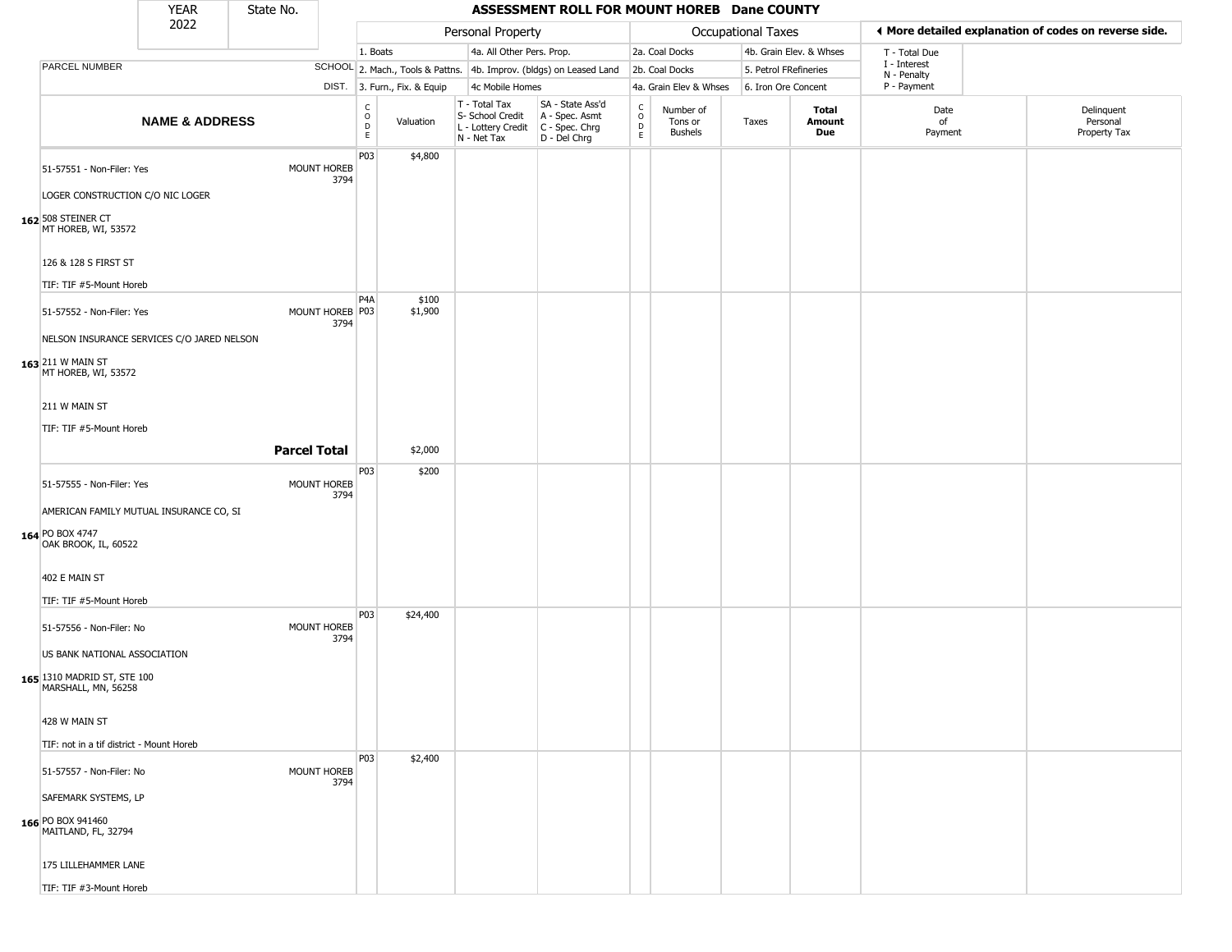|                                                                                    | <b>YEAR</b>               | State No. |                         |                                            |                              |                                                                        | ASSESSMENT ROLL FOR MOUNT HOREB Dane COUNTY                          |                         |                                        |                    |                         |                             |                                                       |
|------------------------------------------------------------------------------------|---------------------------|-----------|-------------------------|--------------------------------------------|------------------------------|------------------------------------------------------------------------|----------------------------------------------------------------------|-------------------------|----------------------------------------|--------------------|-------------------------|-----------------------------|-------------------------------------------------------|
|                                                                                    | 2022                      |           |                         |                                            |                              | Personal Property                                                      |                                                                      |                         |                                        | Occupational Taxes |                         |                             | I More detailed explanation of codes on reverse side. |
|                                                                                    |                           |           |                         | 1. Boats                                   |                              | 4a. All Other Pers. Prop.                                              |                                                                      |                         | 2a. Coal Docks                         |                    | 4b. Grain Elev. & Whses | T - Total Due               |                                                       |
| PARCEL NUMBER                                                                      |                           |           |                         |                                            |                              |                                                                        | SCHOOL 2. Mach., Tools & Pattns. 4b. Improv. (bldgs) on Leased Land  |                         | 2b. Coal Docks                         |                    | 5. Petrol FRefineries   | I - Interest<br>N - Penalty |                                                       |
|                                                                                    |                           |           |                         |                                            | DIST. 3. Furn., Fix. & Equip | 4c Mobile Homes                                                        |                                                                      |                         | 4a. Grain Elev & Whses                 |                    | 6. Iron Ore Concent     | P - Payment                 |                                                       |
|                                                                                    | <b>NAME &amp; ADDRESS</b> |           |                         | $\mathsf{C}$<br>$\int\limits_{D}^{O}$<br>E | Valuation                    | T - Total Tax<br>S- School Credit<br>L - Lottery Credit<br>N - Net Tax | SA - State Ass'd<br>A - Spec. Asmt<br>C - Spec. Chrg<br>D - Del Chrg | $\frac{c}{0}$<br>D<br>E | Number of<br>Tons or<br><b>Bushels</b> | Taxes              | Total<br>Amount<br>Due  | Date<br>of<br>Payment       | Delinquent<br>Personal<br>Property Tax                |
| 51-57551 - Non-Filer: Yes<br>LOGER CONSTRUCTION C/O NIC LOGER                      |                           |           | MOUNT HOREB<br>3794     | P03                                        | \$4,800                      |                                                                        |                                                                      |                         |                                        |                    |                         |                             |                                                       |
| 162 508 STEINER CT<br>MT HOREB, WI, 53572                                          |                           |           |                         |                                            |                              |                                                                        |                                                                      |                         |                                        |                    |                         |                             |                                                       |
| 126 & 128 S FIRST ST                                                               |                           |           |                         |                                            |                              |                                                                        |                                                                      |                         |                                        |                    |                         |                             |                                                       |
| TIF: TIF #5-Mount Horeb                                                            |                           |           |                         |                                            |                              |                                                                        |                                                                      |                         |                                        |                    |                         |                             |                                                       |
| 51-57552 - Non-Filer: Yes<br>NELSON INSURANCE SERVICES C/O JARED NELSON            |                           |           | MOUNT HOREB P03<br>3794 | P <sub>4</sub> A                           | \$100<br>\$1,900             |                                                                        |                                                                      |                         |                                        |                    |                         |                             |                                                       |
| 163 211 W MAIN ST<br>MT HOREB, WI, 53572                                           |                           |           |                         |                                            |                              |                                                                        |                                                                      |                         |                                        |                    |                         |                             |                                                       |
| 211 W MAIN ST                                                                      |                           |           |                         |                                            |                              |                                                                        |                                                                      |                         |                                        |                    |                         |                             |                                                       |
| TIF: TIF #5-Mount Horeb                                                            |                           |           |                         |                                            |                              |                                                                        |                                                                      |                         |                                        |                    |                         |                             |                                                       |
|                                                                                    |                           |           | <b>Parcel Total</b>     |                                            | \$2,000                      |                                                                        |                                                                      |                         |                                        |                    |                         |                             |                                                       |
| 51-57555 - Non-Filer: Yes                                                          |                           |           | MOUNT HOREB<br>3794     | P03                                        | \$200                        |                                                                        |                                                                      |                         |                                        |                    |                         |                             |                                                       |
| AMERICAN FAMILY MUTUAL INSURANCE CO, SI                                            |                           |           |                         |                                            |                              |                                                                        |                                                                      |                         |                                        |                    |                         |                             |                                                       |
| 164 PO BOX 4747<br>OAK BROOK, IL, 60522                                            |                           |           |                         |                                            |                              |                                                                        |                                                                      |                         |                                        |                    |                         |                             |                                                       |
| 402 E MAIN ST                                                                      |                           |           |                         |                                            |                              |                                                                        |                                                                      |                         |                                        |                    |                         |                             |                                                       |
| TIF: TIF #5-Mount Horeb                                                            |                           |           |                         |                                            |                              |                                                                        |                                                                      |                         |                                        |                    |                         |                             |                                                       |
| 51-57556 - Non-Filer: No                                                           |                           |           | MOUNT HOREB<br>3794     | P03                                        | \$24,400                     |                                                                        |                                                                      |                         |                                        |                    |                         |                             |                                                       |
| US BANK NATIONAL ASSOCIATION<br>165 1310 MADRID ST, STE 100<br>MARSHALL, MN, 56258 |                           |           |                         |                                            |                              |                                                                        |                                                                      |                         |                                        |                    |                         |                             |                                                       |
| 428 W MAIN ST                                                                      |                           |           |                         |                                            |                              |                                                                        |                                                                      |                         |                                        |                    |                         |                             |                                                       |
| TIF: not in a tif district - Mount Horeb                                           |                           |           |                         |                                            |                              |                                                                        |                                                                      |                         |                                        |                    |                         |                             |                                                       |
| 51-57557 - Non-Filer: No                                                           |                           |           | MOUNT HOREB<br>3794     | P03                                        | \$2,400                      |                                                                        |                                                                      |                         |                                        |                    |                         |                             |                                                       |
| SAFEMARK SYSTEMS, LP<br>166 PO BOX 941460<br>MAITLAND, FL, 32794                   |                           |           |                         |                                            |                              |                                                                        |                                                                      |                         |                                        |                    |                         |                             |                                                       |
| 175 LILLEHAMMER LANE                                                               |                           |           |                         |                                            |                              |                                                                        |                                                                      |                         |                                        |                    |                         |                             |                                                       |
| TIF: TIF #3-Mount Horeb                                                            |                           |           |                         |                                            |                              |                                                                        |                                                                      |                         |                                        |                    |                         |                             |                                                       |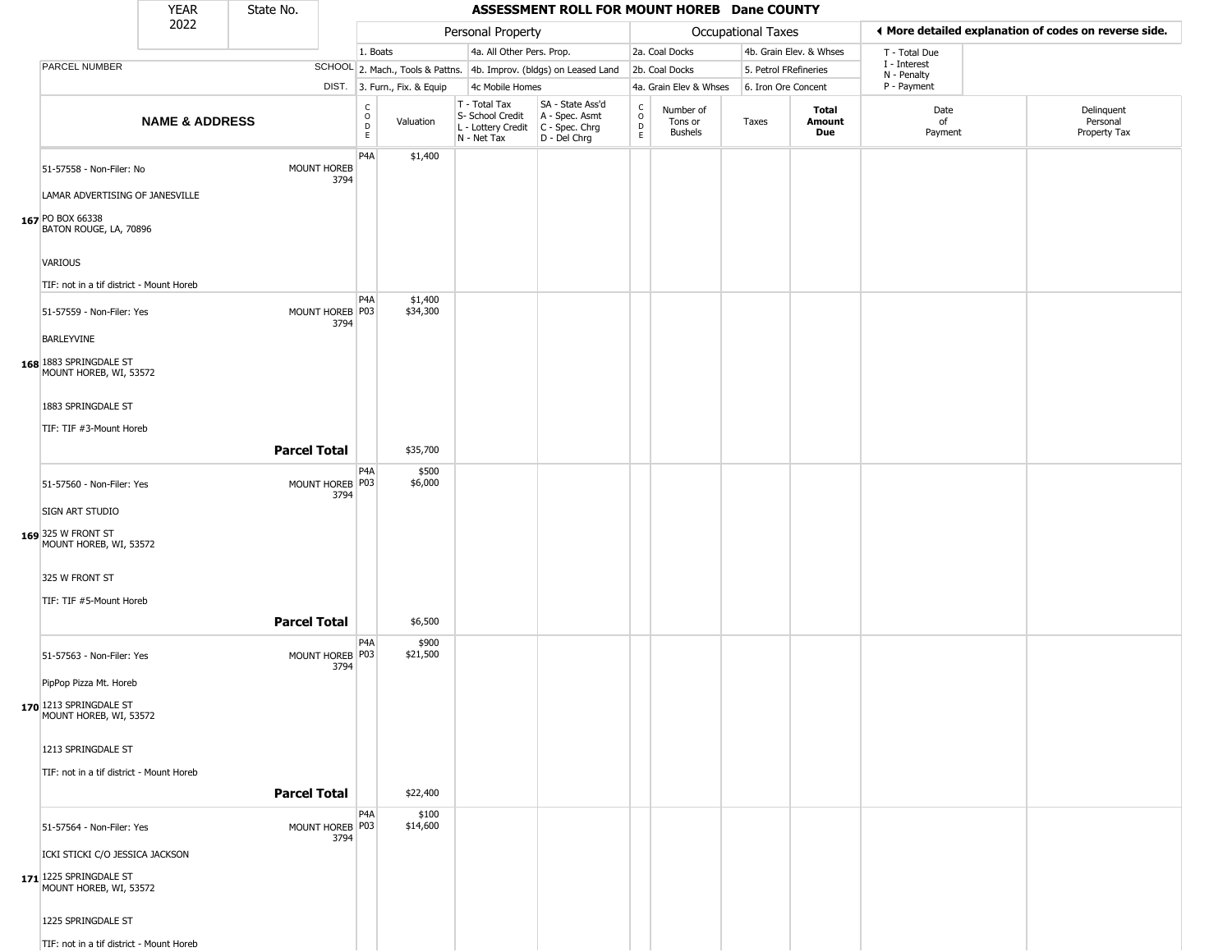|                                                             | <b>YEAR</b>               | State No.           |                            |                                                     |                              |                                                                                         | ASSESSMENT ROLL FOR MOUNT HOREB Dane COUNTY                         |                                              |                                        |                           |                         |                             |                                                       |
|-------------------------------------------------------------|---------------------------|---------------------|----------------------------|-----------------------------------------------------|------------------------------|-----------------------------------------------------------------------------------------|---------------------------------------------------------------------|----------------------------------------------|----------------------------------------|---------------------------|-------------------------|-----------------------------|-------------------------------------------------------|
|                                                             | 2022                      |                     |                            |                                                     |                              | Personal Property                                                                       |                                                                     |                                              |                                        | <b>Occupational Taxes</b> |                         |                             | ◀ More detailed explanation of codes on reverse side. |
|                                                             |                           |                     |                            | 1. Boats                                            |                              | 4a. All Other Pers. Prop.                                                               |                                                                     |                                              | 2a. Coal Docks                         |                           | 4b. Grain Elev. & Whses | T - Total Due               |                                                       |
| PARCEL NUMBER                                               |                           |                     |                            |                                                     |                              |                                                                                         | SCHOOL 2. Mach., Tools & Pattns. 4b. Improv. (bldgs) on Leased Land |                                              | 2b. Coal Docks                         | 5. Petrol FRefineries     |                         | I - Interest<br>N - Penalty |                                                       |
|                                                             |                           |                     |                            |                                                     | DIST. 3. Furn., Fix. & Equip | 4c Mobile Homes                                                                         |                                                                     |                                              | 4a. Grain Elev & Whses                 | 6. Iron Ore Concent       |                         | P - Payment                 |                                                       |
|                                                             | <b>NAME &amp; ADDRESS</b> |                     |                            | $_{\rm o}^{\rm c}$<br>$\overline{D}$<br>$\mathsf E$ | Valuation                    | T - Total Tax<br>S- School Credit<br>L - Lottery Credit   C - Spec. Chrg<br>N - Net Tax | SA - State Ass'd<br>A - Spec. Asmt<br>D - Del Chrg                  | $\begin{array}{c}\nC \\ O \\ D\n\end{array}$ | Number of<br>Tons or<br><b>Bushels</b> | Taxes                     | Total<br>Amount<br>Due  | Date<br>of<br>Payment       | Delinquent<br>Personal<br>Property Tax                |
|                                                             |                           |                     |                            | P4A                                                 | \$1,400                      |                                                                                         |                                                                     |                                              |                                        |                           |                         |                             |                                                       |
| 51-57558 - Non-Filer: No<br>LAMAR ADVERTISING OF JANESVILLE |                           |                     | <b>MOUNT HOREB</b><br>3794 |                                                     |                              |                                                                                         |                                                                     |                                              |                                        |                           |                         |                             |                                                       |
| 167 PO BOX 66338<br>BATON ROUGE, LA, 70896                  |                           |                     |                            |                                                     |                              |                                                                                         |                                                                     |                                              |                                        |                           |                         |                             |                                                       |
| VARIOUS                                                     |                           |                     |                            |                                                     |                              |                                                                                         |                                                                     |                                              |                                        |                           |                         |                             |                                                       |
| TIF: not in a tif district - Mount Horeb                    |                           |                     |                            |                                                     |                              |                                                                                         |                                                                     |                                              |                                        |                           |                         |                             |                                                       |
| 51-57559 - Non-Filer: Yes                                   |                           |                     | MOUNT HOREB P03<br>3794    | P4A                                                 | \$1,400<br>\$34,300          |                                                                                         |                                                                     |                                              |                                        |                           |                         |                             |                                                       |
| BARLEYVINE                                                  |                           |                     |                            |                                                     |                              |                                                                                         |                                                                     |                                              |                                        |                           |                         |                             |                                                       |
| 168 1883 SPRINGDALE ST<br>MOUNT HOREB, WI, 53572            |                           |                     |                            |                                                     |                              |                                                                                         |                                                                     |                                              |                                        |                           |                         |                             |                                                       |
| 1883 SPRINGDALE ST                                          |                           |                     |                            |                                                     |                              |                                                                                         |                                                                     |                                              |                                        |                           |                         |                             |                                                       |
| TIF: TIF #3-Mount Horeb                                     |                           |                     |                            |                                                     |                              |                                                                                         |                                                                     |                                              |                                        |                           |                         |                             |                                                       |
|                                                             |                           | <b>Parcel Total</b> |                            |                                                     | \$35,700                     |                                                                                         |                                                                     |                                              |                                        |                           |                         |                             |                                                       |
| 51-57560 - Non-Filer: Yes                                   |                           |                     | MOUNT HOREB P03<br>3794    | P4A                                                 | \$500<br>\$6,000             |                                                                                         |                                                                     |                                              |                                        |                           |                         |                             |                                                       |
| SIGN ART STUDIO                                             |                           |                     |                            |                                                     |                              |                                                                                         |                                                                     |                                              |                                        |                           |                         |                             |                                                       |
| 169 325 W FRONT ST<br>MOUNT HOREB, WI, 53572                |                           |                     |                            |                                                     |                              |                                                                                         |                                                                     |                                              |                                        |                           |                         |                             |                                                       |
| 325 W FRONT ST                                              |                           |                     |                            |                                                     |                              |                                                                                         |                                                                     |                                              |                                        |                           |                         |                             |                                                       |
| TIF: TIF #5-Mount Horeb                                     |                           |                     |                            |                                                     |                              |                                                                                         |                                                                     |                                              |                                        |                           |                         |                             |                                                       |
|                                                             |                           | <b>Parcel Total</b> |                            |                                                     | \$6,500                      |                                                                                         |                                                                     |                                              |                                        |                           |                         |                             |                                                       |
| 51-57563 - Non-Filer: Yes                                   |                           |                     | MOUNT HOREB P03<br>3794    | P4A                                                 | \$900<br>\$21,500            |                                                                                         |                                                                     |                                              |                                        |                           |                         |                             |                                                       |
| PipPop Pizza Mt. Horeb                                      |                           |                     |                            |                                                     |                              |                                                                                         |                                                                     |                                              |                                        |                           |                         |                             |                                                       |
| 170 1213 SPRINGDALE ST<br>MOUNT HOREB, WI, 53572            |                           |                     |                            |                                                     |                              |                                                                                         |                                                                     |                                              |                                        |                           |                         |                             |                                                       |
| 1213 SPRINGDALE ST                                          |                           |                     |                            |                                                     |                              |                                                                                         |                                                                     |                                              |                                        |                           |                         |                             |                                                       |
| TIF: not in a tif district - Mount Horeb                    |                           | <b>Parcel Total</b> |                            |                                                     | \$22,400                     |                                                                                         |                                                                     |                                              |                                        |                           |                         |                             |                                                       |
| 51-57564 - Non-Filer: Yes                                   |                           |                     | MOUNT HOREB P03            | P4A                                                 | \$100<br>\$14,600            |                                                                                         |                                                                     |                                              |                                        |                           |                         |                             |                                                       |
| ICKI STICKI C/O JESSICA JACKSON                             |                           |                     | 3794                       |                                                     |                              |                                                                                         |                                                                     |                                              |                                        |                           |                         |                             |                                                       |
| 171 1225 SPRINGDALE ST<br>MOUNT HOREB, WI, 53572            |                           |                     |                            |                                                     |                              |                                                                                         |                                                                     |                                              |                                        |                           |                         |                             |                                                       |
| 1225 SPRINGDALE ST                                          |                           |                     |                            |                                                     |                              |                                                                                         |                                                                     |                                              |                                        |                           |                         |                             |                                                       |
| TIF: not in a tif district - Mount Horeb                    |                           |                     |                            |                                                     |                              |                                                                                         |                                                                     |                                              |                                        |                           |                         |                             |                                                       |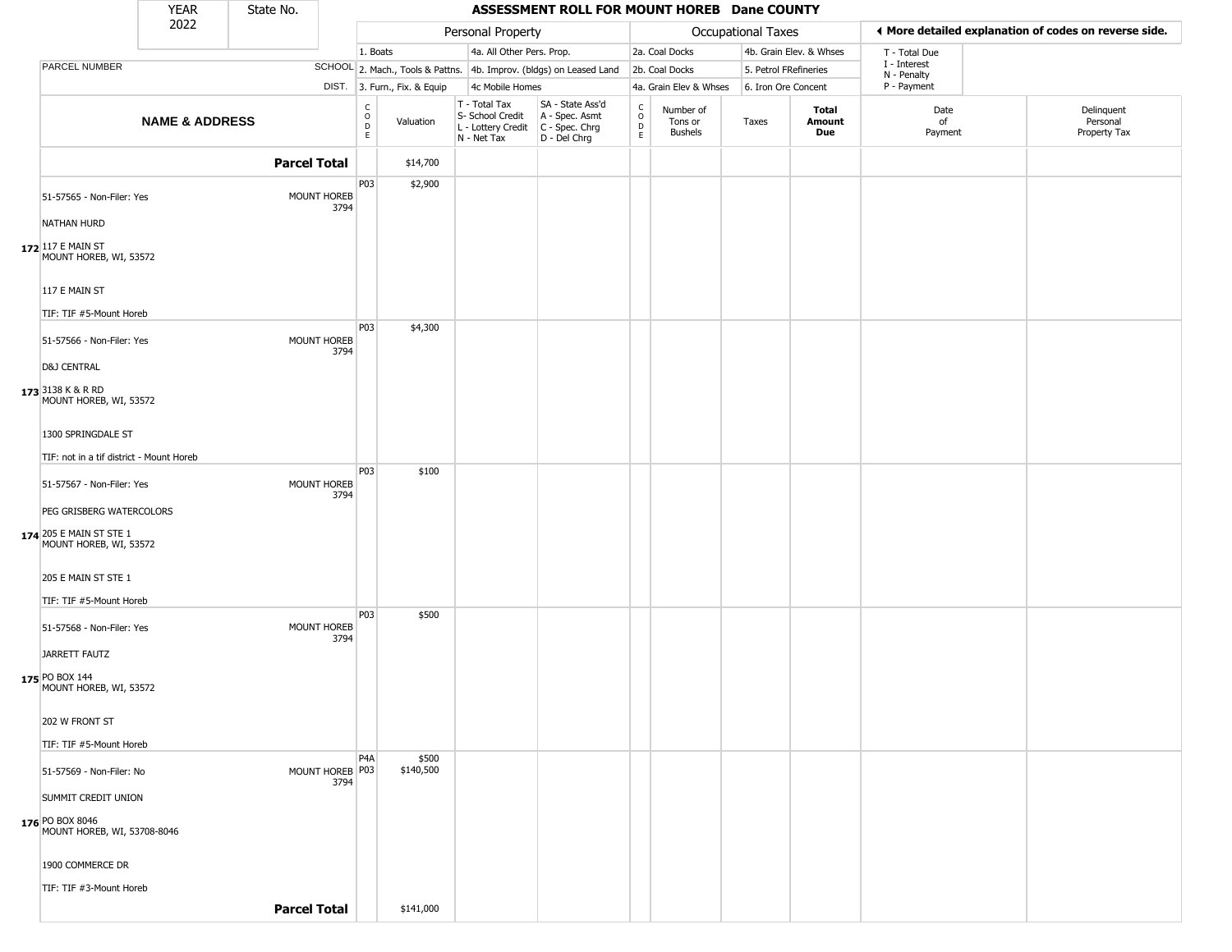|                                                                               | <b>YEAR</b>               | State No.           |                         |                                              |                              |                                                                        | ASSESSMENT ROLL FOR MOUNT HOREB Dane COUNTY                            |                  |                                 |                           |                         |                             |                                                       |
|-------------------------------------------------------------------------------|---------------------------|---------------------|-------------------------|----------------------------------------------|------------------------------|------------------------------------------------------------------------|------------------------------------------------------------------------|------------------|---------------------------------|---------------------------|-------------------------|-----------------------------|-------------------------------------------------------|
|                                                                               | 2022                      |                     |                         |                                              |                              | Personal Property                                                      |                                                                        |                  |                                 | <b>Occupational Taxes</b> |                         |                             | ◀ More detailed explanation of codes on reverse side. |
|                                                                               |                           |                     |                         | 1. Boats                                     |                              | 4a. All Other Pers. Prop.                                              |                                                                        |                  | 2a. Coal Docks                  |                           | 4b. Grain Elev. & Whses | T - Total Due               |                                                       |
| PARCEL NUMBER                                                                 |                           |                     |                         |                                              |                              |                                                                        | SCHOOL 2. Mach., Tools & Pattns. 4b. Improv. (bldgs) on Leased Land    |                  | 2b. Coal Docks                  | 5. Petrol FRefineries     |                         | I - Interest<br>N - Penalty |                                                       |
|                                                                               |                           |                     |                         |                                              | DIST. 3. Furn., Fix. & Equip | 4c Mobile Homes                                                        |                                                                        |                  | 4a. Grain Elev & Whses          | 6. Iron Ore Concent       |                         | P - Payment                 |                                                       |
|                                                                               | <b>NAME &amp; ADDRESS</b> |                     |                         | $\int_{0}^{c}$<br>$\mathsf D$<br>$\mathsf E$ | Valuation                    | T - Total Tax<br>S- School Credit<br>L - Lottery Credit<br>N - Net Tax | SA - State Ass'd<br>A - Spec. Asmt<br>$C - Spec. Chrg$<br>D - Del Chrg | C<br>D<br>D<br>E | Number of<br>Tons or<br>Bushels | Taxes                     | Total<br>Amount<br>Due  | Date<br>of<br>Payment       | Delinquent<br>Personal<br>Property Tax                |
|                                                                               |                           | <b>Parcel Total</b> |                         |                                              | \$14,700                     |                                                                        |                                                                        |                  |                                 |                           |                         |                             |                                                       |
| 51-57565 - Non-Filer: Yes<br><b>NATHAN HURD</b>                               |                           |                     | MOUNT HOREB<br>3794     | P03                                          | \$2,900                      |                                                                        |                                                                        |                  |                                 |                           |                         |                             |                                                       |
| 172 117 E MAIN ST<br>MOUNT HOREB, WI, 53572                                   |                           |                     |                         |                                              |                              |                                                                        |                                                                        |                  |                                 |                           |                         |                             |                                                       |
| 117 E MAIN ST<br>TIF: TIF #5-Mount Horeb                                      |                           |                     |                         |                                              |                              |                                                                        |                                                                        |                  |                                 |                           |                         |                             |                                                       |
| 51-57566 - Non-Filer: Yes<br><b>D&amp;J CENTRAL</b>                           |                           |                     | MOUNT HOREB<br>3794     | P03                                          | \$4,300                      |                                                                        |                                                                        |                  |                                 |                           |                         |                             |                                                       |
| 173 3138 K & R RD<br>MOUNT HOREB, WI, 53572                                   |                           |                     |                         |                                              |                              |                                                                        |                                                                        |                  |                                 |                           |                         |                             |                                                       |
| 1300 SPRINGDALE ST                                                            |                           |                     |                         |                                              |                              |                                                                        |                                                                        |                  |                                 |                           |                         |                             |                                                       |
| TIF: not in a tif district - Mount Horeb                                      |                           |                     |                         |                                              |                              |                                                                        |                                                                        |                  |                                 |                           |                         |                             |                                                       |
| 51-57567 - Non-Filer: Yes                                                     |                           |                     | MOUNT HOREB<br>3794     | P03                                          | \$100                        |                                                                        |                                                                        |                  |                                 |                           |                         |                             |                                                       |
| PEG GRISBERG WATERCOLORS<br>174 205 E MAIN ST STE 1<br>MOUNT HOREB, WI, 53572 |                           |                     |                         |                                              |                              |                                                                        |                                                                        |                  |                                 |                           |                         |                             |                                                       |
| 205 E MAIN ST STE 1<br>TIF: TIF #5-Mount Horeb                                |                           |                     |                         |                                              |                              |                                                                        |                                                                        |                  |                                 |                           |                         |                             |                                                       |
| 51-57568 - Non-Filer: Yes<br><b>JARRETT FAUTZ</b>                             |                           |                     | MOUNT HOREB<br>3794     | P03                                          | \$500                        |                                                                        |                                                                        |                  |                                 |                           |                         |                             |                                                       |
| 175 PO BOX 144<br>MOUNT HOREB, WI, 53572                                      |                           |                     |                         |                                              |                              |                                                                        |                                                                        |                  |                                 |                           |                         |                             |                                                       |
| 202 W FRONT ST                                                                |                           |                     |                         |                                              |                              |                                                                        |                                                                        |                  |                                 |                           |                         |                             |                                                       |
| TIF: TIF #5-Mount Horeb                                                       |                           |                     |                         |                                              |                              |                                                                        |                                                                        |                  |                                 |                           |                         |                             |                                                       |
| 51-57569 - Non-Filer: No                                                      |                           |                     | MOUNT HOREB P03<br>3794 | P <sub>4</sub> A                             | \$500<br>\$140,500           |                                                                        |                                                                        |                  |                                 |                           |                         |                             |                                                       |
| SUMMIT CREDIT UNION                                                           |                           |                     |                         |                                              |                              |                                                                        |                                                                        |                  |                                 |                           |                         |                             |                                                       |
| 176 PO BOX 8046<br>MOUNT HOREB, WI, 53708-8046                                |                           |                     |                         |                                              |                              |                                                                        |                                                                        |                  |                                 |                           |                         |                             |                                                       |
| 1900 COMMERCE DR                                                              |                           |                     |                         |                                              |                              |                                                                        |                                                                        |                  |                                 |                           |                         |                             |                                                       |
| TIF: TIF #3-Mount Horeb                                                       |                           |                     |                         |                                              |                              |                                                                        |                                                                        |                  |                                 |                           |                         |                             |                                                       |
|                                                                               |                           | <b>Parcel Total</b> |                         |                                              | \$141,000                    |                                                                        |                                                                        |                  |                                 |                           |                         |                             |                                                       |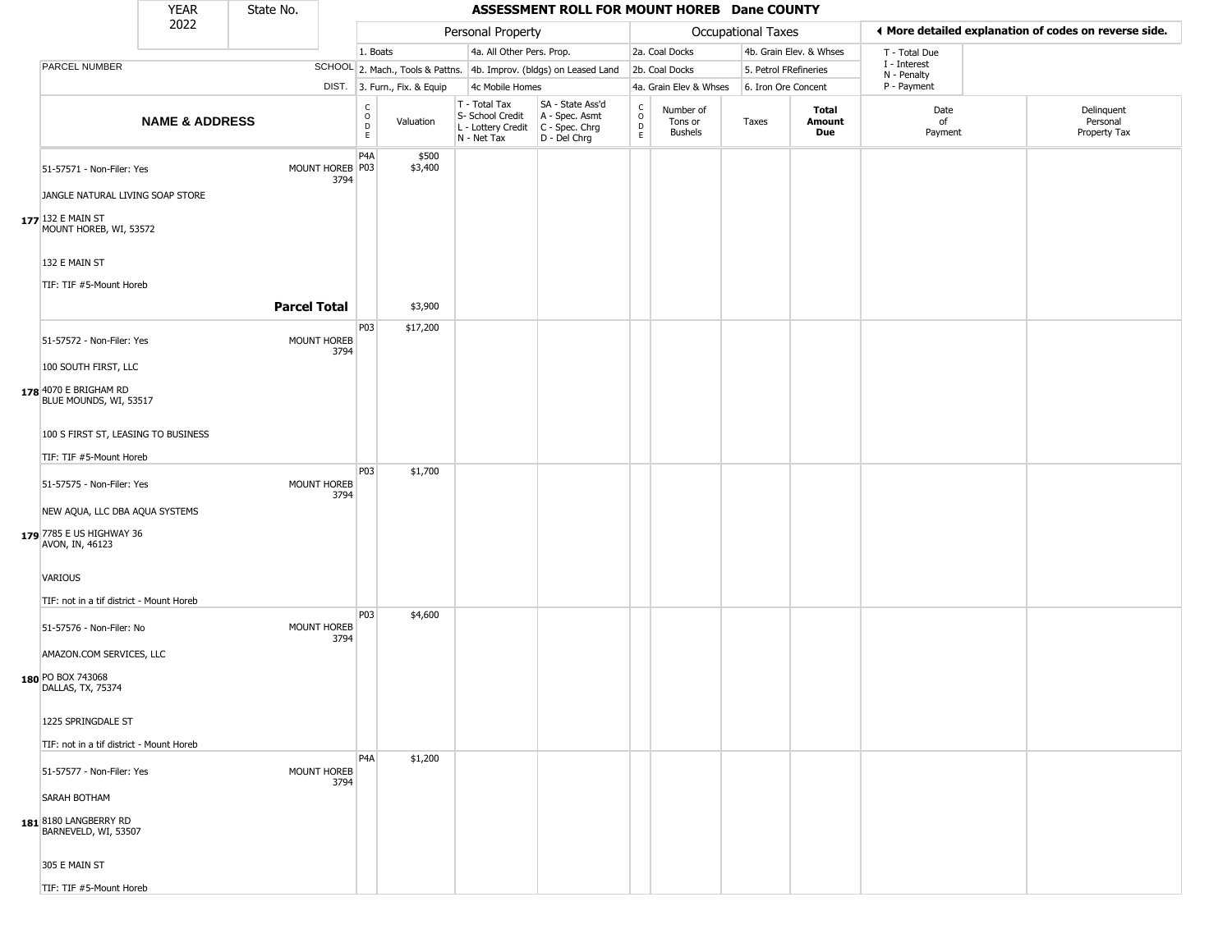|  |                                                                                 | <b>YEAR</b>               | State No.           |                            |                        |                              |                                                                        | ASSESSMENT ROLL FOR MOUNT HOREB Dane COUNTY                          |                                           |                                        |                           |                             |                       |  |                                                       |
|--|---------------------------------------------------------------------------------|---------------------------|---------------------|----------------------------|------------------------|------------------------------|------------------------------------------------------------------------|----------------------------------------------------------------------|-------------------------------------------|----------------------------------------|---------------------------|-----------------------------|-----------------------|--|-------------------------------------------------------|
|  |                                                                                 | 2022                      |                     |                            |                        |                              | Personal Property                                                      |                                                                      |                                           |                                        | <b>Occupational Taxes</b> |                             |                       |  | ◀ More detailed explanation of codes on reverse side. |
|  |                                                                                 |                           |                     |                            | 1. Boats               |                              | 4a. All Other Pers. Prop.                                              |                                                                      | 2a. Coal Docks<br>4b. Grain Elev. & Whses |                                        |                           | T - Total Due               |                       |  |                                                       |
|  | PARCEL NUMBER                                                                   |                           |                     |                            |                        |                              | SCHOOL 2. Mach., Tools & Pattns. 4b. Improv. (bldgs) on Leased Land    |                                                                      | 2b. Coal Docks<br>5. Petrol FRefineries   |                                        |                           | I - Interest<br>N - Penalty |                       |  |                                                       |
|  |                                                                                 |                           |                     |                            |                        | DIST. 3. Furn., Fix. & Equip | 4c Mobile Homes                                                        |                                                                      |                                           | 4a. Grain Elev & Whses                 | 6. Iron Ore Concent       |                             | P - Payment           |  |                                                       |
|  |                                                                                 | <b>NAME &amp; ADDRESS</b> |                     |                            | C<br>$\circ$<br>D<br>E | Valuation                    | T - Total Tax<br>S- School Credit<br>L - Lottery Credit<br>N - Net Tax | SA - State Ass'd<br>A - Spec. Asmt<br>C - Spec. Chrg<br>D - Del Chrg | $\sigma$<br>$\mathsf{D}$<br>E             | Number of<br>Tons or<br><b>Bushels</b> | Taxes                     | Total<br>Amount<br>Due      | Date<br>of<br>Payment |  | Delinquent<br>Personal<br>Property Tax                |
|  | 51-57571 - Non-Filer: Yes                                                       |                           |                     | MOUNT HOREB P03<br>3794    | P <sub>4</sub> A       | \$500<br>\$3,400             |                                                                        |                                                                      |                                           |                                        |                           |                             |                       |  |                                                       |
|  | JANGLE NATURAL LIVING SOAP STORE<br>177 132 E MAIN ST<br>MOUNT HOREB, WI, 53572 |                           |                     |                            |                        |                              |                                                                        |                                                                      |                                           |                                        |                           |                             |                       |  |                                                       |
|  | 132 E MAIN ST                                                                   |                           |                     |                            |                        |                              |                                                                        |                                                                      |                                           |                                        |                           |                             |                       |  |                                                       |
|  | TIF: TIF #5-Mount Horeb                                                         |                           | <b>Parcel Total</b> |                            |                        | \$3,900                      |                                                                        |                                                                      |                                           |                                        |                           |                             |                       |  |                                                       |
|  |                                                                                 |                           |                     |                            | P03                    | \$17,200                     |                                                                        |                                                                      |                                           |                                        |                           |                             |                       |  |                                                       |
|  | 51-57572 - Non-Filer: Yes                                                       |                           |                     | MOUNT HOREB<br>3794        |                        |                              |                                                                        |                                                                      |                                           |                                        |                           |                             |                       |  |                                                       |
|  | 100 SOUTH FIRST, LLC                                                            |                           |                     |                            |                        |                              |                                                                        |                                                                      |                                           |                                        |                           |                             |                       |  |                                                       |
|  | 178 4070 E BRIGHAM RD<br>BLUE MOUNDS, WI, 53517                                 |                           |                     |                            |                        |                              |                                                                        |                                                                      |                                           |                                        |                           |                             |                       |  |                                                       |
|  | 100 S FIRST ST, LEASING TO BUSINESS                                             |                           |                     |                            |                        |                              |                                                                        |                                                                      |                                           |                                        |                           |                             |                       |  |                                                       |
|  | TIF: TIF #5-Mount Horeb                                                         |                           |                     |                            |                        |                              |                                                                        |                                                                      |                                           |                                        |                           |                             |                       |  |                                                       |
|  | 51-57575 - Non-Filer: Yes                                                       |                           |                     | MOUNT HOREB<br>3794        | P03                    | \$1,700                      |                                                                        |                                                                      |                                           |                                        |                           |                             |                       |  |                                                       |
|  | NEW AQUA, LLC DBA AQUA SYSTEMS                                                  |                           |                     |                            |                        |                              |                                                                        |                                                                      |                                           |                                        |                           |                             |                       |  |                                                       |
|  | 179 7785 E US HIGHWAY 36<br>AVON, IN, 46123                                     |                           |                     |                            |                        |                              |                                                                        |                                                                      |                                           |                                        |                           |                             |                       |  |                                                       |
|  | VARIOUS                                                                         |                           |                     |                            |                        |                              |                                                                        |                                                                      |                                           |                                        |                           |                             |                       |  |                                                       |
|  | TIF: not in a tif district - Mount Horeb                                        |                           |                     |                            |                        |                              |                                                                        |                                                                      |                                           |                                        |                           |                             |                       |  |                                                       |
|  | 51-57576 - Non-Filer: No                                                        |                           |                     | <b>MOUNT HOREB</b><br>3794 | P03                    | \$4,600                      |                                                                        |                                                                      |                                           |                                        |                           |                             |                       |  |                                                       |
|  | AMAZON.COM SERVICES, LLC                                                        |                           |                     |                            |                        |                              |                                                                        |                                                                      |                                           |                                        |                           |                             |                       |  |                                                       |
|  | 180 PO BOX 743068<br>DALLAS, TX, 75374                                          |                           |                     |                            |                        |                              |                                                                        |                                                                      |                                           |                                        |                           |                             |                       |  |                                                       |
|  | 1225 SPRINGDALE ST                                                              |                           |                     |                            |                        |                              |                                                                        |                                                                      |                                           |                                        |                           |                             |                       |  |                                                       |
|  | TIF: not in a tif district - Mount Horeb                                        |                           |                     |                            |                        |                              |                                                                        |                                                                      |                                           |                                        |                           |                             |                       |  |                                                       |
|  | 51-57577 - Non-Filer: Yes                                                       |                           |                     | <b>MOUNT HOREB</b><br>3794 | P <sub>4</sub> A       | \$1,200                      |                                                                        |                                                                      |                                           |                                        |                           |                             |                       |  |                                                       |
|  | SARAH BOTHAM                                                                    |                           |                     |                            |                        |                              |                                                                        |                                                                      |                                           |                                        |                           |                             |                       |  |                                                       |
|  | 1818180 LANGBERRY RD<br>BARNEVELD, WI, 53507                                    |                           |                     |                            |                        |                              |                                                                        |                                                                      |                                           |                                        |                           |                             |                       |  |                                                       |
|  | 305 E MAIN ST                                                                   |                           |                     |                            |                        |                              |                                                                        |                                                                      |                                           |                                        |                           |                             |                       |  |                                                       |
|  | TIF: TIF #5-Mount Horeb                                                         |                           |                     |                            |                        |                              |                                                                        |                                                                      |                                           |                                        |                           |                             |                       |  |                                                       |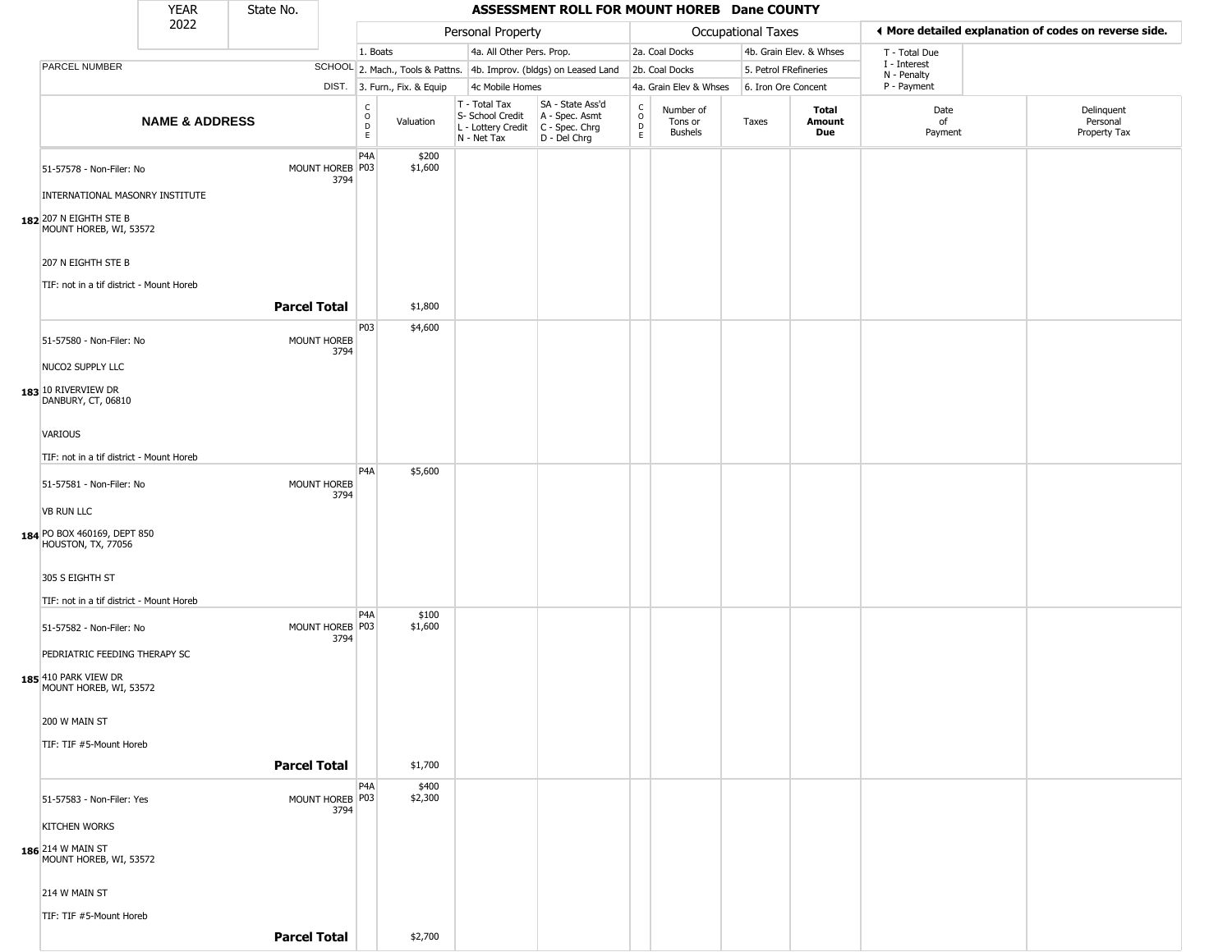|                                                                | <b>YEAR</b>                  | State No.           |                         | ASSESSMENT ROLL FOR MOUNT HOREB Dane COUNTY |                  |                                                                                                          |                                  |                                   |                                 |                       |                                                       |                             |                                        |
|----------------------------------------------------------------|------------------------------|---------------------|-------------------------|---------------------------------------------|------------------|----------------------------------------------------------------------------------------------------------|----------------------------------|-----------------------------------|---------------------------------|-----------------------|-------------------------------------------------------|-----------------------------|----------------------------------------|
| 2022                                                           |                              |                     | Personal Property       |                                             |                  |                                                                                                          | <b>Occupational Taxes</b>        |                                   |                                 |                       | ♦ More detailed explanation of codes on reverse side. |                             |                                        |
|                                                                |                              |                     |                         | 1. Boats                                    |                  | 4a. All Other Pers. Prop.                                                                                |                                  |                                   | 2a. Coal Docks                  |                       | 4b. Grain Elev. & Whses                               | T - Total Due               |                                        |
| PARCEL NUMBER                                                  |                              |                     |                         |                                             |                  | SCHOOL 2. Mach., Tools & Pattns. 4b. Improv. (bldgs) on Leased Land                                      |                                  | 2b. Coal Docks                    |                                 | 5. Petrol FRefineries |                                                       | I - Interest<br>N - Penalty |                                        |
|                                                                | DIST. 3. Furn., Fix. & Equip |                     |                         |                                             |                  | 4c Mobile Homes                                                                                          |                                  |                                   | 4a. Grain Elev & Whses          | 6. Iron Ore Concent   |                                                       | P - Payment                 |                                        |
|                                                                | <b>NAME &amp; ADDRESS</b>    |                     |                         | C<br>$\circ$<br>D<br>E                      | Valuation        | T - Total Tax<br>S- School Credit   A - Spec. Asmt<br>L - Lottery Credit   C - Spec. Chrg<br>N - Net Tax | SA - State Ass'd<br>D - Del Chrg | $\frac{c}{0}$<br>$\mathsf D$<br>E | Number of<br>Tons or<br>Bushels | Taxes                 | Total<br>Amount<br>Due                                | Date<br>of<br>Payment       | Delinquent<br>Personal<br>Property Tax |
| 51-57578 - Non-Filer: No<br>INTERNATIONAL MASONRY INSTITUTE    |                              |                     | MOUNT HOREB P03<br>3794 | P <sub>4</sub> A                            | \$200<br>\$1,600 |                                                                                                          |                                  |                                   |                                 |                       |                                                       |                             |                                        |
| 182 207 N EIGHTH STE B<br>MOUNT HOREB, WI, 53572               |                              |                     |                         |                                             |                  |                                                                                                          |                                  |                                   |                                 |                       |                                                       |                             |                                        |
| 207 N EIGHTH STE B<br>TIF: not in a tif district - Mount Horeb |                              |                     |                         |                                             |                  |                                                                                                          |                                  |                                   |                                 |                       |                                                       |                             |                                        |
|                                                                |                              | <b>Parcel Total</b> |                         |                                             | \$1,800          |                                                                                                          |                                  |                                   |                                 |                       |                                                       |                             |                                        |
| 51-57580 - Non-Filer: No                                       |                              |                     | MOUNT HOREB<br>3794     | P03                                         | \$4,600          |                                                                                                          |                                  |                                   |                                 |                       |                                                       |                             |                                        |
| NUCO2 SUPPLY LLC                                               |                              |                     |                         |                                             |                  |                                                                                                          |                                  |                                   |                                 |                       |                                                       |                             |                                        |
| 183 10 RIVERVIEW DR<br>DANBURY, CT, 06810                      |                              |                     |                         |                                             |                  |                                                                                                          |                                  |                                   |                                 |                       |                                                       |                             |                                        |
| VARIOUS                                                        |                              |                     |                         |                                             |                  |                                                                                                          |                                  |                                   |                                 |                       |                                                       |                             |                                        |
| TIF: not in a tif district - Mount Horeb                       |                              |                     |                         | P4A                                         |                  |                                                                                                          |                                  |                                   |                                 |                       |                                                       |                             |                                        |
| 51-57581 - Non-Filer: No                                       |                              |                     | MOUNT HOREB<br>3794     |                                             | \$5,600          |                                                                                                          |                                  |                                   |                                 |                       |                                                       |                             |                                        |
| <b>VB RUN LLC</b><br>184 PO BOX 460169, DEPT 850               |                              |                     |                         |                                             |                  |                                                                                                          |                                  |                                   |                                 |                       |                                                       |                             |                                        |
| HOUSTON, TX, 77056                                             |                              |                     |                         |                                             |                  |                                                                                                          |                                  |                                   |                                 |                       |                                                       |                             |                                        |
| 305 S EIGHTH ST                                                |                              |                     |                         |                                             |                  |                                                                                                          |                                  |                                   |                                 |                       |                                                       |                             |                                        |
| TIF: not in a tif district - Mount Horeb                       |                              |                     |                         | P <sub>4</sub> A                            | \$100            |                                                                                                          |                                  |                                   |                                 |                       |                                                       |                             |                                        |
| 51-57582 - Non-Filer: No<br>PEDRIATRIC FEEDING THERAPY SC      |                              |                     | MOUNT HOREB P03<br>3794 |                                             | \$1,600          |                                                                                                          |                                  |                                   |                                 |                       |                                                       |                             |                                        |
| 185 410 PARK VIEW DR<br>MOUNT HOREB, WI, 53572                 |                              |                     |                         |                                             |                  |                                                                                                          |                                  |                                   |                                 |                       |                                                       |                             |                                        |
| 200 W MAIN ST                                                  |                              |                     |                         |                                             |                  |                                                                                                          |                                  |                                   |                                 |                       |                                                       |                             |                                        |
| TIF: TIF #5-Mount Horeb                                        |                              |                     |                         |                                             |                  |                                                                                                          |                                  |                                   |                                 |                       |                                                       |                             |                                        |
|                                                                |                              | <b>Parcel Total</b> |                         |                                             | \$1,700          |                                                                                                          |                                  |                                   |                                 |                       |                                                       |                             |                                        |
| 51-57583 - Non-Filer: Yes                                      |                              |                     | MOUNT HOREB P03<br>3794 | P <sub>4</sub> A                            | \$400<br>\$2,300 |                                                                                                          |                                  |                                   |                                 |                       |                                                       |                             |                                        |
| <b>KITCHEN WORKS</b>                                           |                              |                     |                         |                                             |                  |                                                                                                          |                                  |                                   |                                 |                       |                                                       |                             |                                        |
| 186 214 W MAIN ST<br>MOUNT HOREB, WI, 53572                    |                              |                     |                         |                                             |                  |                                                                                                          |                                  |                                   |                                 |                       |                                                       |                             |                                        |
| 214 W MAIN ST                                                  |                              |                     |                         |                                             |                  |                                                                                                          |                                  |                                   |                                 |                       |                                                       |                             |                                        |
| TIF: TIF #5-Mount Horeb                                        |                              |                     |                         |                                             |                  |                                                                                                          |                                  |                                   |                                 |                       |                                                       |                             |                                        |
|                                                                |                              | <b>Parcel Total</b> |                         |                                             | \$2,700          |                                                                                                          |                                  |                                   |                                 |                       |                                                       |                             |                                        |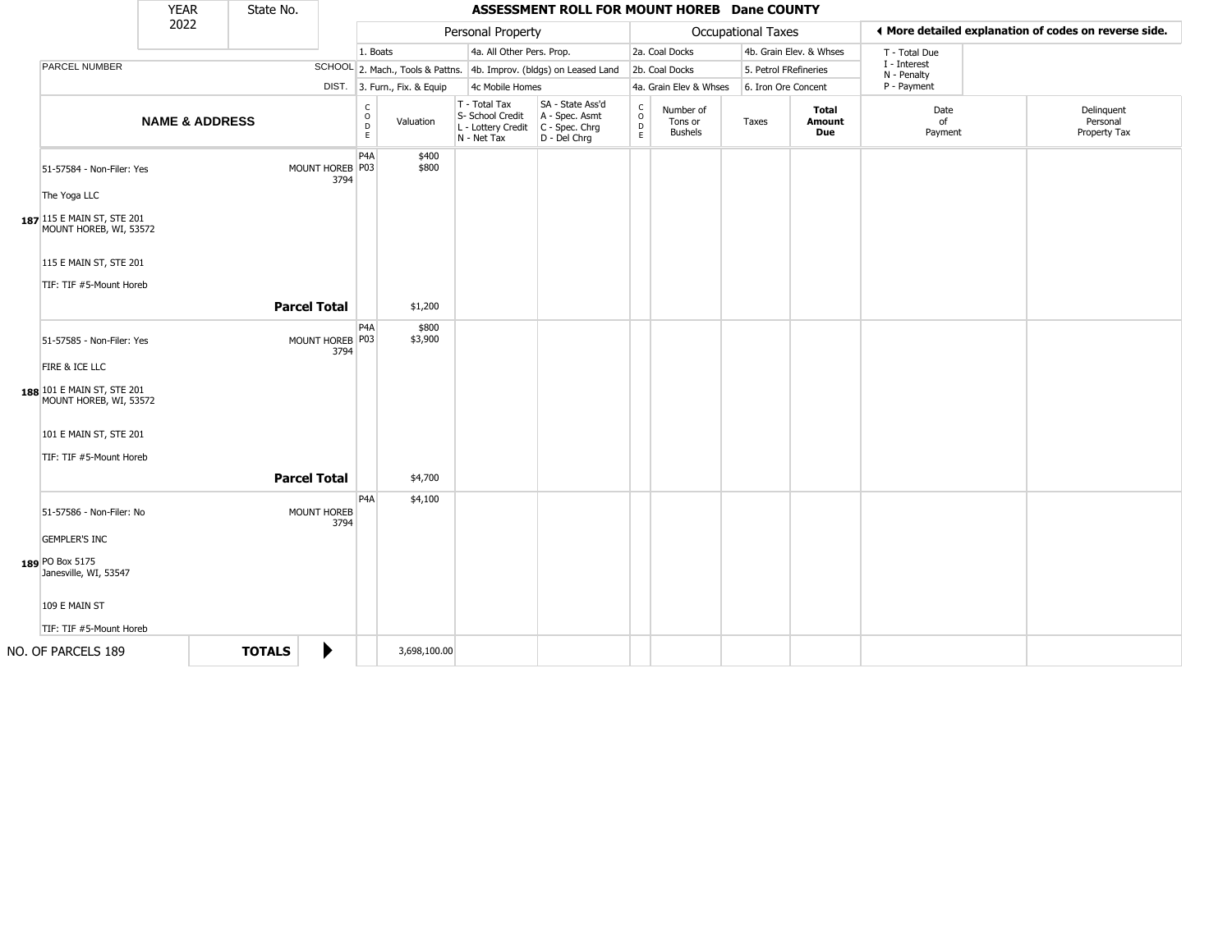|                                                                                                           | <b>YEAR</b>               |  | State No.                                       |                            |                                                                     |                        |                                                                        | ASSESSMENT ROLL FOR MOUNT HOREB Dane COUNTY                          |                                         |                                        |                             |                         |                       |                                                       |
|-----------------------------------------------------------------------------------------------------------|---------------------------|--|-------------------------------------------------|----------------------------|---------------------------------------------------------------------|------------------------|------------------------------------------------------------------------|----------------------------------------------------------------------|-----------------------------------------|----------------------------------------|-----------------------------|-------------------------|-----------------------|-------------------------------------------------------|
|                                                                                                           | 2022                      |  |                                                 |                            |                                                                     |                        | Personal Property                                                      |                                                                      |                                         |                                        | Occupational Taxes          |                         |                       | ♦ More detailed explanation of codes on reverse side. |
|                                                                                                           |                           |  |                                                 |                            | 1. Boats                                                            |                        | 4a. All Other Pers. Prop.                                              |                                                                      |                                         | 2a. Coal Docks                         |                             | 4b. Grain Elev. & Whses | T - Total Due         |                                                       |
| <b>PARCEL NUMBER</b>                                                                                      |                           |  |                                                 |                            | SCHOOL 2. Mach., Tools & Pattns. 4b. Improv. (bldgs) on Leased Land |                        |                                                                        |                                                                      | 2b. Coal Docks<br>5. Petrol FRefineries |                                        | I - Interest<br>N - Penalty |                         |                       |                                                       |
|                                                                                                           |                           |  | DIST. 3. Furn., Fix. & Equip<br>4c Mobile Homes |                            |                                                                     | 4a. Grain Elev & Whses |                                                                        | 6. Iron Ore Concent                                                  |                                         | P - Payment                            |                             |                         |                       |                                                       |
|                                                                                                           | <b>NAME &amp; ADDRESS</b> |  |                                                 |                            | $\mathsf{C}$<br>$\circ$<br>D<br>E                                   | Valuation              | T - Total Tax<br>S- School Credit<br>L - Lottery Credit<br>N - Net Tax | SA - State Ass'd<br>A - Spec. Asmt<br>C - Spec. Chrg<br>D - Del Chrg | $\mathsf{C}$<br>$\circ$<br>D<br>E.      | Number of<br>Tons or<br><b>Bushels</b> | Taxes                       | Total<br>Amount<br>Due  | Date<br>of<br>Payment | Delinquent<br>Personal<br>Property Tax                |
| 51-57584 - Non-Filer: Yes<br>The Yoga LLC                                                                 |                           |  |                                                 | MOUNT HOREB P03<br>3794    | P4A                                                                 | \$400<br>\$800         |                                                                        |                                                                      |                                         |                                        |                             |                         |                       |                                                       |
| 187 115 E MAIN ST, STE 201<br>MOUNT HOREB, WI, 53572<br>115 E MAIN ST, STE 201<br>TIF: TIF #5-Mount Horeb |                           |  |                                                 |                            |                                                                     |                        |                                                                        |                                                                      |                                         |                                        |                             |                         |                       |                                                       |
|                                                                                                           |                           |  |                                                 | <b>Parcel Total</b>        |                                                                     | \$1,200                |                                                                        |                                                                      |                                         |                                        |                             |                         |                       |                                                       |
| 51-57585 - Non-Filer: Yes<br>FIRE & ICE LLC                                                               |                           |  |                                                 | MOUNT HOREB P03<br>3794    | P <sub>4</sub> A                                                    | \$800<br>\$3,900       |                                                                        |                                                                      |                                         |                                        |                             |                         |                       |                                                       |
| 188 101 E MAIN ST, STE 201<br>MOUNT HOREB, WI, 53572                                                      |                           |  |                                                 |                            |                                                                     |                        |                                                                        |                                                                      |                                         |                                        |                             |                         |                       |                                                       |
| 101 E MAIN ST, STE 201                                                                                    |                           |  |                                                 |                            |                                                                     |                        |                                                                        |                                                                      |                                         |                                        |                             |                         |                       |                                                       |
| TIF: TIF #5-Mount Horeb                                                                                   |                           |  |                                                 |                            |                                                                     |                        |                                                                        |                                                                      |                                         |                                        |                             |                         |                       |                                                       |
|                                                                                                           |                           |  |                                                 | <b>Parcel Total</b>        |                                                                     | \$4,700                |                                                                        |                                                                      |                                         |                                        |                             |                         |                       |                                                       |
| 51-57586 - Non-Filer: No                                                                                  |                           |  |                                                 | <b>MOUNT HOREB</b><br>3794 | P <sub>4</sub> A                                                    | \$4,100                |                                                                        |                                                                      |                                         |                                        |                             |                         |                       |                                                       |
| <b>GEMPLER'S INC</b>                                                                                      |                           |  |                                                 |                            |                                                                     |                        |                                                                        |                                                                      |                                         |                                        |                             |                         |                       |                                                       |
| 189 PO Box 5175<br>Janesville, WI, 53547                                                                  |                           |  |                                                 |                            |                                                                     |                        |                                                                        |                                                                      |                                         |                                        |                             |                         |                       |                                                       |
| 109 E MAIN ST                                                                                             |                           |  |                                                 |                            |                                                                     |                        |                                                                        |                                                                      |                                         |                                        |                             |                         |                       |                                                       |
| TIF: TIF #5-Mount Horeb                                                                                   |                           |  |                                                 |                            |                                                                     |                        |                                                                        |                                                                      |                                         |                                        |                             |                         |                       |                                                       |
| NO. OF PARCELS 189                                                                                        |                           |  | <b>TOTALS</b>                                   | ▶                          |                                                                     | 3,698,100.00           |                                                                        |                                                                      |                                         |                                        |                             |                         |                       |                                                       |